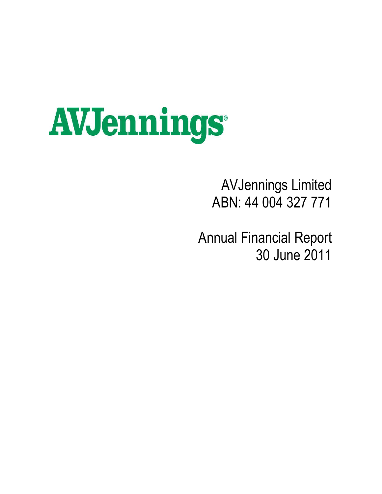# **AVJennings®**

AVJennings Limited ABN: 44 004 327 771

Annual Financial Report 30 June 2011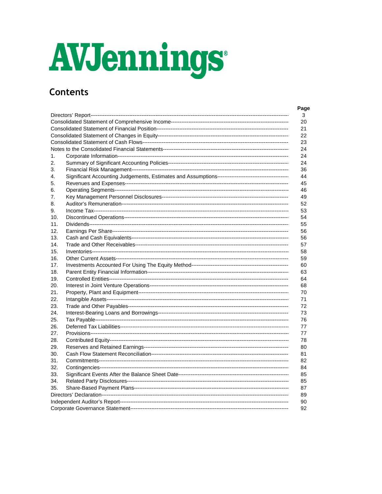# AVJennings

# **Contents**

|     |    | Page |  |  |  |  |  |  |
|-----|----|------|--|--|--|--|--|--|
|     |    | 3    |  |  |  |  |  |  |
|     |    |      |  |  |  |  |  |  |
|     | 21 |      |  |  |  |  |  |  |
|     |    | 22   |  |  |  |  |  |  |
|     |    | 23   |  |  |  |  |  |  |
|     |    | 24   |  |  |  |  |  |  |
| 1.  |    | 24   |  |  |  |  |  |  |
| 2.  |    | 24   |  |  |  |  |  |  |
| 3.  |    | 36   |  |  |  |  |  |  |
| 4.  |    | 44   |  |  |  |  |  |  |
| 5.  |    | 45   |  |  |  |  |  |  |
| 6.  |    | 46   |  |  |  |  |  |  |
| 7.  |    | 49   |  |  |  |  |  |  |
| 8.  |    | 52   |  |  |  |  |  |  |
| 9.  |    | 53   |  |  |  |  |  |  |
| 10. |    | 54   |  |  |  |  |  |  |
| 11. |    | 55   |  |  |  |  |  |  |
| 12. |    | 56   |  |  |  |  |  |  |
| 13. |    | 56   |  |  |  |  |  |  |
| 14. |    | 57   |  |  |  |  |  |  |
| 15. |    | 58   |  |  |  |  |  |  |
| 16. |    | 59   |  |  |  |  |  |  |
| 17. |    | 60   |  |  |  |  |  |  |
| 18. |    | 63   |  |  |  |  |  |  |
| 19. |    | 64   |  |  |  |  |  |  |
| 20. |    | 68   |  |  |  |  |  |  |
| 21. |    | 70   |  |  |  |  |  |  |
| 22. |    | 71   |  |  |  |  |  |  |
| 23. |    | 72   |  |  |  |  |  |  |
| 24. |    | 73   |  |  |  |  |  |  |
| 25. |    | 76   |  |  |  |  |  |  |
| 26. |    | 77   |  |  |  |  |  |  |
| 27. |    | 77   |  |  |  |  |  |  |
| 28. |    | 78   |  |  |  |  |  |  |
| 29. |    | 80   |  |  |  |  |  |  |
| 30. |    | 81   |  |  |  |  |  |  |
| 31. |    | 82   |  |  |  |  |  |  |
| 32. |    | 84   |  |  |  |  |  |  |
| 33. |    | 85   |  |  |  |  |  |  |
| 34. |    | 85   |  |  |  |  |  |  |
| 35. |    | 87   |  |  |  |  |  |  |
|     |    | 89   |  |  |  |  |  |  |
|     |    | 90   |  |  |  |  |  |  |
|     |    | 92   |  |  |  |  |  |  |
|     |    |      |  |  |  |  |  |  |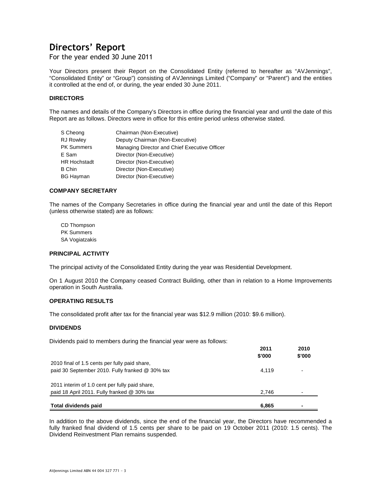For the year ended 30 June 2011

Your Directors present their Report on the Consolidated Entity (referred to hereafter as "AVJennings", "Consolidated Entity" or "Group") consisting of AVJennings Limited ("Company" or "Parent") and the entities it controlled at the end of, or during, the year ended 30 June 2011.

### **DIRECTORS**

The names and details of the Company's Directors in office during the financial year and until the date of this Report are as follows. Directors were in office for this entire period unless otherwise stated.

| S Cheong            | Chairman (Non-Executive)                      |
|---------------------|-----------------------------------------------|
| <b>RJ Rowley</b>    | Deputy Chairman (Non-Executive)               |
| <b>PK Summers</b>   | Managing Director and Chief Executive Officer |
| E Sam               | Director (Non-Executive)                      |
| <b>HR Hochstadt</b> | Director (Non-Executive)                      |
| <b>B</b> Chin       | Director (Non-Executive)                      |
| <b>BG Hayman</b>    | Director (Non-Executive)                      |

### **COMPANY SECRETARY**

The names of the Company Secretaries in office during the financial year and until the date of this Report (unless otherwise stated) are as follows:

CD Thompson PK Summers SA Vogiatzakis

### **PRINCIPAL ACTIVITY**

The principal activity of the Consolidated Entity during the year was Residential Development.

On 1 August 2010 the Company ceased Contract Building, other than in relation to a Home Improvements operation in South Australia.

### **OPERATING RESULTS**

The consolidated profit after tax for the financial year was \$12.9 million (2010: \$9.6 million).

### **DIVIDENDS**

Dividends paid to members during the financial year were as follows:

|                                                 | 2011   | 2010           |
|-------------------------------------------------|--------|----------------|
|                                                 | \$'000 | \$'000         |
| 2010 final of 1.5 cents per fully paid share.   |        |                |
| paid 30 September 2010. Fully franked @ 30% tax | 4.119  | $\blacksquare$ |
|                                                 |        |                |
| 2011 interim of 1.0 cent per fully paid share.  |        |                |
| paid 18 April 2011. Fully franked @ 30% tax     | 2.746  | $\blacksquare$ |
|                                                 |        |                |
| Total dividends paid                            | 6.865  | ٠              |

In addition to the above dividends, since the end of the financial year, the Directors have recommended a fully franked final dividend of 1.5 cents per share to be paid on 19 October 2011 (2010: 1.5 cents). The Dividend Reinvestment Plan remains suspended.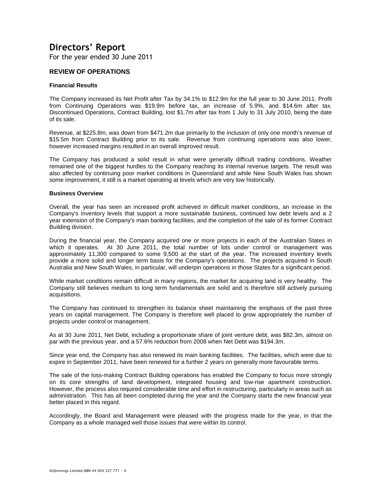For the year ended 30 June 2011

### **REVIEW OF OPERATIONS**

### **Financial Results**

The Company increased its Net Profit after Tax by 34.1% to \$12.9m for the full year to 30 June 2011. Profit from Continuing Operations was \$19.9m before tax, an increase of 5.9%, and \$14.6m after tax. Discontinued Operations, Contract Building, lost \$1.7m after tax from 1 July to 31 July 2010, being the date of its sale.

Revenue, at \$225.8m, was down from \$471.2m due primarily to the inclusion of only one month's revenue of \$15.5m from Contract Building prior to its sale. Revenue from continuing operations was also lower, however increased margins resulted in an overall improved result.

The Company has produced a solid result in what were generally difficult trading conditions. Weather remained one of the biggest hurdles to the Company reaching its internal revenue targets. The result was also affected by continuing poor market conditions in Queensland and while New South Wales has shown some improvement, it still is a market operating at levels which are very low historically.

### **Business Overview**

Overall, the year has seen an increased profit achieved in difficult market conditions, an increase in the Company's inventory levels that support a more sustainable business, continued low debt levels and a 2 year extension of the Company's main banking facilities, and the completion of the sale of its former Contract Building division.

During the financial year, the Company acquired one or more projects in each of the Australian States in which it operates. At 30 June 2011, the total number of lots under control or management was approximately 11,300 compared to some 9,500 at the start of the year. The increased inventory levels provide a more solid and longer term basis for the Company's operations. The projects acquired in South Australia and New South Wales, in particular, will underpin operations in those States for a significant period.

While market conditions remain difficult in many regions, the market for acquiring land is very healthy. The Company still believes medium to long term fundamentals are solid and is therefore still actively pursuing acquisitions.

The Company has continued to strengthen its balance sheet maintaining the emphasis of the past three years on capital management. The Company is therefore well placed to grow appropriately the number of projects under control or management.

As at 30 June 2011, Net Debt, including a proportionate share of joint venture debt, was \$82.3m, almost on par with the previous year, and a 57.6% reduction from 2008 when Net Debt was \$194.3m.

Since year end, the Company has also renewed its main banking facilities. The facilities, which were due to expire in September 2011, have been renewed for a further 2 years on generally more favourable terms.

The sale of the loss-making Contract Building operations has enabled the Company to focus more strongly on its core strengths of land development, integrated housing and low-rise apartment construction. However, the process also required considerable time and effort in restructuring, particularly in areas such as administration. This has all been completed during the year and the Company starts the new financial year better placed in this regard.

Accordingly, the Board and Management were pleased with the progress made for the year, in that the Company as a whole managed well those issues that were within its control.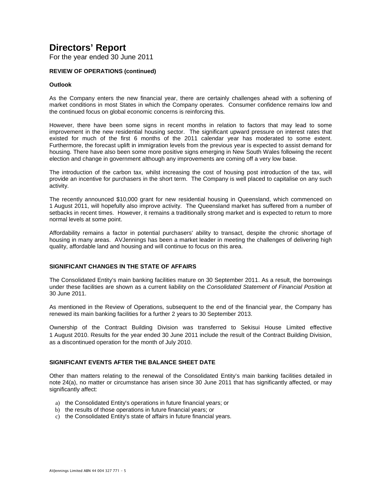For the year ended 30 June 2011

### **REVIEW OF OPERATIONS (continued)**

### **Outlook**

As the Company enters the new financial year, there are certainly challenges ahead with a softening of market conditions in most States in which the Company operates. Consumer confidence remains low and the continued focus on global economic concerns is reinforcing this.

However, there have been some signs in recent months in relation to factors that may lead to some improvement in the new residential housing sector. The significant upward pressure on interest rates that existed for much of the first 6 months of the 2011 calendar year has moderated to some extent. Furthermore, the forecast uplift in immigration levels from the previous year is expected to assist demand for housing. There have also been some more positive signs emerging in New South Wales following the recent election and change in government although any improvements are coming off a very low base.

The introduction of the carbon tax, whilst increasing the cost of housing post introduction of the tax, will provide an incentive for purchasers in the short term. The Company is well placed to capitalise on any such activity.

The recently announced \$10,000 grant for new residential housing in Queensland, which commenced on 1 August 2011, will hopefully also improve activity. The Queensland market has suffered from a number of setbacks in recent times. However, it remains a traditionally strong market and is expected to return to more normal levels at some point.

Affordability remains a factor in potential purchasers' ability to transact, despite the chronic shortage of housing in many areas. AVJennings has been a market leader in meeting the challenges of delivering high quality, affordable land and housing and will continue to focus on this area.

### **SIGNIFICANT CHANGES IN THE STATE OF AFFAIRS**

The Consolidated Entity's main banking facilities mature on 30 September 2011. As a result, the borrowings under these facilities are shown as a current liability on the Consolidated Statement of Financial Position at 30 June 2011.

As mentioned in the Review of Operations, subsequent to the end of the financial year, the Company has renewed its main banking facilities for a further 2 years to 30 September 2013.

Ownership of the Contract Building Division was transferred to Sekisui House Limited effective 1 August 2010. Results for the year ended 30 June 2011 include the result of the Contract Building Division, as a discontinued operation for the month of July 2010.

### **SIGNIFICANT EVENTS AFTER THE BALANCE SHEET DATE**

Other than matters relating to the renewal of the Consolidated Entity's main banking facilities detailed in note 24(a), no matter or circumstance has arisen since 30 June 2011 that has significantly affected, or may significantly affect:

- a) the Consolidated Entity's operations in future financial years; or
- b) the results of those operations in future financial years; or
- c) the Consolidated Entity's state of affairs in future financial years.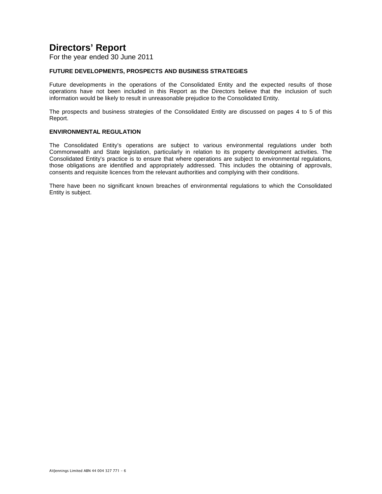For the year ended 30 June 2011

### **FUTURE DEVELOPMENTS, PROSPECTS AND BUSINESS STRATEGIES**

Future developments in the operations of the Consolidated Entity and the expected results of those operations have not been included in this Report as the Directors believe that the inclusion of such information would be likely to result in unreasonable prejudice to the Consolidated Entity.

The prospects and business strategies of the Consolidated Entity are discussed on pages 4 to 5 of this Report.

### **ENVIRONMENTAL REGULATION**

The Consolidated Entity's operations are subject to various environmental regulations under both Commonwealth and State legislation, particularly in relation to its property development activities. The Consolidated Entity's practice is to ensure that where operations are subject to environmental regulations, those obligations are identified and appropriately addressed. This includes the obtaining of approvals, consents and requisite licences from the relevant authorities and complying with their conditions.

There have been no significant known breaches of environmental regulations to which the Consolidated Entity is subject.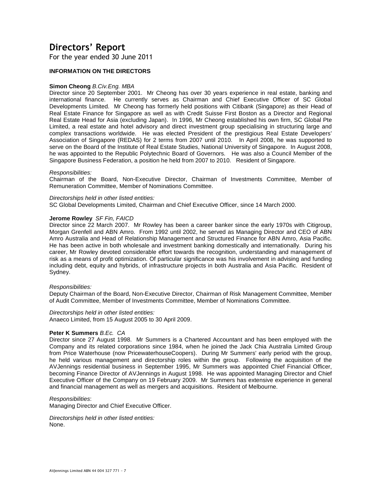For the year ended 30 June 2011

### **INFORMATION ON THE DIRECTORS**

### **Simon Cheong** B.Civ.Eng. MBA

Director since 20 September 2001. Mr Cheong has over 30 years experience in real estate, banking and international finance. He currently serves as Chairman and Chief Executive Officer of SC Global Developments Limited. Mr Cheong has formerly held positions with Citibank (Singapore) as their Head of Real Estate Finance for Singapore as well as with Credit Suisse First Boston as a Director and Regional Real Estate Head for Asia (excluding Japan). In 1996, Mr Cheong established his own firm, SC Global Pte Limited, a real estate and hotel advisory and direct investment group specialising in structuring large and complex transactions worldwide. He was elected President of the prestigious Real Estate Developers' Association of Singapore (REDAS) for 2 terms from 2007 until 2010. In April 2008, he was supported to serve on the Board of the Institute of Real Estate Studies, National University of Singapore. In August 2008, he was appointed to the Republic Polytechnic Board of Governors. He was also a Council Member of the Singapore Business Federation, a position he held from 2007 to 2010. Resident of Singapore.

### Responsibilities:

Chairman of the Board, Non-Executive Director, Chairman of Investments Committee, Member of Remuneration Committee, Member of Nominations Committee.

Directorships held in other listed entities:

SC Global Developments Limited, Chairman and Chief Executive Officer, since 14 March 2000.

### **Jerome Rowley** SF Fin, FAICD

Director since 22 March 2007. Mr Rowley has been a career banker since the early 1970s with Citigroup, Morgan Grenfell and ABN Amro. From 1992 until 2002, he served as Managing Director and CEO of ABN Amro Australia and Head of Relationship Management and Structured Finance for ABN Amro, Asia Pacific. He has been active in both wholesale and investment banking domestically and internationally. During his career, Mr Rowley devoted considerable effort towards the recognition, understanding and management of risk as a means of profit optimization. Of particular significance was his involvement in advising and funding including debt, equity and hybrids, of infrastructure projects in both Australia and Asia Pacific. Resident of Sydney.

### Responsibilities:

Deputy Chairman of the Board, Non-Executive Director, Chairman of Risk Management Committee, Member of Audit Committee, Member of Investments Committee, Member of Nominations Committee.

### Directorships held in other listed entities:

Anaeco Limited, from 15 August 2005 to 30 April 2009.

### **Peter K Summers** B.Ec. CA

Director since 27 August 1998. Mr Summers is a Chartered Accountant and has been employed with the Company and its related corporations since 1984, when he joined the Jack Chia Australia Limited Group from Price Waterhouse (now PricewaterhouseCoopers). During Mr Summers' early period with the group, he held various management and directorship roles within the group. Following the acquisition of the AVJennings residential business in September 1995, Mr Summers was appointed Chief Financial Officer, becoming Finance Director of AVJennings in August 1998. He was appointed Managing Director and Chief Executive Officer of the Company on 19 February 2009. Mr Summers has extensive experience in general and financial management as well as mergers and acquisitions. Resident of Melbourne.

### Responsibilities:

Managing Director and Chief Executive Officer.

Directorships held in other listed entities: None.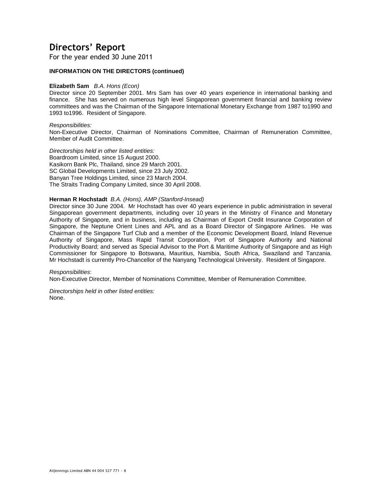For the year ended 30 June 2011

### **INFORMATION ON THE DIRECTORS (continued)**

### **Elizabeth Sam** B.A. Hons (Econ)

Director since 20 September 2001. Mrs Sam has over 40 years experience in international banking and finance. She has served on numerous high level Singaporean government financial and banking review committees and was the Chairman of the Singapore International Monetary Exchange from 1987 to1990 and 1993 to1996. Resident of Singapore.

### Responsibilities:

Non-Executive Director, Chairman of Nominations Committee, Chairman of Remuneration Committee, Member of Audit Committee.

Directorships held in other listed entities: Boardroom Limited, since 15 August 2000. Kasikorn Bank Plc, Thailand, since 29 March 2001. SC Global Developments Limited, since 23 July 2002. Banyan Tree Holdings Limited, since 23 March 2004. The Straits Trading Company Limited, since 30 April 2008.

### **Herman R Hochstadt** B.A. (Hons), AMP (Stanford-Insead)

Director since 30 June 2004. Mr Hochstadt has over 40 years experience in public administration in several Singaporean government departments, including over 10 years in the Ministry of Finance and Monetary Authority of Singapore, and in business, including as Chairman of Export Credit Insurance Corporation of Singapore, the Neptune Orient Lines and APL and as a Board Director of Singapore Airlines. He was Chairman of the Singapore Turf Club and a member of the Economic Development Board, Inland Revenue Authority of Singapore, Mass Rapid Transit Corporation, Port of Singapore Authority and National Productivity Board; and served as Special Advisor to the Port & Maritime Authority of Singapore and as High Commissioner for Singapore to Botswana, Mauritius, Namibia, South Africa, Swaziland and Tanzania. Mr Hochstadt is currently Pro-Chancellor of the Nanyang Technological University. Resident of Singapore.

### Responsibilities:

Non-Executive Director, Member of Nominations Committee, Member of Remuneration Committee.

Directorships held in other listed entities: None.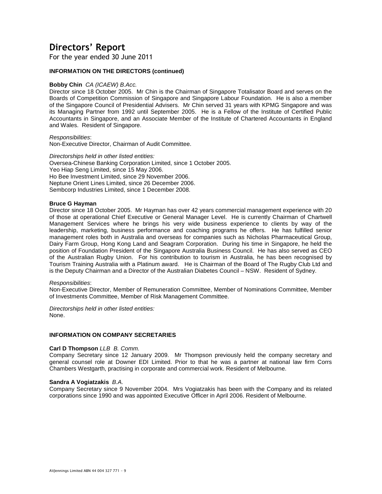For the year ended 30 June 2011

### **INFORMATION ON THE DIRECTORS (continued)**

### **Bobby Chin** CA (ICAEW) B.Acc.

Director since 18 October 2005. Mr Chin is the Chairman of Singapore Totalisator Board and serves on the Boards of Competition Commission of Singapore and Singapore Labour Foundation. He is also a member of the Singapore Council of Presidential Advisers. Mr Chin served 31 years with KPMG Singapore and was its Managing Partner from 1992 until September 2005. He is a Fellow of the Institute of Certified Public Accountants in Singapore, and an Associate Member of the Institute of Chartered Accountants in England and Wales. Resident of Singapore.

### Responsibilities:

Non-Executive Director, Chairman of Audit Committee.

Directorships held in other listed entities: Oversea-Chinese Banking Corporation Limited, since 1 October 2005. Yeo Hiap Seng Limited, since 15 May 2006. Ho Bee Investment Limited, since 29 November 2006. Neptune Orient Lines Limited, since 26 December 2006. Sembcorp Industries Limited, since 1 December 2008.

### **Bruce G Hayman**

Director since 18 October 2005. Mr Hayman has over 42 years commercial management experience with 20 of those at operational Chief Executive or General Manager Level. He is currently Chairman of Chartwell Management Services where he brings his very wide business experience to clients by way of the leadership, marketing, business performance and coaching programs he offers. He has fulfilled senior management roles both in Australia and overseas for companies such as Nicholas Pharmaceutical Group, Dairy Farm Group, Hong Kong Land and Seagram Corporation. During his time in Singapore, he held the position of Foundation President of the Singapore Australia Business Council. He has also served as CEO of the Australian Rugby Union. For his contribution to tourism in Australia, he has been recognised by Tourism Training Australia with a Platinum award. He is Chairman of the Board of The Rugby Club Ltd and is the Deputy Chairman and a Director of the Australian Diabetes Council – NSW. Resident of Sydney.

### Responsibilities:

Non-Executive Director, Member of Remuneration Committee, Member of Nominations Committee, Member of Investments Committee, Member of Risk Management Committee.

Directorships held in other listed entities: None.

### **INFORMATION ON COMPANY SECRETARIES**

### **Carl D Thompson** LLB B. Comm.

Company Secretary since 12 January 2009. Mr Thompson previously held the company secretary and general counsel role at Downer EDI Limited. Prior to that he was a partner at national law firm Corrs Chambers Westgarth, practising in corporate and commercial work. Resident of Melbourne.

### **Sandra A Vogiatzakis** B.A.

Company Secretary since 9 November 2004. Mrs Vogiatzakis has been with the Company and its related corporations since 1990 and was appointed Executive Officer in April 2006. Resident of Melbourne.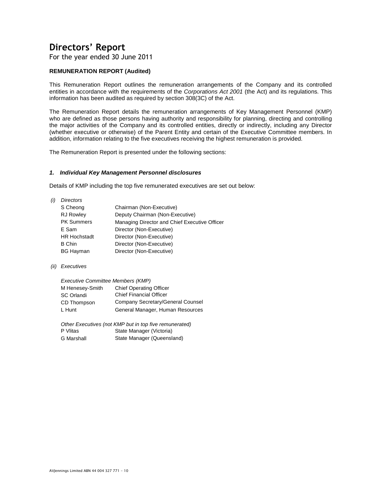For the year ended 30 June 2011

### **REMUNERATION REPORT (Audited)**

This Remuneration Report outlines the remuneration arrangements of the Company and its controlled entities in accordance with the requirements of the Corporations Act 2001 (the Act) and its regulations. This information has been audited as required by section 308(3C) of the Act.

The Remuneration Report details the remuneration arrangements of Key Management Personnel (KMP) who are defined as those persons having authority and responsibility for planning, directing and controlling the major activities of the Company and its controlled entities, directly or indirectly, including any Director (whether executive or otherwise) of the Parent Entity and certain of the Executive Committee members. In addition, information relating to the five executives receiving the highest remuneration is provided.

The Remuneration Report is presented under the following sections:

### **1. Individual Key Management Personnel disclosures**

Details of KMP including the top five remunerated executives are set out below:

| (i) | <b>Directors</b>    |                                               |
|-----|---------------------|-----------------------------------------------|
|     | S Cheong            | Chairman (Non-Executive)                      |
|     | <b>RJ Rowley</b>    | Deputy Chairman (Non-Executive)               |
|     | <b>PK Summers</b>   | Managing Director and Chief Executive Officer |
|     | E Sam               | Director (Non-Executive)                      |
|     | <b>HR Hochstadt</b> | Director (Non-Executive)                      |
|     | <b>B</b> Chin       | Director (Non-Executive)                      |
|     | <b>BG Hayman</b>    | Director (Non-Executive)                      |

(ii) Executives

| Executive Committee Members (KMP) |                                   |  |  |  |  |  |
|-----------------------------------|-----------------------------------|--|--|--|--|--|
| M Henesey-Smith                   | <b>Chief Operating Officer</b>    |  |  |  |  |  |
| <b>SC Orlandi</b>                 | <b>Chief Financial Officer</b>    |  |  |  |  |  |
| CD Thompson                       | Company Secretary/General Counsel |  |  |  |  |  |
| L Hunt                            | General Manager, Human Resources  |  |  |  |  |  |

|                   | Other Executives (not KMP but in top five remunerated) |
|-------------------|--------------------------------------------------------|
| P Vlitas          | State Manager (Victoria)                               |
| <b>G</b> Marshall | State Manager (Queensland)                             |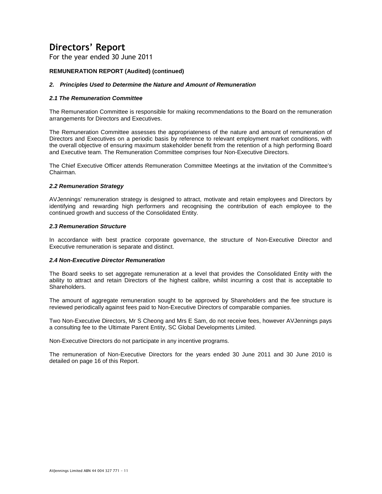For the year ended 30 June 2011

### **REMUNERATION REPORT (Audited) (continued)**

### **2. Principles Used to Determine the Nature and Amount of Remuneration**

### **2.1 The Remuneration Committee**

The Remuneration Committee is responsible for making recommendations to the Board on the remuneration arrangements for Directors and Executives.

The Remuneration Committee assesses the appropriateness of the nature and amount of remuneration of Directors and Executives on a periodic basis by reference to relevant employment market conditions, with the overall objective of ensuring maximum stakeholder benefit from the retention of a high performing Board and Executive team. The Remuneration Committee comprises four Non-Executive Directors.

The Chief Executive Officer attends Remuneration Committee Meetings at the invitation of the Committee's Chairman.

### **2.2 Remuneration Strategy**

AVJennings' remuneration strategy is designed to attract, motivate and retain employees and Directors by identifying and rewarding high performers and recognising the contribution of each employee to the continued growth and success of the Consolidated Entity.

### **2.3 Remuneration Structure**

In accordance with best practice corporate governance, the structure of Non-Executive Director and Executive remuneration is separate and distinct.

### **2.4 Non-Executive Director Remuneration**

The Board seeks to set aggregate remuneration at a level that provides the Consolidated Entity with the ability to attract and retain Directors of the highest calibre, whilst incurring a cost that is acceptable to Shareholders.

The amount of aggregate remuneration sought to be approved by Shareholders and the fee structure is reviewed periodically against fees paid to Non-Executive Directors of comparable companies.

Two Non-Executive Directors, Mr S Cheong and Mrs E Sam, do not receive fees, however AVJennings pays a consulting fee to the Ultimate Parent Entity, SC Global Developments Limited.

Non-Executive Directors do not participate in any incentive programs.

The remuneration of Non-Executive Directors for the years ended 30 June 2011 and 30 June 2010 is detailed on page 16 of this Report.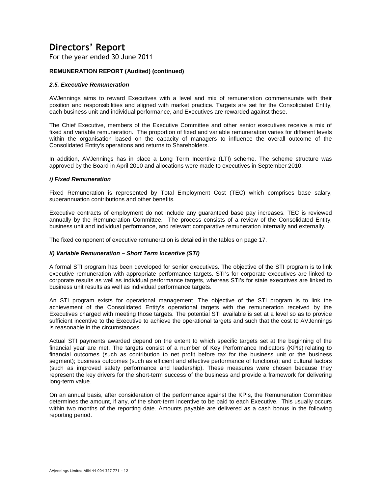For the year ended 30 June 2011

### **REMUNERATION REPORT (Audited) (continued)**

### **2.5. Executive Remuneration**

AVJennings aims to reward Executives with a level and mix of remuneration commensurate with their position and responsibilities and aligned with market practice. Targets are set for the Consolidated Entity, each business unit and individual performance, and Executives are rewarded against these.

The Chief Executive, members of the Executive Committee and other senior executives receive a mix of fixed and variable remuneration. The proportion of fixed and variable remuneration varies for different levels within the organisation based on the capacity of managers to influence the overall outcome of the Consolidated Entity's operations and returns to Shareholders.

In addition, AVJennings has in place a Long Term Incentive (LTI) scheme. The scheme structure was approved by the Board in April 2010 and allocations were made to executives in September 2010.

### **i) Fixed Remuneration**

Fixed Remuneration is represented by Total Employment Cost (TEC) which comprises base salary, superannuation contributions and other benefits.

Executive contracts of employment do not include any guaranteed base pay increases. TEC is reviewed annually by the Remuneration Committee. The process consists of a review of the Consolidated Entity, business unit and individual performance, and relevant comparative remuneration internally and externally.

The fixed component of executive remuneration is detailed in the tables on page 17.

### **ii) Variable Remuneration – Short Term Incentive (STI)**

A formal STI program has been developed for senior executives. The objective of the STI program is to link executive remuneration with appropriate performance targets. STI's for corporate executives are linked to corporate results as well as individual performance targets, whereas STI's for state executives are linked to business unit results as well as individual performance targets.

An STI program exists for operational management. The objective of the STI program is to link the achievement of the Consolidated Entity's operational targets with the remuneration received by the Executives charged with meeting those targets. The potential STI available is set at a level so as to provide sufficient incentive to the Executive to achieve the operational targets and such that the cost to AVJennings is reasonable in the circumstances.

Actual STI payments awarded depend on the extent to which specific targets set at the beginning of the financial year are met. The targets consist of a number of Key Performance Indicators (KPIs) relating to financial outcomes (such as contribution to net profit before tax for the business unit or the business segment); business outcomes (such as efficient and effective performance of functions); and cultural factors (such as improved safety performance and leadership). These measures were chosen because they represent the key drivers for the short-term success of the business and provide a framework for delivering long-term value.

On an annual basis, after consideration of the performance against the KPIs, the Remuneration Committee determines the amount, if any, of the short-term incentive to be paid to each Executive. This usually occurs within two months of the reporting date. Amounts payable are delivered as a cash bonus in the following reporting period.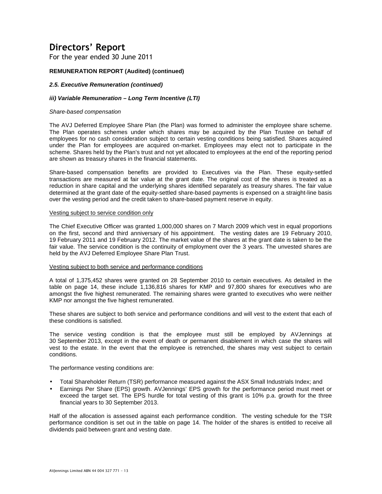For the year ended 30 June 2011

### **REMUNERATION REPORT (Audited) (continued)**

### **2.5. Executive Remuneration (continued)**

### **iii) Variable Remuneration – Long Term Incentive (LTI)**

### Share-based compensation

The AVJ Deferred Employee Share Plan (the Plan) was formed to administer the employee share scheme. The Plan operates schemes under which shares may be acquired by the Plan Trustee on behalf of employees for no cash consideration subject to certain vesting conditions being satisfied. Shares acquired under the Plan for employees are acquired on-market. Employees may elect not to participate in the scheme. Shares held by the Plan's trust and not yet allocated to employees at the end of the reporting period are shown as treasury shares in the financial statements.

Share-based compensation benefits are provided to Executives via the Plan. These equity-settled transactions are measured at fair value at the grant date. The original cost of the shares is treated as a reduction in share capital and the underlying shares identified separately as treasury shares. The fair value determined at the grant date of the equity-settled share-based payments is expensed on a straight-line basis over the vesting period and the credit taken to share-based payment reserve in equity.

### Vesting subject to service condition only

The Chief Executive Officer was granted 1,000,000 shares on 7 March 2009 which vest in equal proportions on the first, second and third anniversary of his appointment. The vesting dates are 19 February 2010, 19 February 2011 and 19 February 2012. The market value of the shares at the grant date is taken to be the fair value. The service condition is the continuity of employment over the 3 years. The unvested shares are held by the AVJ Deferred Employee Share Plan Trust.

### Vesting subject to both service and performance conditions

A total of 1,375,452 shares were granted on 28 September 2010 to certain executives. As detailed in the table on page 14, these include 1,136,816 shares for KMP and 97,800 shares for executives who are amongst the five highest remunerated. The remaining shares were granted to executives who were neither KMP nor amongst the five highest remunerated.

These shares are subject to both service and performance conditions and will vest to the extent that each of these conditions is satisfied.

The service vesting condition is that the employee must still be employed by AVJennings at 30 September 2013, except in the event of death or permanent disablement in which case the shares will vest to the estate. In the event that the employee is retrenched, the shares may vest subject to certain conditions.

The performance vesting conditions are:

- Total Shareholder Return (TSR) performance measured against the ASX Small Industrials Index; and
- Earnings Per Share (EPS) growth. AVJennings' EPS growth for the performance period must meet or exceed the target set. The EPS hurdle for total vesting of this grant is 10% p.a. growth for the three financial years to 30 September 2013.

Half of the allocation is assessed against each performance condition. The vesting schedule for the TSR performance condition is set out in the table on page 14. The holder of the shares is entitled to receive all dividends paid between grant and vesting date.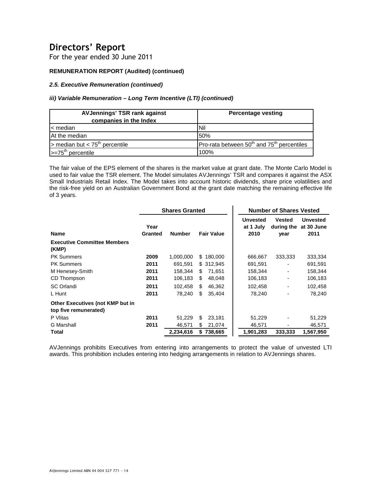For the year ended 30 June 2011

### **REMUNERATION REPORT (Audited) (continued)**

### **2.5. Executive Remuneration (continued)**

### **iii) Variable Remuneration – Long Term Incentive (LTI) (continued)**

| <b>AVJennings' TSR rank against</b><br>companies in the Index | Percentage vesting                             |
|---------------------------------------------------------------|------------------------------------------------|
| <b>I</b> < median                                             | Nil                                            |
| At the median                                                 | 50%                                            |
| $>$ median but $<$ 75 <sup>th</sup> percentile                | Pro-rata between $50th$ and $75th$ percentiles |
| $\left  \right $ >=75 <sup>th</sup> percentile                | 100%                                           |

The fair value of the EPS element of the shares is the market value at grant date. The Monte Carlo Model is used to fair value the TSR element. The Model simulates AVJennings' TSR and compares it against the ASX Small Industrials Retail Index. The Model takes into account historic dividends, share price volatilities and the risk-free yield on an Australian Government Bond at the grant date matching the remaining effective life of 3 years.

L.

|                                                           |                 | <b>Shares Granted</b> |     |                   |                                      | <b>Number of Shares Vested</b>      |                                       |  |  |
|-----------------------------------------------------------|-----------------|-----------------------|-----|-------------------|--------------------------------------|-------------------------------------|---------------------------------------|--|--|
| <b>Name</b>                                               | Year<br>Granted | <b>Number</b>         |     | <b>Fair Value</b> | <b>Unvested</b><br>at 1 July<br>2010 | <b>Vested</b><br>during the<br>year | <b>Unvested</b><br>at 30 June<br>2011 |  |  |
| <b>Executive Committee Members</b><br>(KMP)               |                 |                       |     |                   |                                      |                                     |                                       |  |  |
| <b>PK Summers</b>                                         | 2009            | 1,000,000             |     | \$180,000         | 666,667                              | 333,333                             | 333,334                               |  |  |
| <b>PK Summers</b>                                         | 2011            | 691,591               |     | \$312,945         | 691,591                              |                                     | 691,591                               |  |  |
| M Henesey-Smith                                           | 2011            | 158,344               | S   | 71,651            | 158,344                              |                                     | 158,344                               |  |  |
| CD Thompson                                               | 2011            | 106,183               | \$  | 48,048            | 106,183                              |                                     | 106,183                               |  |  |
| <b>SC Orlandi</b>                                         | 2011            | 102,458               | \$  | 46,362            | 102,458                              |                                     | 102,458                               |  |  |
| L Hunt                                                    | 2011            | 78.240                | \$  | 35.404            | 78,240                               |                                     | 78,240                                |  |  |
| Other Executives (not KMP but in<br>top five remunerated) |                 |                       |     |                   |                                      |                                     |                                       |  |  |
| P Vlitas                                                  | 2011            | 51,229                | \$  | 23,181            | 51,229                               |                                     | 51,229                                |  |  |
| <b>G</b> Marshall                                         | 2011            | 46,571                | \$. | 21,074            | 46,571                               |                                     | 46,571                                |  |  |
| Total                                                     |                 | 2,234,616             |     | \$738,665         | 1,901,283                            | 333,333                             | 1,567,950                             |  |  |

AVJennings prohibits Executives from entering into arrangements to protect the value of unvested LTI awards. This prohibition includes entering into hedging arrangements in relation to AVJennings shares.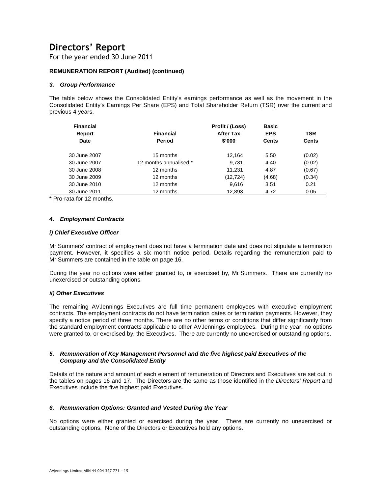For the year ended 30 June 2011

### **REMUNERATION REPORT (Audited) (continued)**

### **3. Group Performance**

The table below shows the Consolidated Entity's earnings performance as well as the movement in the Consolidated Entity's Earnings Per Share (EPS) and Total Shareholder Return (TSR) over the current and previous 4 years.

| <b>Financial</b> |                        | Profit / (Loss)  | <b>Basic</b> |              |  |
|------------------|------------------------|------------------|--------------|--------------|--|
| Report           | <b>Financial</b>       | <b>After Tax</b> | <b>EPS</b>   | <b>TSR</b>   |  |
| Date             | <b>Period</b>          | \$'000           | <b>Cents</b> | <b>Cents</b> |  |
| 30 June 2007     | 15 months              | 12.164           | 5.50         | (0.02)       |  |
| 30 June 2007     | 12 months annualised * | 9,731            | 4.40         | (0.02)       |  |
| 30 June 2008     | 12 months              | 11.231           | 4.87         | (0.67)       |  |
| 30 June 2009     | 12 months              | (12, 724)        | (4.68)       | (0.34)       |  |
| 30 June 2010     | 12 months              | 9.616            | 3.51         | 0.21         |  |
| 30 June 2011     | 12 months              | 12.893           | 4.72         | 0.05         |  |

\* Pro-rata for 12 months.

### **4. Employment Contracts**

### **i) Chief Executive Officer**

Mr Summers' contract of employment does not have a termination date and does not stipulate a termination payment. However, it specifies a six month notice period. Details regarding the remuneration paid to Mr Summers are contained in the table on page 16.

During the year no options were either granted to, or exercised by, Mr Summers. There are currently no unexercised or outstanding options.

### **ii) Other Executives**

The remaining AVJennings Executives are full time permanent employees with executive employment contracts. The employment contracts do not have termination dates or termination payments. However, they specify a notice period of three months. There are no other terms or conditions that differ significantly from the standard employment contracts applicable to other AVJennings employees. During the year, no options were granted to, or exercised by, the Executives. There are currently no unexercised or outstanding options.

### **5. Remuneration of Key Management Personnel and the five highest paid Executives of the Company and the Consolidated Entity**

Details of the nature and amount of each element of remuneration of Directors and Executives are set out in the tables on pages 16 and 17. The Directors are the same as those identified in the Directors' Report and Executives include the five highest paid Executives.

### **6. Remuneration Options: Granted and Vested During the Year**

No options were either granted or exercised during the year. There are currently no unexercised or outstanding options. None of the Directors or Executives hold any options.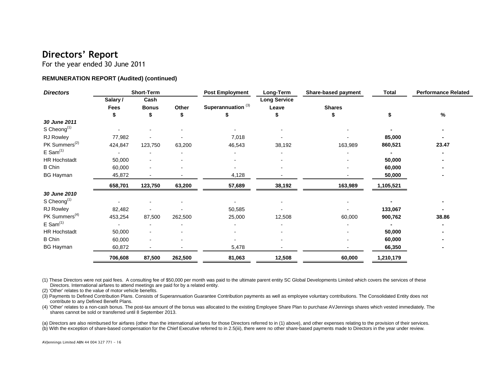For the year ended 30 June 2011

### **REMUNERATION REPORT (Audited) (continued)**

| <b>Directors</b>          | Short-Term |              |         | <b>Post Employment</b>        | Long-Term           | Share-based payment | <b>Total</b> | <b>Performance Related</b> |
|---------------------------|------------|--------------|---------|-------------------------------|---------------------|---------------------|--------------|----------------------------|
|                           | Salary/    | Cash         |         |                               | <b>Long Service</b> |                     |              |                            |
|                           | Fees       | <b>Bonus</b> | Other   | Superannuation <sup>(3)</sup> | Leave               | <b>Shares</b>       |              |                            |
|                           | P          |              | S       |                               |                     | \$                  |              | $\frac{0}{6}$              |
| 30 June 2011              |            |              |         |                               |                     |                     |              |                            |
| S Cheong <sup>(1)</sup>   |            |              |         |                               |                     |                     |              |                            |
| <b>RJ Rowley</b>          | 77,982     |              |         | 7,018                         |                     |                     | 85,000       |                            |
| PK Summers <sup>(2)</sup> | 424,847    | 123,750      | 63,200  | 46,543                        | 38,192              | 163,989             | 860,521      | 23.47                      |
| E Sam <sup>(1)</sup>      |            |              |         |                               |                     |                     |              |                            |
| HR Hochstadt              | 50,000     |              |         |                               |                     |                     | 50,000       |                            |
| <b>B</b> Chin             | 60,000     |              |         |                               |                     |                     | 60,000       |                            |
| <b>BG Hayman</b>          | 45,872     |              |         | 4,128                         |                     |                     | 50,000       |                            |
|                           | 658,701    | 123,750      | 63,200  | 57,689                        | 38,192              | 163,989             | 1,105,521    |                            |
| 30 June 2010              |            |              |         |                               |                     |                     |              |                            |
| S Cheong $(1)$            |            |              |         |                               |                     |                     |              |                            |
| RJ Rowley                 | 82,482     |              |         | 50,585                        |                     |                     | 133,067      |                            |
| PK Summers <sup>(4)</sup> | 453,254    | 87,500       | 262,500 | 25,000                        | 12,508              | 60,000              | 900,762      | 38.86                      |
| E Sam <sup>(1)</sup>      |            |              |         |                               |                     |                     |              |                            |
| <b>HR Hochstadt</b>       | 50,000     |              |         |                               |                     |                     | 50,000       |                            |
| <b>B</b> Chin             | 60,000     |              |         |                               |                     |                     | 60,000       |                            |
| <b>BG Hayman</b>          | 60,872     |              |         | 5,478                         |                     |                     | 66,350       |                            |
|                           | 706,608    | 87,500       | 262,500 | 81,063                        | 12,508              | 60,000              | 1,210,179    |                            |

(1) These Directors were not paid fees. A consulting fee of \$50,000 per month was paid to the ultimate parent entity SC Global Developments Limited which covers the services of these Directors. International airfares to attend meetings are paid for by a related entity.

(2) 'Other' relates to the value of motor vehicle benefits.

 (3) Payments to Defined Contribution Plans. Consists of Superannuation Guarantee Contribution payments as well as employee voluntary contributions. The Consolidated Entity does not contribute to any Defined Benefit Plans.

 (4) 'Other' relates to a non-cash bonus. The post-tax amount of the bonus was allocated to the existing Employee Share Plan to purchase AVJennings shares which vested immediately. The shares cannot be sold or transferred until 8 September 2013.

(a) Directors are also reimbursed for airfares (other than the international airfares for those Directors referred to in (1) above), and other expenses relating to the provision of their services. (b) With the exception of share-based compensation for the Chief Executive referred to in 2.5(iii), there were no other share-based payments made to Directors in the year under review.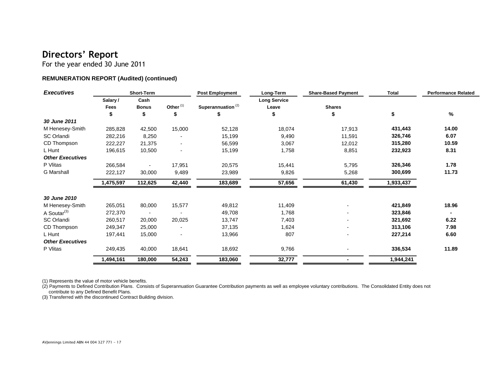For the year ended 30 June 2011

### **REMUNERATION REPORT (Audited) (continued)**

| <b>Executives</b>       | Short-Term |                |                      | <b>Post Employment</b>        | Long-Term           | <b>Share-Based Payment</b> | <b>Total</b> | <b>Performance Related</b> |
|-------------------------|------------|----------------|----------------------|-------------------------------|---------------------|----------------------------|--------------|----------------------------|
|                         | Salary/    | Cash           |                      |                               | <b>Long Service</b> |                            |              |                            |
|                         | Fees       | <b>Bonus</b>   | Other <sup>(1)</sup> | Superannuation <sup>(2)</sup> | Leave               | <b>Shares</b>              |              |                            |
|                         | S          | ъ              | S                    | S                             | \$                  |                            | \$           | $\%$                       |
| 30 June 2011            |            |                |                      |                               |                     |                            |              |                            |
| M Henesey-Smith         | 285,828    | 42,500         | 15,000               | 52,128                        | 18,074              | 17,913                     | 431,443      | 14.00                      |
| SC Orlandi              | 282,216    | 8,250          |                      | 15,199                        | 9,490               | 11,591                     | 326,746      | 6.07                       |
| CD Thompson             | 222,227    | 21,375         |                      | 56,599                        | 3,067               | 12,012                     | 315,280      | 10.59                      |
| L Hunt                  | 196,615    | 10,500         |                      | 15,199                        | 1,758               | 8,851                      | 232,923      | 8.31                       |
| <b>Other Executives</b> |            |                |                      |                               |                     |                            |              |                            |
| P Vlitas                | 266,584    | $\blacksquare$ | 17,951               | 20,575                        | 15,441              | 5,795                      | 326,346      | 1.78                       |
| G Marshall              | 222,127    | 30,000         | 9,489                | 23,989                        | 9,826               | 5,268                      | 300,699      | 11.73                      |
|                         | 1,475,597  | 112,625        | 42,440               | 183,689                       | 57,656              | 61,430                     | 1,933,437    |                            |
| 30 June 2010            |            |                |                      |                               |                     |                            |              |                            |
| M Henesey-Smith         | 265,051    | 80,000         | 15,577               | 49,812                        | 11,409              |                            | 421,849      | 18.96                      |
| A Soutar <sup>(3)</sup> | 272,370    |                |                      | 49,708                        | 1,768               |                            | 323,846      |                            |
| SC Orlandi              | 260,517    | 20,000         | 20,025               | 13,747                        | 7,403               |                            | 321,692      | 6.22                       |
| CD Thompson             | 249,347    | 25,000         |                      | 37,135                        | 1,624               |                            | 313,106      | 7.98                       |
| L Hunt                  | 197,441    | 15,000         |                      | 13,966                        | 807                 |                            | 227,214      | 6.60                       |
| <b>Other Executives</b> |            |                |                      |                               |                     |                            |              |                            |
| P Vlitas                | 249,435    | 40,000         | 18,641               | 18,692                        | 9,766               |                            | 336,534      | 11.89                      |
|                         | 1,494,161  | 180,000        | 54,243               | 183,060                       | 32,777              |                            | 1,944,241    |                            |

(1) Represents the value of motor vehicle benefits.<br>(2) Payments to Defined Contribution Plans. Consists of Superannuation Guarantee Contribution payments as well as employee voluntary contributions. The Consolidated Entit contribute to any Defined Benefit Plans.

(3) Transferred with the discontinued Contract Building division.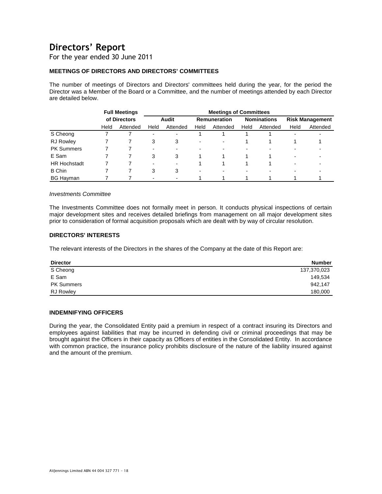For the year ended 30 June 2011

### **MEETINGS OF DIRECTORS AND DIRECTORS' COMMITTEES**

The number of meetings of Directors and Directors' committees held during the year, for the period the Director was a Member of the Board or a Committee, and the number of meetings attended by each Director are detailed below.

|                     |      | <b>Full Meetings</b> | <b>Meetings of Committees</b> |                          |                     |          |                    |          |                        |          |
|---------------------|------|----------------------|-------------------------------|--------------------------|---------------------|----------|--------------------|----------|------------------------|----------|
|                     |      | of Directors         | Audit                         |                          | <b>Remuneration</b> |          | <b>Nominations</b> |          | <b>Risk Management</b> |          |
|                     | Held | Attended             | Held                          | Attended                 | Held                | Attended | Held               | Attended | Held                   | Attended |
| S Cheong            |      |                      | $\overline{\phantom{0}}$      | $\overline{\phantom{0}}$ |                     |          |                    |          |                        |          |
| <b>RJ Rowley</b>    |      |                      | 3                             | 3                        | $\blacksquare$      |          |                    |          |                        |          |
| <b>PK Summers</b>   |      |                      | $\overline{\phantom{0}}$      |                          |                     |          |                    |          |                        |          |
| E Sam               |      |                      | 3                             | 3                        |                     |          |                    |          |                        |          |
| <b>HR Hochstadt</b> |      |                      | $\overline{\phantom{0}}$      | $\overline{\phantom{0}}$ |                     |          |                    |          |                        |          |
| <b>B</b> Chin       |      |                      | 3                             | 3                        |                     |          |                    |          |                        |          |
| <b>BG Hayman</b>    |      |                      |                               | $\overline{\phantom{0}}$ |                     |          |                    |          |                        |          |

Investments Committee

The Investments Committee does not formally meet in person. It conducts physical inspections of certain major development sites and receives detailed briefings from management on all major development sites prior to consideration of formal acquisition proposals which are dealt with by way of circular resolution.

### **DIRECTORS' INTERESTS**

The relevant interests of the Directors in the shares of the Company at the date of this Report are:

| <b>Director</b>   | <b>Number</b> |
|-------------------|---------------|
| S Cheong          | 137,370,023   |
| E Sam             | 149,534       |
| <b>PK Summers</b> | 942.147       |
| <b>RJ Rowley</b>  | 180,000       |

### **INDEMNIFYING OFFICERS**

During the year, the Consolidated Entity paid a premium in respect of a contract insuring its Directors and employees against liabilities that may be incurred in defending civil or criminal proceedings that may be brought against the Officers in their capacity as Officers of entities in the Consolidated Entity. In accordance with common practice, the insurance policy prohibits disclosure of the nature of the liability insured against and the amount of the premium.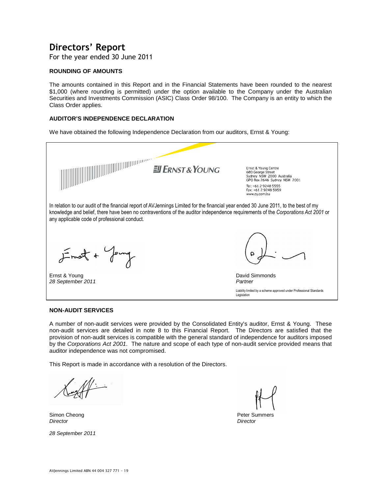For the year ended 30 June 2011

### **ROUNDING OF AMOUNTS**

The amounts contained in this Report and in the Financial Statements have been rounded to the nearest \$1,000 (where rounding is permitted) under the option available to the Company under the Australian Securities and Investments Commission (ASIC) Class Order 98/100. The Company is an entity to which the Class Order applies.

### **AUDITOR'S INDEPENDENCE DECLARATION**

We have obtained the following Independence Declaration from our auditors, Ernst & Young:

ELERNST& YOUNG Ernst & Young Centre Extracted<br>680 George Street<br>Sydney NSW 2000 Australia<br>GPO Box 2646 Sydney NSW 2001 Tel: +61 2 9248 5555 Fax: +61 2 9248 5959 www.ey.com/au In relation to our audit of the financial report of AVJennings Limited for the financial year ended 30 June 2011, to the best of my knowledge and belief, there have been no contraventions of the auditor independence requirements of the Corporations Act 2001 or any applicable code of professional conduct. Frank + Jemy Ernst & Young David Simmonds 28 September 2011 Liability limited by a scheme approved under Professional Standards Legislation

### **NON-AUDIT SERVICES**

A number of non-audit services were provided by the Consolidated Entity's auditor, Ernst & Young. These non-audit services are detailed in note 8 to this Financial Report. The Directors are satisfied that the provision of non-audit services is compatible with the general standard of independence for auditors imposed by the Corporations Act 2001. The nature and scope of each type of non-audit service provided means that auditor independence was not compromised.

This Report is made in accordance with a resolution of the Directors.

Simon Cheong **Peter Summers Peter Summers Peter Summers** Director Director

28 September 2011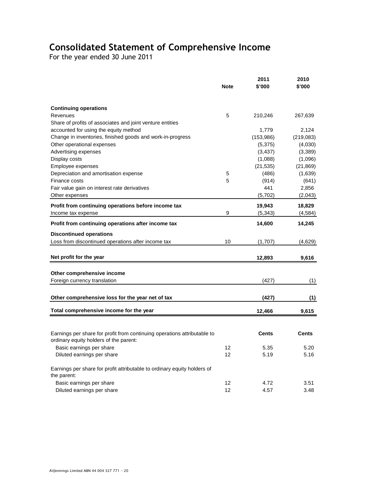# Consolidated Statement of Comprehensive Income

For the year ended 30 June 2011

|                                                                                                    | <b>Note</b> | 2011<br>\$'000      | 2010<br>\$'000     |
|----------------------------------------------------------------------------------------------------|-------------|---------------------|--------------------|
|                                                                                                    |             |                     |                    |
| <b>Continuing operations</b>                                                                       | 5           |                     |                    |
| Revenues                                                                                           |             | 210,246             | 267,639            |
| Share of profits of associates and joint venture entities<br>accounted for using the equity method |             | 1,779               | 2,124              |
| Change in inventories, finished goods and work-in-progress                                         |             | (153, 986)          | (219, 083)         |
| Other operational expenses                                                                         |             |                     | (4,030)            |
|                                                                                                    |             | (5,375)             |                    |
| Advertising expenses                                                                               |             | (3, 437)<br>(1,088) | (3,389)<br>(1,096) |
| Display costs                                                                                      |             |                     |                    |
| Employee expenses                                                                                  |             | (21, 535)           | (21, 869)          |
| Depreciation and amortisation expense                                                              | 5<br>5      | (486)               | (1,639)            |
| Finance costs                                                                                      |             | (914)               | (641)              |
| Fair value gain on interest rate derivatives                                                       |             | 441                 | 2,856              |
| Other expenses                                                                                     |             | (5,702)             | (2,043)            |
| Profit from continuing operations before income tax                                                |             | 19,943              | 18,829             |
| Income tax expense                                                                                 | 9           | (5, 343)            | (4, 584)           |
| Profit from continuing operations after income tax                                                 |             | 14,600              | 14,245             |
| <b>Discontinued operations</b>                                                                     |             |                     |                    |
| Loss from discontinued operations after income tax                                                 | 10          | (1,707)             | (4,629)            |
|                                                                                                    |             |                     |                    |
| Net profit for the year                                                                            |             | 12,893              | 9,616              |
|                                                                                                    |             |                     |                    |
| Other comprehensive income                                                                         |             |                     |                    |
| Foreign currency translation                                                                       |             | (427)               | (1)                |
| Other comprehensive loss for the year net of tax                                                   |             | (427)               | (1)                |
| Total comprehensive income for the year                                                            |             | 12,466              | 9,615              |
|                                                                                                    |             |                     |                    |
| Earnings per share for profit from continuing operations attributable to                           |             | Cents               | <b>Cents</b>       |
| ordinary equity holders of the parent:                                                             |             |                     |                    |
| Basic earnings per share                                                                           | 12          | 5.35                | 5.20               |
| Diluted earnings per share                                                                         | 12          | 5.19                | 5.16               |
| Earnings per share for profit attributable to ordinary equity holders of<br>the parent:            |             |                     |                    |
| Basic earnings per share                                                                           | 12          | 4.72                | 3.51               |
| Diluted earnings per share                                                                         | 12          | 4.57                | 3.48               |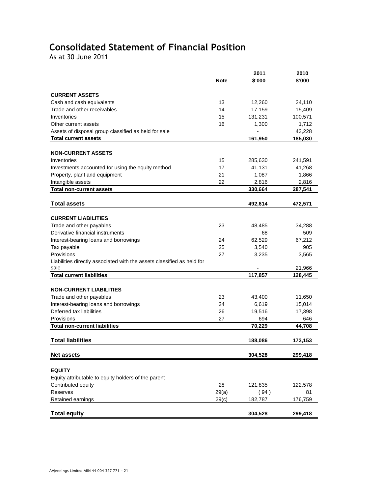# Consolidated Statement of Financial Position

As at 30 June 2011

|                                                                        |             | 2011    | 2010    |
|------------------------------------------------------------------------|-------------|---------|---------|
|                                                                        | <b>Note</b> | \$'000  | \$'000  |
| <b>CURRENT ASSETS</b>                                                  |             |         |         |
|                                                                        | 13          | 12,260  | 24,110  |
| Cash and cash equivalents<br>Trade and other receivables               |             |         | 15,409  |
|                                                                        | 14          | 17,159  |         |
| Inventories                                                            | 15          | 131,231 | 100,571 |
| Other current assets                                                   | 16          | 1,300   | 1,712   |
| Assets of disposal group classified as held for sale                   |             |         | 43,228  |
| <b>Total current assets</b>                                            |             | 161,950 | 185,030 |
| <b>NON-CURRENT ASSETS</b>                                              |             |         |         |
| Inventories                                                            | 15          | 285,630 | 241,591 |
|                                                                        | 17          |         |         |
| Investments accounted for using the equity method                      |             | 41,131  | 41,268  |
| Property, plant and equipment                                          | 21          | 1,087   | 1,866   |
| Intangible assets                                                      | 22          | 2,816   | 2,816   |
| <b>Total non-current assets</b>                                        |             | 330,664 | 287,541 |
| <b>Total assets</b>                                                    |             | 492,614 | 472,571 |
|                                                                        |             |         |         |
| <b>CURRENT LIABILITIES</b>                                             |             |         |         |
| Trade and other payables                                               | 23          | 48,485  | 34,288  |
| Derivative financial instruments                                       |             | 68      | 509     |
| Interest-bearing loans and borrowings                                  | 24          | 62,529  | 67,212  |
| Tax payable                                                            | 25          | 3,540   | 905     |
| Provisions                                                             | 27          | 3,235   | 3,565   |
| Liabilities directly associated with the assets classified as held for |             |         |         |
| sale                                                                   |             |         | 21,966  |
| <b>Total current liabilities</b>                                       |             | 117,857 | 128,445 |
|                                                                        |             |         |         |
| <b>NON-CURRENT LIABILITIES</b>                                         |             |         |         |
| Trade and other payables                                               | 23          | 43,400  | 11,650  |
| Interest-bearing loans and borrowings                                  | 24          | 6,619   | 15,014  |
| Deferred tax liabilities                                               | 26          | 19,516  | 17,398  |
| Provisions                                                             | 27          | 694     | 646     |
| <b>Total non-current liabilities</b>                                   |             | 70,229  | 44,708  |
|                                                                        |             |         |         |
| <b>Total liabilities</b>                                               |             | 188,086 | 173,153 |
| <b>Net assets</b>                                                      |             | 304,528 | 299,418 |
|                                                                        |             |         |         |
| <b>EQUITY</b>                                                          |             |         |         |
| Equity attributable to equity holders of the parent                    |             |         |         |
| Contributed equity                                                     | 28          | 121,835 | 122,578 |
| Reserves                                                               | 29(a)       | (94)    | 81      |
| Retained earnings                                                      | 29(c)       | 182,787 | 176,759 |
|                                                                        |             |         |         |
| <b>Total equity</b>                                                    |             | 304,528 | 299,418 |
|                                                                        |             |         |         |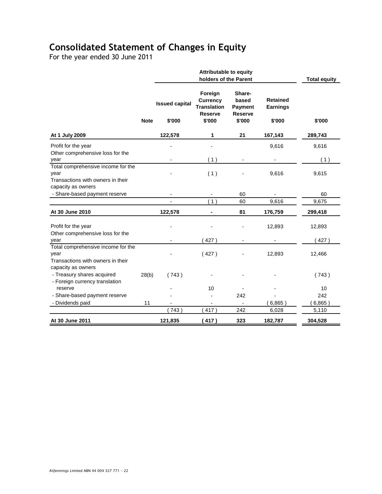# Consolidated Statement of Changes in Equity

For the year ended 30 June 2011

|                                                         |                                 | <b>Attributable to equity</b><br>holders of the Parent                       |                                                        |                                              |         | <b>Total equity</b> |
|---------------------------------------------------------|---------------------------------|------------------------------------------------------------------------------|--------------------------------------------------------|----------------------------------------------|---------|---------------------|
| <b>Note</b>                                             | <b>Issued capital</b><br>\$'000 | Foreign<br><b>Currency</b><br><b>Translation</b><br><b>Reserve</b><br>\$'000 | Share-<br>based<br>Payment<br><b>Reserve</b><br>\$'000 | <b>Retained</b><br><b>Earnings</b><br>\$'000 | \$'000  |                     |
| At 1 July 2009                                          |                                 | 122,578                                                                      | 1                                                      | 21                                           | 167,143 | 289,743             |
| Profit for the year                                     |                                 |                                                                              |                                                        |                                              | 9,616   | 9,616               |
| Other comprehensive loss for the                        |                                 |                                                                              |                                                        |                                              |         |                     |
| year<br>Total comprehensive income for the              |                                 |                                                                              | (1)                                                    |                                              |         | (1)                 |
| year                                                    |                                 |                                                                              | (1)                                                    |                                              | 9,616   | 9,615               |
| Transactions with owners in their                       |                                 |                                                                              |                                                        |                                              |         |                     |
| capacity as owners                                      |                                 |                                                                              |                                                        |                                              |         |                     |
| - Share-based payment reserve                           |                                 |                                                                              |                                                        | 60                                           |         | 60                  |
|                                                         |                                 |                                                                              | (1)                                                    | 60                                           | 9,616   | 9,675               |
| At 30 June 2010                                         |                                 | 122,578                                                                      |                                                        | 81                                           | 176,759 | 299,418             |
| Profit for the year                                     |                                 |                                                                              |                                                        |                                              | 12,893  | 12,893              |
| Other comprehensive loss for the                        |                                 |                                                                              |                                                        |                                              |         |                     |
| year                                                    |                                 |                                                                              | 427)                                                   |                                              |         | 427)                |
| Total comprehensive income for the                      |                                 |                                                                              |                                                        |                                              |         |                     |
| year                                                    |                                 |                                                                              | (427)                                                  |                                              | 12,893  | 12,466              |
| Transactions with owners in their<br>capacity as owners |                                 |                                                                              |                                                        |                                              |         |                     |
| - Treasury shares acquired                              | 28(b)                           | (743)                                                                        |                                                        |                                              |         | (743)               |
| - Foreign currency translation                          |                                 |                                                                              |                                                        |                                              |         |                     |
| reserve                                                 |                                 |                                                                              | 10                                                     |                                              |         | 10                  |
| - Share-based payment reserve                           |                                 |                                                                              |                                                        | 242                                          |         | 242                 |
| - Dividends paid                                        | 11                              | $\blacksquare$                                                               |                                                        |                                              | (6,865) | (6,865)             |
|                                                         |                                 | (743)                                                                        | 417)                                                   | 242                                          | 6,028   | 5,110               |
| At 30 June 2011                                         |                                 | 121,835                                                                      | 417)                                                   | 323                                          | 182,787 | 304,528             |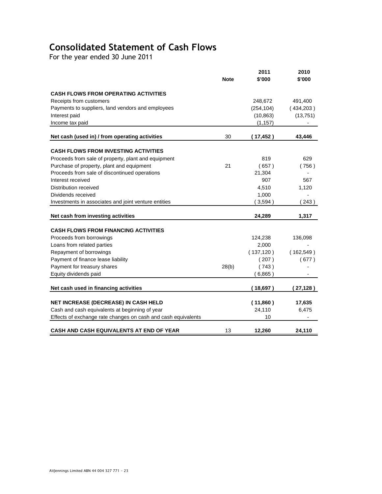# Consolidated Statement of Cash Flows

For the year ended 30 June 2011

|                                                               | <b>Note</b> | 2011<br>\$'000 | 2010<br>\$'000 |
|---------------------------------------------------------------|-------------|----------------|----------------|
| <b>CASH FLOWS FROM OPERATING ACTIVITIES</b>                   |             |                |                |
| Receipts from customers                                       |             | 248,672        | 491,400        |
| Payments to suppliers, land vendors and employees             |             | (254, 104)     | (434,203)      |
| Interest paid                                                 |             | (10, 863)      | (13, 751)      |
| Income tax paid                                               |             | (1, 157)       |                |
| Net cash (used in) / from operating activities                | 30          | 17,452         | 43,446         |
| <b>CASH FLOWS FROM INVESTING ACTIVITIES</b>                   |             |                |                |
| Proceeds from sale of property, plant and equipment           |             | 819            | 629            |
| Purchase of property, plant and equipment                     | 21          | (657)          | (756)          |
| Proceeds from sale of discontinued operations                 |             | 21,304         |                |
| Interest received                                             |             | 907            | 567            |
| Distribution received                                         |             | 4,510          | 1,120          |
| Dividends received                                            |             | 1,000          |                |
| Investments in associates and joint venture entities          |             | (3,594)        | 243)           |
| Net cash from investing activities                            |             | 24,289         | 1,317          |
|                                                               |             |                |                |
| <b>CASH FLOWS FROM FINANCING ACTIVITIES</b>                   |             |                |                |
| Proceeds from borrowings                                      |             | 124,238        | 136,098        |
| Loans from related parties                                    |             | 2,000          |                |
| Repayment of borrowings                                       |             | (137, 120)     | (162, 549)     |
| Payment of finance lease liability                            |             | (207)          | (677)          |
| Payment for treasury shares                                   | 28(b)       | (743)          |                |
| Equity dividends paid                                         |             | (6,865)        |                |
| Net cash used in financing activities                         |             | ( 18,697 )     | (27, 128)      |
| NET INCREASE (DECREASE) IN CASH HELD                          |             | (11,860)       | 17,635         |
| Cash and cash equivalents at beginning of year                |             | 24,110         | 6,475          |
| Effects of exchange rate changes on cash and cash equivalents |             | 10             |                |
| <b>CASH AND CASH EQUIVALENTS AT END OF YEAR</b>               | 13          | 12,260         | 24,110         |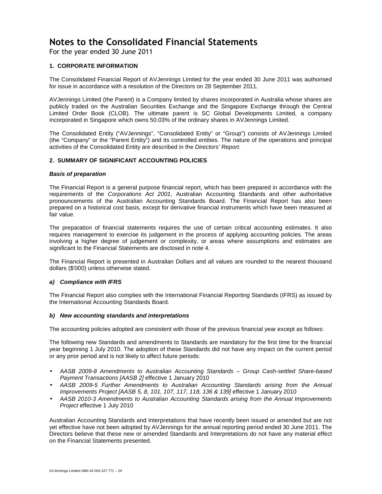For the year ended 30 June 2011

### **1. CORPORATE INFORMATION**

The Consolidated Financial Report of AVJennings Limited for the year ended 30 June 2011 was authorised for issue in accordance with a resolution of the Directors on 28 September 2011.

AVJennings Limited (the Parent) is a Company limited by shares incorporated in Australia whose shares are publicly traded on the Australian Securities Exchange and the Singapore Exchange through the Central Limited Order Book (CLOB). The ultimate parent is SC Global Developments Limited, a company incorporated in Singapore which owns 50.03% of the ordinary shares in AVJennings Limited.

The Consolidated Entity ("AVJennings", "Consolidated Entity" or "Group") consists of AVJennings Limited (the "Company" or the "Parent Entity") and its controlled entities. The nature of the operations and principal activities of the Consolidated Entity are described in the Directors' Report.

### **2. SUMMARY OF SIGNIFICANT ACCOUNTING POLICIES**

### **Basis of preparation**

The Financial Report is a general purpose financial report, which has been prepared in accordance with the requirements of the Corporations Act 2001, Australian Accounting Standards and other authoritative pronouncements of the Australian Accounting Standards Board. The Financial Report has also been prepared on a historical cost basis, except for derivative financial instruments which have been measured at fair value.

The preparation of financial statements requires the use of certain critical accounting estimates. It also requires management to exercise its judgement in the process of applying accounting policies. The areas involving a higher degree of judgement or complexity, or areas where assumptions and estimates are significant to the Financial Statements are disclosed in note 4.

The Financial Report is presented in Australian Dollars and all values are rounded to the nearest thousand dollars (\$'000) unless otherwise stated.

### **a) Compliance with IFRS**

The Financial Report also complies with the International Financial Reporting Standards (IFRS) as issued by the International Accounting Standards Board.

### **b) New accounting standards and interpretations**

The accounting policies adopted are consistent with those of the previous financial year except as follows:

The following new Standards and amendments to Standards are mandatory for the first time for the financial year beginning 1 July 2010. The adoption of these Standards did not have any impact on the current period or any prior period and is not likely to affect future periods:

- AASB 2009-8 Amendments to Australian Accounting Standards Group Cash-settled Share-based Payment Transactions [AASB 2] effective 1 January 2010
- AASB 2009-5 Further Amendments to Australian Accounting Standards arising from the Annual Improvements Project [AASB 5, 8, 101, 107, 117, 118, 136 & 139] effective 1 January 2010
- AASB 2010-3 Amendments to Australian Accounting Standards arising from the Annual Improvements Project effective 1 July 2010

Australian Accounting Standards and Interpretations that have recently been issued or amended but are not yet effective have not been adopted by AVJennings for the annual reporting period ended 30 June 2011. The Directors believe that these new or amended Standards and Interpretations do not have any material effect on the Financial Statements presented.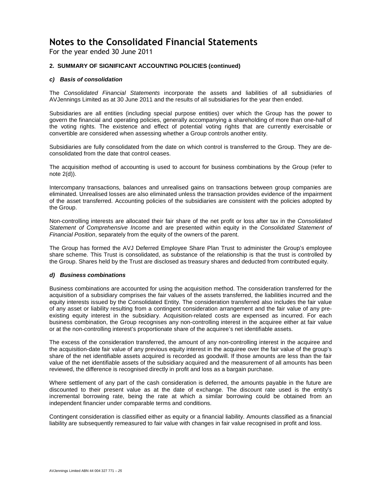For the year ended 30 June 2011

### **2. SUMMARY OF SIGNIFICANT ACCOUNTING POLICIES (continued)**

### **c) Basis of consolidation**

The Consolidated Financial Statements incorporate the assets and liabilities of all subsidiaries of AVJennings Limited as at 30 June 2011 and the results of all subsidiaries for the year then ended.

Subsidiaries are all entities (including special purpose entities) over which the Group has the power to govern the financial and operating policies, generally accompanying a shareholding of more than one-half of the voting rights. The existence and effect of potential voting rights that are currently exercisable or convertible are considered when assessing whether a Group controls another entity.

Subsidiaries are fully consolidated from the date on which control is transferred to the Group. They are deconsolidated from the date that control ceases.

The acquisition method of accounting is used to account for business combinations by the Group (refer to note 2(d)).

Intercompany transactions, balances and unrealised gains on transactions between group companies are eliminated. Unrealised losses are also eliminated unless the transaction provides evidence of the impairment of the asset transferred. Accounting policies of the subsidiaries are consistent with the policies adopted by the Group.

Non-controlling interests are allocated their fair share of the net profit or loss after tax in the Consolidated Statement of Comprehensive Income and are presented within equity in the Consolidated Statement of Financial Position, separately from the equity of the owners of the parent.

The Group has formed the AVJ Deferred Employee Share Plan Trust to administer the Group's employee share scheme. This Trust is consolidated, as substance of the relationship is that the trust is controlled by the Group. Shares held by the Trust are disclosed as treasury shares and deducted from contributed equity.

### **d) Business combinations**

Business combinations are accounted for using the acquisition method. The consideration transferred for the acquisition of a subsidiary comprises the fair values of the assets transferred, the liabilities incurred and the equity interests issued by the Consolidated Entity. The consideration transferred also includes the fair value of any asset or liability resulting from a contingent consideration arrangement and the fair value of any preexisting equity interest in the subsidiary. Acquisition-related costs are expensed as incurred. For each business combination, the Group recognises any non-controlling interest in the acquiree either at fair value or at the non-controlling interest's proportionate share of the acquiree's net identifiable assets.

The excess of the consideration transferred, the amount of any non-controlling interest in the acquiree and the acquisition-date fair value of any previous equity interest in the acquiree over the fair value of the group's share of the net identifiable assets acquired is recorded as goodwill. If those amounts are less than the fair value of the net identifiable assets of the subsidiary acquired and the measurement of all amounts has been reviewed, the difference is recognised directly in profit and loss as a bargain purchase.

Where settlement of any part of the cash consideration is deferred, the amounts payable in the future are discounted to their present value as at the date of exchange. The discount rate used is the entity's incremental borrowing rate, being the rate at which a similar borrowing could be obtained from an independent financier under comparable terms and conditions.

Contingent consideration is classified either as equity or a financial liability. Amounts classified as a financial liability are subsequently remeasured to fair value with changes in fair value recognised in profit and loss.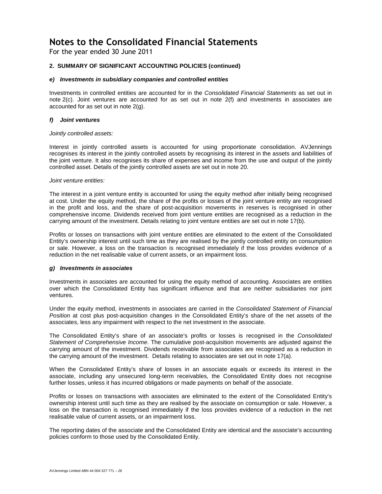For the year ended 30 June 2011

### **2. SUMMARY OF SIGNIFICANT ACCOUNTING POLICIES (continued)**

### **e) Investments in subsidiary companies and controlled entities**

Investments in controlled entities are accounted for in the Consolidated Financial Statements as set out in note 2(c). Joint ventures are accounted for as set out in note 2(f) and investments in associates are accounted for as set out in note 2(g).

### **f) Joint ventures**

### Jointly controlled assets:

Interest in jointly controlled assets is accounted for using proportionate consolidation. AVJennings recognises its interest in the jointly controlled assets by recognising its interest in the assets and liabilities of the joint venture. It also recognises its share of expenses and income from the use and output of the jointly controlled asset. Details of the jointly controlled assets are set out in note 20.

### Joint venture entities:

The interest in a joint venture entity is accounted for using the equity method after initially being recognised at cost. Under the equity method, the share of the profits or losses of the joint venture entity are recognised in the profit and loss, and the share of post-acquisition movements in reserves is recognised in other comprehensive income. Dividends received from joint venture entities are recognised as a reduction in the carrying amount of the investment. Details relating to joint venture entities are set out in note 17(b).

Profits or losses on transactions with joint venture entities are eliminated to the extent of the Consolidated Entity's ownership interest until such time as they are realised by the jointly controlled entity on consumption or sale. However, a loss on the transaction is recognised immediately if the loss provides evidence of a reduction in the net realisable value of current assets, or an impairment loss.

### **g) Investments in associates**

Investments in associates are accounted for using the equity method of accounting. Associates are entities over which the Consolidated Entity has significant influence and that are neither subsidiaries nor joint ventures.

Under the equity method, investments in associates are carried in the Consolidated Statement of Financial Position at cost plus post-acquisition changes in the Consolidated Entity's share of the net assets of the associates, less any impairment with respect to the net investment in the associate.

The Consolidated Entity's share of an associate's profits or losses is recognised in the Consolidated Statement of Comprehensive Income. The cumulative post-acquisition movements are adjusted against the carrying amount of the investment. Dividends receivable from associates are recognised as a reduction in the carrying amount of the investment. Details relating to associates are set out in note 17(a).

When the Consolidated Entity's share of losses in an associate equals or exceeds its interest in the associate, including any unsecured long-term receivables, the Consolidated Entity does not recognise further losses, unless it has incurred obligations or made payments on behalf of the associate.

Profits or losses on transactions with associates are eliminated to the extent of the Consolidated Entity's ownership interest until such time as they are realised by the associate on consumption or sale. However, a loss on the transaction is recognised immediately if the loss provides evidence of a reduction in the net realisable value of current assets, or an impairment loss.

The reporting dates of the associate and the Consolidated Entity are identical and the associate's accounting policies conform to those used by the Consolidated Entity.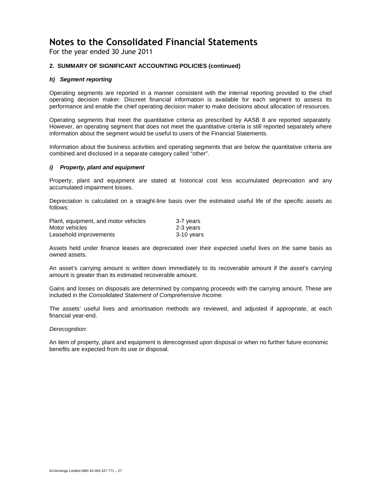For the year ended 30 June 2011

### **2. SUMMARY OF SIGNIFICANT ACCOUNTING POLICIES (continued)**

### **h) Segment reporting**

Operating segments are reported in a manner consistent with the internal reporting provided to the chief operating decision maker. Discreet financial information is available for each segment to assess its performance and enable the chief operating decision maker to make decisions about allocation of resources.

Operating segments that meet the quantitative criteria as prescribed by AASB 8 are reported separately. However, an operating segment that does not meet the quantitative criteria is still reported separately where information about the segment would be useful to users of the Financial Statements.

Information about the business activities and operating segments that are below the quantitative criteria are combined and disclosed in a separate category called "other".

### **i) Property, plant and equipment**

Property, plant and equipment are stated at historical cost less accumulated depreciation and any accumulated impairment losses.

Depreciation is calculated on a straight-line basis over the estimated useful life of the specific assets as follows:

| Plant, equipment, and motor vehicles | 3-7 years  |
|--------------------------------------|------------|
| Motor vehicles                       | 2-3 years  |
| Leasehold improvements               | 3-10 years |

Assets held under finance leases are depreciated over their expected useful lives on the same basis as owned assets.

An asset's carrying amount is written down immediately to its recoverable amount if the asset's carrying amount is greater than its estimated recoverable amount.

Gains and losses on disposals are determined by comparing proceeds with the carrying amount. These are included in the Consolidated Statement of Comprehensive Income.

The assets' useful lives and amortisation methods are reviewed, and adjusted if appropriate, at each financial year-end.

### Derecognition:

An item of property, plant and equipment is derecognised upon disposal or when no further future economic benefits are expected from its use or disposal.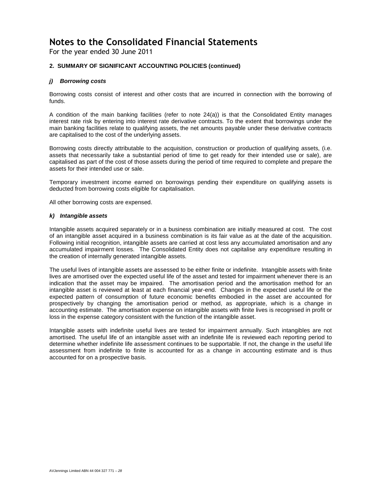For the year ended 30 June 2011

### **2. SUMMARY OF SIGNIFICANT ACCOUNTING POLICIES (continued)**

### **j) Borrowing costs**

Borrowing costs consist of interest and other costs that are incurred in connection with the borrowing of funds.

A condition of the main banking facilities (refer to note 24(a)) is that the Consolidated Entity manages interest rate risk by entering into interest rate derivative contracts. To the extent that borrowings under the main banking facilities relate to qualifying assets, the net amounts payable under these derivative contracts are capitalised to the cost of the underlying assets.

Borrowing costs directly attributable to the acquisition, construction or production of qualifying assets, (i.e. assets that necessarily take a substantial period of time to get ready for their intended use or sale), are capitalised as part of the cost of those assets during the period of time required to complete and prepare the assets for their intended use or sale.

Temporary investment income earned on borrowings pending their expenditure on qualifying assets is deducted from borrowing costs eligible for capitalisation.

All other borrowing costs are expensed.

### **k) Intangible assets**

Intangible assets acquired separately or in a business combination are initially measured at cost. The cost of an intangible asset acquired in a business combination is its fair value as at the date of the acquisition. Following initial recognition, intangible assets are carried at cost less any accumulated amortisation and any accumulated impairment losses. The Consolidated Entity does not capitalise any expenditure resulting in the creation of internally generated intangible assets.

The useful lives of intangible assets are assessed to be either finite or indefinite. Intangible assets with finite lives are amortised over the expected useful life of the asset and tested for impairment whenever there is an indication that the asset may be impaired. The amortisation period and the amortisation method for an intangible asset is reviewed at least at each financial year-end. Changes in the expected useful life or the expected pattern of consumption of future economic benefits embodied in the asset are accounted for prospectively by changing the amortisation period or method, as appropriate, which is a change in accounting estimate. The amortisation expense on intangible assets with finite lives is recognised in profit or loss in the expense category consistent with the function of the intangible asset.

Intangible assets with indefinite useful lives are tested for impairment annually. Such intangibles are not amortised. The useful life of an intangible asset with an indefinite life is reviewed each reporting period to determine whether indefinite life assessment continues to be supportable. If not, the change in the useful life assessment from indefinite to finite is accounted for as a change in accounting estimate and is thus accounted for on a prospective basis.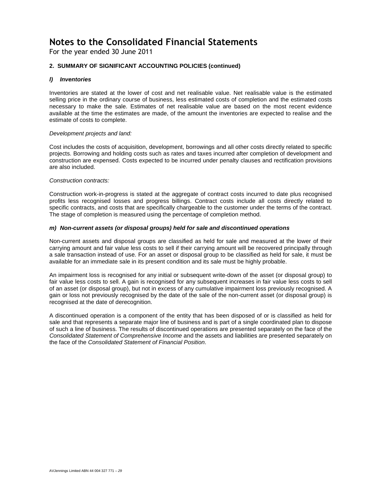For the year ended 30 June 2011

### **2. SUMMARY OF SIGNIFICANT ACCOUNTING POLICIES (continued)**

### **l) Inventories**

Inventories are stated at the lower of cost and net realisable value. Net realisable value is the estimated selling price in the ordinary course of business, less estimated costs of completion and the estimated costs necessary to make the sale. Estimates of net realisable value are based on the most recent evidence available at the time the estimates are made, of the amount the inventories are expected to realise and the estimate of costs to complete.

### Development projects and land:

Cost includes the costs of acquisition, development, borrowings and all other costs directly related to specific projects. Borrowing and holding costs such as rates and taxes incurred after completion of development and construction are expensed. Costs expected to be incurred under penalty clauses and rectification provisions are also included.

### Construction contracts:

Construction work-in-progress is stated at the aggregate of contract costs incurred to date plus recognised profits less recognised losses and progress billings. Contract costs include all costs directly related to specific contracts, and costs that are specifically chargeable to the customer under the terms of the contract. The stage of completion is measured using the percentage of completion method.

### **m) Non-current assets (or disposal groups) held for sale and discontinued operations**

Non-current assets and disposal groups are classified as held for sale and measured at the lower of their carrying amount and fair value less costs to sell if their carrying amount will be recovered principally through a sale transaction instead of use. For an asset or disposal group to be classified as held for sale, it must be available for an immediate sale in its present condition and its sale must be highly probable.

An impairment loss is recognised for any initial or subsequent write-down of the asset (or disposal group) to fair value less costs to sell. A gain is recognised for any subsequent increases in fair value less costs to sell of an asset (or disposal group), but not in excess of any cumulative impairment loss previously recognised. A gain or loss not previously recognised by the date of the sale of the non-current asset (or disposal group) is recognised at the date of derecognition.

A discontinued operation is a component of the entity that has been disposed of or is classified as held for sale and that represents a separate major line of business and is part of a single coordinated plan to dispose of such a line of business. The results of discontinued operations are presented separately on the face of the Consolidated Statement of Comprehensive Income and the assets and liabilities are presented separately on the face of the Consolidated Statement of Financial Position.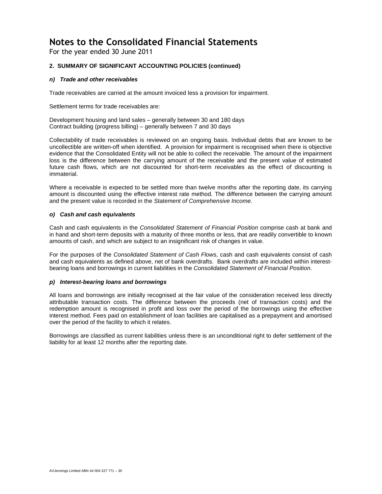For the year ended 30 June 2011

### **2. SUMMARY OF SIGNIFICANT ACCOUNTING POLICIES (continued)**

### **n) Trade and other receivables**

Trade receivables are carried at the amount invoiced less a provision for impairment.

Settlement terms for trade receivables are:

Development housing and land sales – generally between 30 and 180 days Contract building (progress billing) – generally between 7 and 30 days

Collectability of trade receivables is reviewed on an ongoing basis. Individual debts that are known to be uncollectible are written-off when identified. A provision for impairment is recognised when there is objective evidence that the Consolidated Entity will not be able to collect the receivable. The amount of the impairment loss is the difference between the carrying amount of the receivable and the present value of estimated future cash flows, which are not discounted for short-term receivables as the effect of discounting is immaterial.

Where a receivable is expected to be settled more than twelve months after the reporting date, its carrying amount is discounted using the effective interest rate method. The difference between the carrying amount and the present value is recorded in the Statement of Comprehensive Income.

### **o) Cash and cash equivalents**

Cash and cash equivalents in the Consolidated Statement of Financial Position comprise cash at bank and in hand and short-term deposits with a maturity of three months or less, that are readily convertible to known amounts of cash, and which are subject to an insignificant risk of changes in value.

For the purposes of the Consolidated Statement of Cash Flows, cash and cash equivalents consist of cash and cash equivalents as defined above, net of bank overdrafts. Bank overdrafts are included within interestbearing loans and borrowings in current liabilities in the Consolidated Statement of Financial Position.

### **p) Interest-bearing loans and borrowings**

All loans and borrowings are initially recognised at the fair value of the consideration received less directly attributable transaction costs. The difference between the proceeds (net of transaction costs) and the redemption amount is recognised in profit and loss over the period of the borrowings using the effective interest method. Fees paid on establishment of loan facilities are capitalised as a prepayment and amortised over the period of the facility to which it relates.

Borrowings are classified as current liabilities unless there is an unconditional right to defer settlement of the liability for at least 12 months after the reporting date.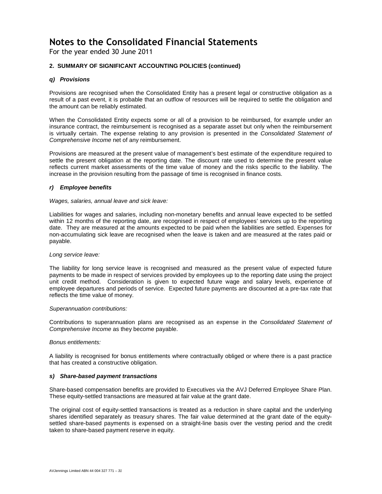For the year ended 30 June 2011

### **2. SUMMARY OF SIGNIFICANT ACCOUNTING POLICIES (continued)**

### **q) Provisions**

Provisions are recognised when the Consolidated Entity has a present legal or constructive obligation as a result of a past event, it is probable that an outflow of resources will be required to settle the obligation and the amount can be reliably estimated.

When the Consolidated Entity expects some or all of a provision to be reimbursed, for example under an insurance contract, the reimbursement is recognised as a separate asset but only when the reimbursement is virtually certain. The expense relating to any provision is presented in the Consolidated Statement of Comprehensive Income net of any reimbursement.

Provisions are measured at the present value of management's best estimate of the expenditure required to settle the present obligation at the reporting date. The discount rate used to determine the present value reflects current market assessments of the time value of money and the risks specific to the liability. The increase in the provision resulting from the passage of time is recognised in finance costs.

### **r) Employee benefits**

### Wages, salaries, annual leave and sick leave:

Liabilities for wages and salaries, including non-monetary benefits and annual leave expected to be settled within 12 months of the reporting date, are recognised in respect of employees' services up to the reporting date. They are measured at the amounts expected to be paid when the liabilities are settled. Expenses for non-accumulating sick leave are recognised when the leave is taken and are measured at the rates paid or payable.

### Long service leave:

The liability for long service leave is recognised and measured as the present value of expected future payments to be made in respect of services provided by employees up to the reporting date using the project unit credit method. Consideration is given to expected future wage and salary levels, experience of employee departures and periods of service. Expected future payments are discounted at a pre-tax rate that reflects the time value of money.

### Superannuation contributions:

Contributions to superannuation plans are recognised as an expense in the Consolidated Statement of Comprehensive Income as they become payable.

### Bonus entitlements:

A liability is recognised for bonus entitlements where contractually obliged or where there is a past practice that has created a constructive obligation.

### **s) Share-based payment transactions**

Share-based compensation benefits are provided to Executives via the AVJ Deferred Employee Share Plan. These equity-settled transactions are measured at fair value at the grant date.

The original cost of equity-settled transactions is treated as a reduction in share capital and the underlying shares identified separately as treasury shares. The fair value determined at the grant date of the equitysettled share-based payments is expensed on a straight-line basis over the vesting period and the credit taken to share-based payment reserve in equity.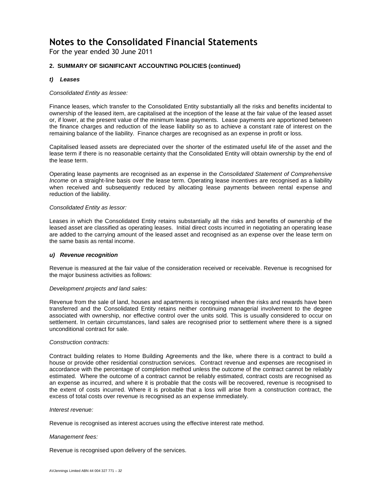For the year ended 30 June 2011

### **2. SUMMARY OF SIGNIFICANT ACCOUNTING POLICIES (continued)**

### **t) Leases**

### Consolidated Entity as lessee:

Finance leases, which transfer to the Consolidated Entity substantially all the risks and benefits incidental to ownership of the leased item, are capitalised at the inception of the lease at the fair value of the leased asset or, if lower, at the present value of the minimum lease payments. Lease payments are apportioned between the finance charges and reduction of the lease liability so as to achieve a constant rate of interest on the remaining balance of the liability. Finance charges are recognised as an expense in profit or loss.

Capitalised leased assets are depreciated over the shorter of the estimated useful life of the asset and the lease term if there is no reasonable certainty that the Consolidated Entity will obtain ownership by the end of the lease term.

Operating lease payments are recognised as an expense in the Consolidated Statement of Comprehensive Income on a straight-line basis over the lease term. Operating lease incentives are recognised as a liability when received and subsequently reduced by allocating lease payments between rental expense and reduction of the liability.

### Consolidated Entity as lessor:

Leases in which the Consolidated Entity retains substantially all the risks and benefits of ownership of the leased asset are classified as operating leases. Initial direct costs incurred in negotiating an operating lease are added to the carrying amount of the leased asset and recognised as an expense over the lease term on the same basis as rental income.

### **u) Revenue recognition**

Revenue is measured at the fair value of the consideration received or receivable. Revenue is recognised for the major business activities as follows:

### Development projects and land sales:

Revenue from the sale of land, houses and apartments is recognised when the risks and rewards have been transferred and the Consolidated Entity retains neither continuing managerial involvement to the degree associated with ownership, nor effective control over the units sold. This is usually considered to occur on settlement. In certain circumstances, land sales are recognised prior to settlement where there is a signed unconditional contract for sale.

### Construction contracts:

Contract building relates to Home Building Agreements and the like, where there is a contract to build a house or provide other residential construction services. Contract revenue and expenses are recognised in accordance with the percentage of completion method unless the outcome of the contract cannot be reliably estimated. Where the outcome of a contract cannot be reliably estimated, contract costs are recognised as an expense as incurred, and where it is probable that the costs will be recovered, revenue is recognised to the extent of costs incurred. Where it is probable that a loss will arise from a construction contract, the excess of total costs over revenue is recognised as an expense immediately.

### Interest revenue:

Revenue is recognised as interest accrues using the effective interest rate method.

### Management fees:

Revenue is recognised upon delivery of the services.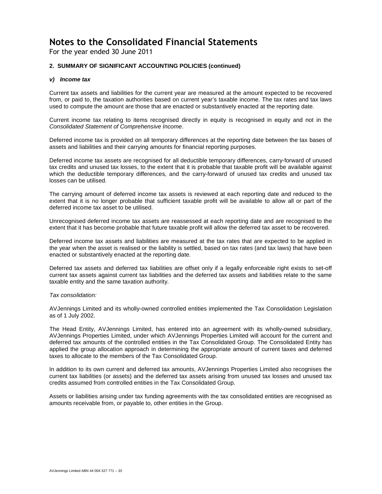For the year ended 30 June 2011

### **2. SUMMARY OF SIGNIFICANT ACCOUNTING POLICIES (continued)**

### **v) Income tax**

Current tax assets and liabilities for the current year are measured at the amount expected to be recovered from, or paid to, the taxation authorities based on current year's taxable income. The tax rates and tax laws used to compute the amount are those that are enacted or substantively enacted at the reporting date.

Current income tax relating to items recognised directly in equity is recognised in equity and not in the Consolidated Statement of Comprehensive Income.

Deferred income tax is provided on all temporary differences at the reporting date between the tax bases of assets and liabilities and their carrying amounts for financial reporting purposes.

Deferred income tax assets are recognised for all deductible temporary differences, carry-forward of unused tax credits and unused tax losses, to the extent that it is probable that taxable profit will be available against which the deductible temporary differences, and the carry-forward of unused tax credits and unused tax losses can be utilised.

The carrying amount of deferred income tax assets is reviewed at each reporting date and reduced to the extent that it is no longer probable that sufficient taxable profit will be available to allow all or part of the deferred income tax asset to be utilised.

Unrecognised deferred income tax assets are reassessed at each reporting date and are recognised to the extent that it has become probable that future taxable profit will allow the deferred tax asset to be recovered.

Deferred income tax assets and liabilities are measured at the tax rates that are expected to be applied in the year when the asset is realised or the liability is settled, based on tax rates (and tax laws) that have been enacted or substantively enacted at the reporting date.

Deferred tax assets and deferred tax liabilities are offset only if a legally enforceable right exists to set-off current tax assets against current tax liabilities and the deferred tax assets and liabilities relate to the same taxable entity and the same taxation authority.

### Tax consolidation:

AVJennings Limited and its wholly-owned controlled entities implemented the Tax Consolidation Legislation as of 1 July 2002.

The Head Entity, AVJennings Limited, has entered into an agreement with its wholly-owned subsidiary, AVJennings Properties Limited, under which AVJennings Properties Limited will account for the current and deferred tax amounts of the controlled entities in the Tax Consolidated Group. The Consolidated Entity has applied the group allocation approach in determining the appropriate amount of current taxes and deferred taxes to allocate to the members of the Tax Consolidated Group.

In addition to its own current and deferred tax amounts, AVJennings Properties Limited also recognises the current tax liabilities (or assets) and the deferred tax assets arising from unused tax losses and unused tax credits assumed from controlled entities in the Tax Consolidated Group.

Assets or liabilities arising under tax funding agreements with the tax consolidated entities are recognised as amounts receivable from, or payable to, other entities in the Group.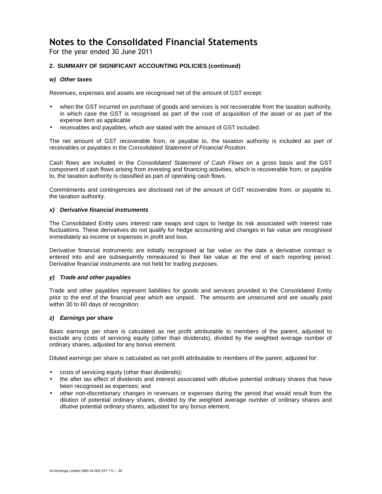For the year ended 30 June 2011

### **2. SUMMARY OF SIGNIFICANT ACCOUNTING POLICIES (continued)**

### **w) Other taxes**

Revenues, expenses and assets are recognised net of the amount of GST except:

- when the GST incurred on purchase of goods and services is not recoverable from the taxation authority, in which case the GST is recognised as part of the cost of acquisition of the asset or as part of the expense item as applicable
- receivables and payables, which are stated with the amount of GST included.

The net amount of GST recoverable from, or payable to, the taxation authority is included as part of receivables or payables in the Consolidated Statement of Financial Position.

Cash flows are included in the Consolidated Statement of Cash Flows on a gross basis and the GST component of cash flows arising from investing and financing activities, which is recoverable from, or payable to, the taxation authority is classified as part of operating cash flows.

Commitments and contingencies are disclosed net of the amount of GST recoverable from, or payable to, the taxation authority.

### **x) Derivative financial instruments**

The Consolidated Entity uses interest rate swaps and caps to hedge its risk associated with interest rate fluctuations. These derivatives do not qualify for hedge accounting and changes in fair value are recognised immediately as income or expenses in profit and loss.

Derivative financial instruments are initially recognised at fair value on the date a derivative contract is entered into and are subsequently remeasured to their fair value at the end of each reporting period. Derivative financial instruments are not held for trading purposes.

### **y) Trade and other payables**

Trade and other payables represent liabilities for goods and services provided to the Consolidated Entity prior to the end of the financial year which are unpaid. The amounts are unsecured and are usually paid within 30 to 60 days of recognition.

### **z) Earnings per share**

Basic earnings per share is calculated as net profit attributable to members of the parent, adjusted to exclude any costs of servicing equity (other than dividends), divided by the weighted average number of ordinary shares, adjusted for any bonus element.

Diluted earnings per share is calculated as net profit attributable to members of the parent, adjusted for:

- costs of servicing equity (other than dividends);
- the after tax effect of dividends and interest associated with dilutive potential ordinary shares that have been recognised as expenses; and
- other non-discretionary changes in revenues or expenses during the period that would result from the dilution of potential ordinary shares, divided by the weighted average number of ordinary shares and dilutive potential ordinary shares, adjusted for any bonus element.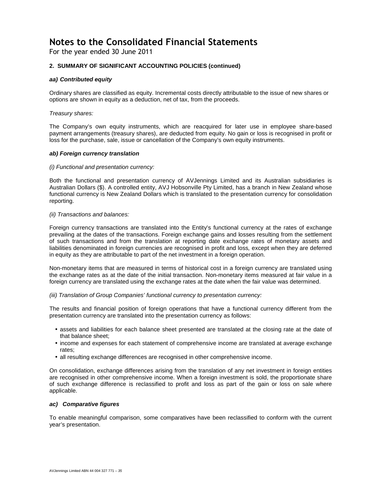For the year ended 30 June 2011

### **2. SUMMARY OF SIGNIFICANT ACCOUNTING POLICIES (continued)**

### **aa) Contributed equity**

Ordinary shares are classified as equity. Incremental costs directly attributable to the issue of new shares or options are shown in equity as a deduction, net of tax, from the proceeds.

### Treasury shares:

The Company's own equity instruments, which are reacquired for later use in employee share-based payment arrangements (treasury shares), are deducted from equity. No gain or loss is recognised in profit or loss for the purchase, sale, issue or cancellation of the Company's own equity instruments.

### **ab) Foreign currency translation**

### (i) Functional and presentation currency:

Both the functional and presentation currency of AVJennings Limited and its Australian subsidiaries is Australian Dollars (\$). A controlled entity, AVJ Hobsonville Pty Limited, has a branch in New Zealand whose functional currency is New Zealand Dollars which is translated to the presentation currency for consolidation reporting.

### (ii) Transactions and balances:

Foreign currency transactions are translated into the Entity's functional currency at the rates of exchange prevailing at the dates of the transactions. Foreign exchange gains and losses resulting from the settlement of such transactions and from the translation at reporting date exchange rates of monetary assets and liabilities denominated in foreign currencies are recognised in profit and loss, except when they are deferred in equity as they are attributable to part of the net investment in a foreign operation.

Non-monetary items that are measured in terms of historical cost in a foreign currency are translated using the exchange rates as at the date of the initial transaction. Non-monetary items measured at fair value in a foreign currency are translated using the exchange rates at the date when the fair value was determined.

(iii) Translation of Group Companies' functional currency to presentation currency:

The results and financial position of foreign operations that have a functional currency different from the presentation currency are translated into the presentation currency as follows:

- assets and liabilities for each balance sheet presented are translated at the closing rate at the date of that balance sheet;
- income and expenses for each statement of comprehensive income are translated at average exchange rates;
- all resulting exchange differences are recognised in other comprehensive income.

On consolidation, exchange differences arising from the translation of any net investment in foreign entities are recognised in other comprehensive income. When a foreign investment is sold, the proportionate share of such exchange difference is reclassified to profit and loss as part of the gain or loss on sale where applicable.

### **ac) Comparative figures**

To enable meaningful comparison, some comparatives have been reclassified to conform with the current year's presentation.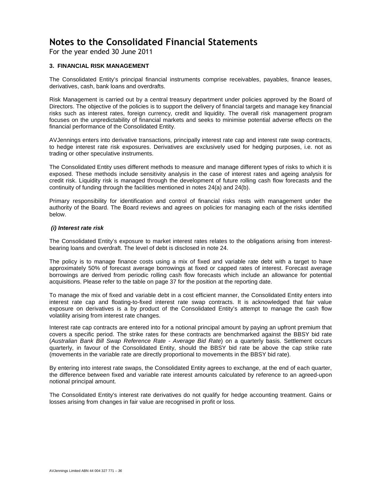For the year ended 30 June 2011

### **3. FINANCIAL RISK MANAGEMENT**

The Consolidated Entity's principal financial instruments comprise receivables, payables, finance leases, derivatives, cash, bank loans and overdrafts.

Risk Management is carried out by a central treasury department under policies approved by the Board of Directors. The objective of the policies is to support the delivery of financial targets and manage key financial risks such as interest rates, foreign currency, credit and liquidity. The overall risk management program focuses on the unpredictability of financial markets and seeks to minimise potential adverse effects on the financial performance of the Consolidated Entity.

AVJennings enters into derivative transactions, principally interest rate cap and interest rate swap contracts, to hedge interest rate risk exposures. Derivatives are exclusively used for hedging purposes, i.e. not as trading or other speculative instruments.

The Consolidated Entity uses different methods to measure and manage different types of risks to which it is exposed. These methods include sensitivity analysis in the case of interest rates and ageing analysis for credit risk. Liquidity risk is managed through the development of future rolling cash flow forecasts and the continuity of funding through the facilities mentioned in notes 24(a) and 24(b).

Primary responsibility for identification and control of financial risks rests with management under the authority of the Board. The Board reviews and agrees on policies for managing each of the risks identified below.

### **(i) Interest rate risk**

The Consolidated Entity's exposure to market interest rates relates to the obligations arising from interestbearing loans and overdraft. The level of debt is disclosed in note 24.

The policy is to manage finance costs using a mix of fixed and variable rate debt with a target to have approximately 50% of forecast average borrowings at fixed or capped rates of interest. Forecast average borrowings are derived from periodic rolling cash flow forecasts which include an allowance for potential acquisitions. Please refer to the table on page 37 for the position at the reporting date.

To manage the mix of fixed and variable debt in a cost efficient manner, the Consolidated Entity enters into interest rate cap and floating-to-fixed interest rate swap contracts. It is acknowledged that fair value exposure on derivatives is a by product of the Consolidated Entity's attempt to manage the cash flow volatility arising from interest rate changes.

Interest rate cap contracts are entered into for a notional principal amount by paying an upfront premium that covers a specific period. The strike rates for these contracts are benchmarked against the BBSY bid rate (Australian Bank Bill Swap Reference Rate - Average Bid Rate) on a quarterly basis. Settlement occurs quarterly, in favour of the Consolidated Entity, should the BBSY bid rate be above the cap strike rate (movements in the variable rate are directly proportional to movements in the BBSY bid rate).

By entering into interest rate swaps, the Consolidated Entity agrees to exchange, at the end of each quarter, the difference between fixed and variable rate interest amounts calculated by reference to an agreed-upon notional principal amount.

The Consolidated Entity's interest rate derivatives do not qualify for hedge accounting treatment. Gains or losses arising from changes in fair value are recognised in profit or loss.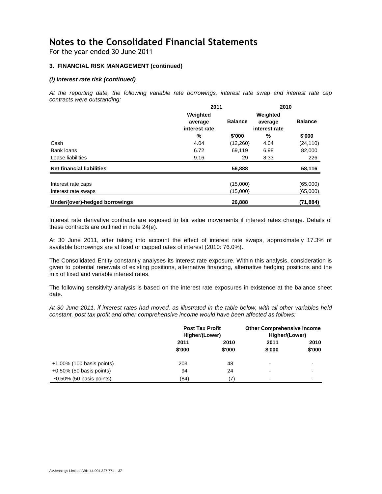For the year ended 30 June 2011

### **3. FINANCIAL RISK MANAGEMENT (continued)**

### **(i) Interest rate risk (continued)**

At the reporting date, the following variable rate borrowings, interest rate swap and interest rate cap contracts were outstanding:

|                                  | 2011                                 | 2010           |                                      |           |  |
|----------------------------------|--------------------------------------|----------------|--------------------------------------|-----------|--|
|                                  | Weighted<br>average<br>interest rate | <b>Balance</b> | Weighted<br>average<br>interest rate |           |  |
|                                  | %                                    | \$'000         | %                                    | \$'000    |  |
| Cash                             | 4.04                                 | (12, 260)      | 4.04                                 | (24, 110) |  |
| Bank loans                       | 6.72                                 | 69,119         | 6.98                                 | 82,000    |  |
| Lease liabilities                | 9.16                                 | 29             | 8.33                                 | 226       |  |
| <b>Net financial liabilities</b> |                                      | 56,888         |                                      | 58,116    |  |
| Interest rate caps               |                                      | (15,000)       |                                      | (65,000)  |  |
| Interest rate swaps              |                                      | (15,000)       |                                      | (65,000)  |  |
| Under/(over)-hedged borrowings   |                                      | 26,888         |                                      | (71,884)  |  |

Interest rate derivative contracts are exposed to fair value movements if interest rates change. Details of these contracts are outlined in note 24(e).

At 30 June 2011, after taking into account the effect of interest rate swaps, approximately 17.3% of available borrowings are at fixed or capped rates of interest (2010: 76.0%).

The Consolidated Entity constantly analyses its interest rate exposure. Within this analysis, consideration is given to potential renewals of existing positions, alternative financing, alternative hedging positions and the mix of fixed and variable interest rates.

The following sensitivity analysis is based on the interest rate exposures in existence at the balance sheet date.

At 30 June 2011, if interest rates had moved, as illustrated in the table below, with all other variables held constant, post tax profit and other comprehensive income would have been affected as follows:

|                              | <b>Post Tax Profit</b><br>Higher/(Lower) |        | <b>Other Comprehensive Income</b><br>Higher/(Lower) |                          |  |
|------------------------------|------------------------------------------|--------|-----------------------------------------------------|--------------------------|--|
|                              | 2011                                     | 2010   | 2011                                                | 2010                     |  |
|                              | \$'000                                   | \$'000 | \$'000                                              | \$'000                   |  |
| $+1.00\%$ (100 basis points) | 203                                      | 48     | $\overline{\phantom{a}}$                            | -                        |  |
| $+0.50\%$ (50 basis points)  | 94                                       | 24     | ٠                                                   | -                        |  |
| $-0.50\%$ (50 basis points)  | (84)                                     |        |                                                     | $\overline{\phantom{0}}$ |  |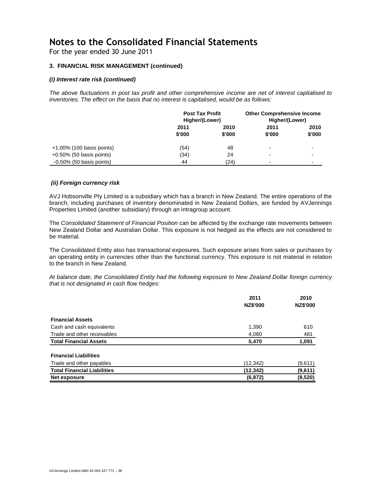For the year ended 30 June 2011

## **3. FINANCIAL RISK MANAGEMENT (continued)**

### **(i) Interest rate risk (continued)**

The above fluctuations in post tax profit and other comprehensive income are net of interest capitalised to inventories. The effect on the basis that no interest is capitalised, would be as follows:

|                              | <b>Post Tax Profit</b><br>Higher/(Lower) |                | <b>Other Comprehensive Income</b><br>Higher/(Lower) |                          |  |
|------------------------------|------------------------------------------|----------------|-----------------------------------------------------|--------------------------|--|
|                              | 2011<br>\$'000                           | 2010<br>\$'000 | 2011<br>\$'000                                      | 2010<br>\$'000           |  |
| $+1.00\%$ (100 basis points) | (54)                                     | 48             | ۰                                                   | $\overline{\phantom{0}}$ |  |
| $+0.50\%$ (50 basis points)  | (34)                                     | 24             |                                                     |                          |  |
| $-0.50\%$ (50 basis points)  | 44                                       | (24)           |                                                     |                          |  |

### **(ii) Foreign currency risk**

AVJ Hobsonville Pty Limited is a subsidiary which has a branch in New Zealand. The entire operations of the branch, including purchases of inventory denominated in New Zealand Dollars, are funded by AVJennings Properties Limited (another subsidiary) through an intragroup account.

The Consolidated Statement of Financial Position can be affected by the exchange rate movements between New Zealand Dollar and Australian Dollar. This exposure is not hedged as the effects are not considered to be material.

The Consolidated Entity also has transactional exposures. Such exposure arises from sales or purchases by an operating entity in currencies other than the functional currency. This exposure is not material in relation to the branch in New Zealand.

At balance date, the Consolidated Entity had the following exposure to New Zealand Dollar foreign currency that is not designated in cash flow hedges:

|                                    | 2011            | 2010            |
|------------------------------------|-----------------|-----------------|
|                                    | <b>NZ\$'000</b> | <b>NZ\$'000</b> |
| <b>Financial Assets</b>            |                 |                 |
| Cash and cash equivalents          | 1,390           | 610             |
| Trade and other receivables        | 4,080           | 481             |
| <b>Total Financial Assets</b>      | 5,470           | 1,091           |
| <b>Financial Liabilities</b>       |                 |                 |
| Trade and other payables           | (12,342)        | (9,611)         |
| <b>Total Financial Liabilities</b> | (12,342)        | (9,611)         |
| Net exposure                       | (6, 872)        | (8,520)         |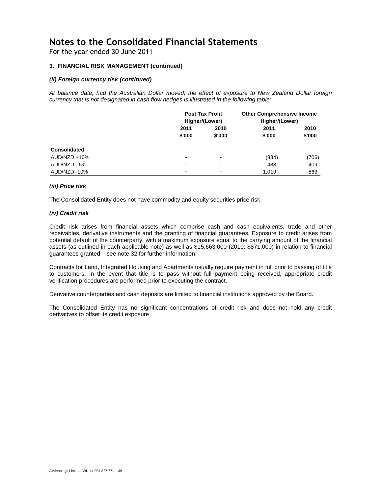For the year ended 30 June 2011

## **3. FINANCIAL RISK MANAGEMENT (continued)**

### **(ii) Foreign currency risk (continued)**

At balance date, had the Australian Dollar moved, the effect of exposure to New Zealand Dollar foreign currency that is not designated in cash flow hedges is illustrated in the following table:

|                     |                                  | <b>Post Tax Profit</b><br>Higher/(Lower) |                | <b>Other Comprehensive Income</b><br>Higher/(Lower) |  |  |
|---------------------|----------------------------------|------------------------------------------|----------------|-----------------------------------------------------|--|--|
|                     | 2011<br>2010<br>\$'000<br>\$'000 |                                          | 2011<br>\$'000 | 2010<br>\$'000                                      |  |  |
| <b>Consolidated</b> |                                  |                                          |                |                                                     |  |  |
| AUD/NZD +10%        | ٠                                | ۰                                        | (834)          | (706)                                               |  |  |
| AUD/NZD - 5%        | ٠                                | ۰                                        | 483            | 409                                                 |  |  |
| AUD/NZD-10%         | ٠                                | ۰                                        | 1.019          | 863                                                 |  |  |

#### **(iii) Price risk**

The Consolidated Entity does not have commodity and equity securities price risk.

#### **(iv) Credit risk**

Credit risk arises from financial assets which comprise cash and cash equivalents, trade and other receivables, derivative instruments and the granting of financial guarantees. Exposure to credit arises from potential default of the counterparty, with a maximum exposure equal to the carrying amount of the financial assets (as outlined in each applicable note) as well as \$15,663,000 (2010: \$871,000) in relation to financial guarantees granted – see note 32 for further information.

Contracts for Land, Integrated Housing and Apartments usually require payment in full prior to passing of title to customers. In the event that title is to pass without full payment being received, appropriate credit verification procedures are performed prior to executing the contract.

Derivative counterparties and cash deposits are limited to financial institutions approved by the Board.

The Consolidated Entity has no significant concentrations of credit risk and does not hold any credit derivatives to offset its credit exposure.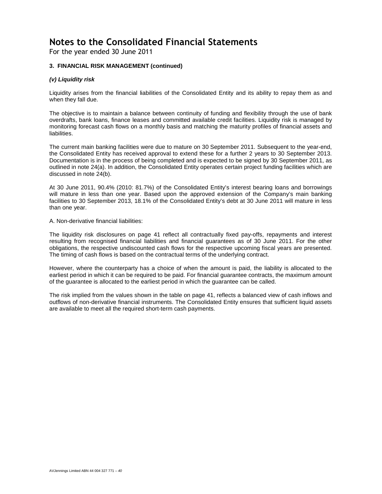For the year ended 30 June 2011

## **3. FINANCIAL RISK MANAGEMENT (continued)**

## **(v) Liquidity risk**

Liquidity arises from the financial liabilities of the Consolidated Entity and its ability to repay them as and when they fall due.

The objective is to maintain a balance between continuity of funding and flexibility through the use of bank overdrafts, bank loans, finance leases and committed available credit facilities. Liquidity risk is managed by monitoring forecast cash flows on a monthly basis and matching the maturity profiles of financial assets and liabilities.

The current main banking facilities were due to mature on 30 September 2011. Subsequent to the year-end, the Consolidated Entity has received approval to extend these for a further 2 years to 30 September 2013. Documentation is in the process of being completed and is expected to be signed by 30 September 2011, as outlined in note 24(a). In addition, the Consolidated Entity operates certain project funding facilities which are discussed in note 24(b).

At 30 June 2011, 90.4% (2010: 81.7%) of the Consolidated Entity's interest bearing loans and borrowings will mature in less than one year. Based upon the approved extension of the Company's main banking facilities to 30 September 2013, 18.1% of the Consolidated Entity's debt at 30 June 2011 will mature in less than one year.

A. Non-derivative financial liabilities:

The liquidity risk disclosures on page 41 reflect all contractually fixed pay-offs, repayments and interest resulting from recognised financial liabilities and financial guarantees as of 30 June 2011. For the other obligations, the respective undiscounted cash flows for the respective upcoming fiscal years are presented. The timing of cash flows is based on the contractual terms of the underlying contract.

However, where the counterparty has a choice of when the amount is paid, the liability is allocated to the earliest period in which it can be required to be paid. For financial guarantee contracts, the maximum amount of the guarantee is allocated to the earliest period in which the guarantee can be called.

The risk implied from the values shown in the table on page 41, reflects a balanced view of cash inflows and outflows of non-derivative financial instruments. The Consolidated Entity ensures that sufficient liquid assets are available to meet all the required short-term cash payments.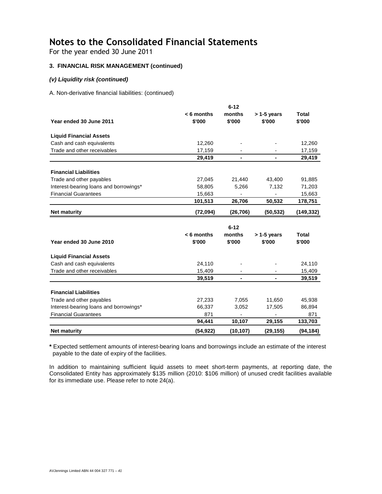For the year ended 30 June 2011

## **3. FINANCIAL RISK MANAGEMENT (continued)**

## **(v) Liquidity risk (continued)**

A. Non-derivative financial liabilities: (continued)

|                                        |                        | $6 - 12$           |                          |                 |
|----------------------------------------|------------------------|--------------------|--------------------------|-----------------|
| Year ended 30 June 2011                | $< 6$ months<br>\$'000 | months<br>\$'000   | $> 1-5$ years<br>\$'000  | Total<br>\$'000 |
| <b>Liquid Financial Assets</b>         |                        |                    |                          |                 |
| Cash and cash equivalents              | 12,260                 |                    |                          | 12,260          |
| Trade and other receivables            | 17,159                 |                    |                          | 17,159          |
|                                        | 29,419                 |                    |                          | 29,419          |
| <b>Financial Liabilities</b>           |                        |                    |                          |                 |
| Trade and other payables               | 27,045                 | 21,440             | 43,400                   | 91,885          |
| Interest-bearing loans and borrowings* | 58,805                 | 5,266              | 7,132                    | 71,203          |
| <b>Financial Guarantees</b>            | 15,663                 |                    |                          | 15,663          |
|                                        | 101,513                | 26,706             | 50,532                   | 178,751         |
| <b>Net maturity</b>                    | (72,094)               | (26, 706)          | (50, 532)                | (149, 332)      |
|                                        | $< 6$ months           | $6 - 12$<br>months | $> 1-5$ years            | <b>Total</b>    |
| Year ended 30 June 2010                | \$'000                 | \$'000             | \$'000                   | \$'000          |
| <b>Liquid Financial Assets</b>         |                        |                    |                          |                 |
| Cash and cash equivalents              | 24,110                 |                    |                          | 24,110          |
| Trade and other receivables            | 15,409                 |                    |                          | 15,409          |
|                                        | 39,519                 |                    |                          | 39,519          |
| <b>Financial Liabilities</b>           |                        |                    |                          |                 |
| Trade and other payables               | 27,233                 | 7,055              | 11,650                   | 45,938          |
| Interest-bearing loans and borrowings* | 66,337                 | 3,052              | 17,505                   | 86,894          |
| <b>Financial Guarantees</b>            | 871                    | -                  | $\overline{\phantom{a}}$ | 871             |
|                                        | 94,441                 | 10,107             | 29,155                   | 133,703         |
| <b>Net maturity</b>                    | (54, 922)              | (10, 107)          | (29, 155)                | (94, 184)       |

**\*** Expected settlement amounts of interest-bearing loans and borrowings include an estimate of the interest payable to the date of expiry of the facilities.

In addition to maintaining sufficient liquid assets to meet short-term payments, at reporting date, the Consolidated Entity has approximately \$135 million (2010: \$106 million) of unused credit facilities available for its immediate use. Please refer to note 24(a).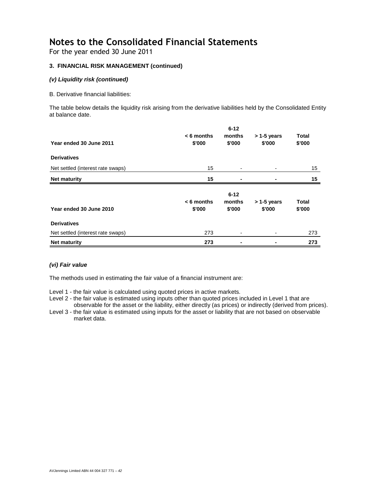For the year ended 30 June 2011

## **3. FINANCIAL RISK MANAGEMENT (continued)**

## **(v) Liquidity risk (continued)**

B. Derivative financial liabilities:

The table below details the liquidity risk arising from the derivative liabilities held by the Consolidated Entity at balance date.

|                                   |                        | $6 - 12$                     |                         |                 |
|-----------------------------------|------------------------|------------------------------|-------------------------|-----------------|
| Year ended 30 June 2011           | $< 6$ months<br>\$'000 | months<br>\$'000             | > 1-5 years<br>\$'000   | Total<br>\$'000 |
| <b>Derivatives</b>                |                        |                              |                         |                 |
| Net settled (interest rate swaps) | 15                     | ٠                            |                         | 15              |
| <b>Net maturity</b>               | 15                     | ۰                            |                         | 15              |
| Year ended 30 June 2010           | $< 6$ months<br>\$'000 | $6 - 12$<br>months<br>\$'000 | $> 1-5$ years<br>\$'000 | Total<br>\$'000 |
| <b>Derivatives</b>                |                        |                              |                         |                 |
| Net settled (interest rate swaps) | 273                    | ٠                            |                         | 273             |
| <b>Net maturity</b>               | 273                    |                              |                         | 273             |

### **(vi) Fair value**

The methods used in estimating the fair value of a financial instrument are:

Level 1 - the fair value is calculated using quoted prices in active markets.

Level 2 - the fair value is estimated using inputs other than quoted prices included in Level 1 that are observable for the asset or the liability, either directly (as prices) or indirectly (derived from prices).

Level 3 - the fair value is estimated using inputs for the asset or liability that are not based on observable market data.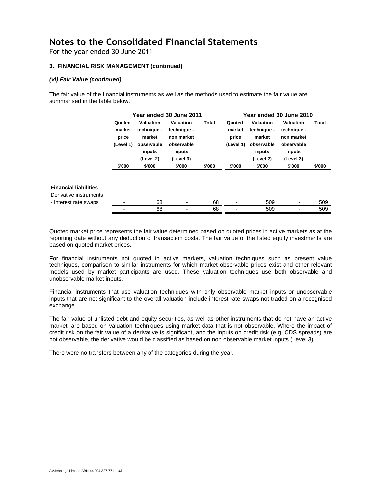For the year ended 30 June 2011

## **3. FINANCIAL RISK MANAGEMENT (continued)**

### **(vi) Fair Value (continued)**

The fair value of the financial instruments as well as the methods used to estimate the fair value are summarised in the table below.

|                                                 |                                        |                                                                                | Year ended 30 June 2011                                                     |        |                                        | Year ended 30 June 2010                                                        |                                                                             |              |  |
|-------------------------------------------------|----------------------------------------|--------------------------------------------------------------------------------|-----------------------------------------------------------------------------|--------|----------------------------------------|--------------------------------------------------------------------------------|-----------------------------------------------------------------------------|--------------|--|
|                                                 | Quoted<br>market<br>price<br>(Level 1) | <b>Valuation</b><br>technique -<br>market<br>observable<br>inputs<br>(Level 2) | Valuation<br>technique -<br>non market<br>observable<br>inputs<br>(Level 3) | Total  | Quoted<br>market<br>price<br>(Level 1) | <b>Valuation</b><br>technique -<br>market<br>observable<br>inputs<br>(Level 2) | Valuation<br>technique -<br>non market<br>observable<br>inputs<br>(Level 3) | <b>Total</b> |  |
|                                                 | \$'000                                 | \$'000                                                                         | \$'000                                                                      | \$'000 | \$'000                                 | \$'000                                                                         | \$'000                                                                      | \$'000       |  |
| <b>Financial liabilities</b>                    |                                        |                                                                                |                                                                             |        |                                        |                                                                                |                                                                             |              |  |
| Derivative instruments<br>- Interest rate swaps |                                        | 68                                                                             | $\overline{\phantom{a}}$                                                    | 68     |                                        | 509                                                                            |                                                                             | 509          |  |
|                                                 |                                        | 68                                                                             |                                                                             | 68     |                                        | 509                                                                            |                                                                             | 509          |  |
|                                                 |                                        |                                                                                |                                                                             |        |                                        |                                                                                |                                                                             |              |  |

Quoted market price represents the fair value determined based on quoted prices in active markets as at the reporting date without any deduction of transaction costs. The fair value of the listed equity investments are based on quoted market prices.

For financial instruments not quoted in active markets, valuation techniques such as present value techniques, comparison to similar instruments for which market observable prices exist and other relevant models used by market participants are used. These valuation techniques use both observable and unobservable market inputs.

Financial instruments that use valuation techniques with only observable market inputs or unobservable inputs that are not significant to the overall valuation include interest rate swaps not traded on a recognised exchange.

The fair value of unlisted debt and equity securities, as well as other instruments that do not have an active market, are based on valuation techniques using market data that is not observable. Where the impact of credit risk on the fair value of a derivative is significant, and the inputs on credit risk (e.g. CDS spreads) are not observable, the derivative would be classified as based on non observable market inputs (Level 3).

There were no transfers between any of the categories during the year.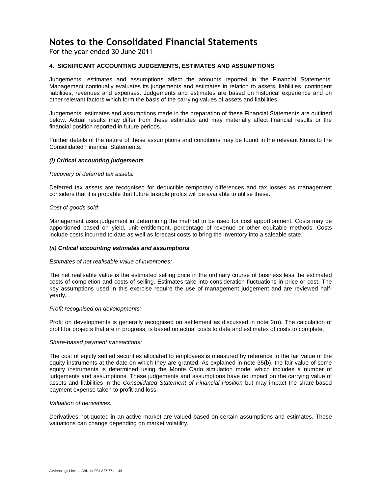For the year ended 30 June 2011

### **4. SIGNIFICANT ACCOUNTING JUDGEMENTS, ESTIMATES AND ASSUMPTIONS**

Judgements, estimates and assumptions affect the amounts reported in the Financial Statements. Management continually evaluates its judgements and estimates in relation to assets, liabilities, contingent liabilities, revenues and expenses. Judgements and estimates are based on historical experience and on other relevant factors which form the basis of the carrying values of assets and liabilities.

Judgements, estimates and assumptions made in the preparation of these Financial Statements are outlined below. Actual results may differ from these estimates and may materially affect financial results or the financial position reported in future periods.

Further details of the nature of these assumptions and conditions may be found in the relevant Notes to the Consolidated Financial Statements.

#### **(i) Critical accounting judgements**

Recovery of deferred tax assets:

Deferred tax assets are recognised for deductible temporary differences and tax losses as management considers that it is probable that future taxable profits will be available to utilise these.

#### Cost of goods sold:

Management uses judgement in determining the method to be used for cost apportionment. Costs may be apportioned based on yield, unit entitlement, percentage of revenue or other equitable methods. Costs include costs incurred to date as well as forecast costs to bring the inventory into a saleable state.

#### **(ii) Critical accounting estimates and assumptions**

#### Estimates of net realisable value of inventories:

The net realisable value is the estimated selling price in the ordinary course of business less the estimated costs of completion and costs of selling. Estimates take into consideration fluctuations in price or cost. The key assumptions used in this exercise require the use of management judgement and are reviewed halfyearly.

#### Profit recognised on developments:

Profit on developments is generally recognised on settlement as discussed in note 2(u). The calculation of profit for projects that are in progress, is based on actual costs to date and estimates of costs to complete.

#### Share-based payment transactions:

The cost of equity settled securities allocated to employees is measured by reference to the fair value of the equity instruments at the date on which they are granted. As explained in note 35(b), the fair value of some equity instruments is determined using the Monte Carlo simulation model which includes a number of judgements and assumptions. These judgements and assumptions have no impact on the carrying value of assets and liabilities in the Consolidated Statement of Financial Position but may impact the share-based payment expense taken to profit and loss.

#### Valuation of derivatives:

Derivatives not quoted in an active market are valued based on certain assumptions and estimates. These valuations can change depending on market volatility.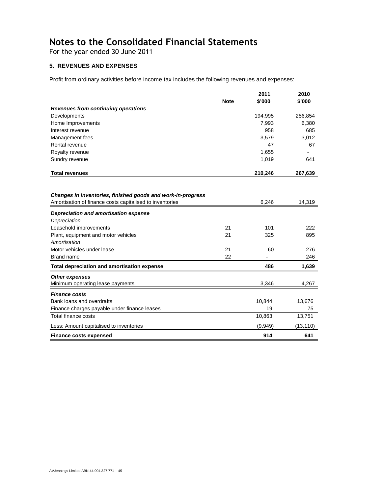For the year ended 30 June 2011

## **5. REVENUES AND EXPENSES**

Profit from ordinary activities before income tax includes the following revenues and expenses:

|                                                             | <b>Note</b> | 2011<br>\$'000 | 2010<br>\$'000 |
|-------------------------------------------------------------|-------------|----------------|----------------|
|                                                             |             |                |                |
| <b>Revenues from continuing operations</b>                  |             | 194,995        | 256,854        |
| Developments                                                |             |                |                |
| Home Improvements                                           |             | 7,993          | 6,380          |
| Interest revenue                                            |             | 958            | 685            |
| Management fees                                             |             | 3,579          | 3,012          |
| Rental revenue                                              |             | 47             | 67             |
| Royalty revenue                                             |             | 1,655          |                |
| Sundry revenue                                              |             | 1,019          | 641            |
| <b>Total revenues</b>                                       |             | 210,246        | 267,639        |
|                                                             |             |                |                |
| Changes in inventories, finished goods and work-in-progress |             |                |                |
| Amortisation of finance costs capitalised to inventories    |             | 6,246          | 14,319         |
| Depreciation and amortisation expense                       |             |                |                |
| Depreciation                                                |             |                |                |
| Leasehold improvements                                      | 21          | 101            | 222            |
| Plant, equipment and motor vehicles                         | 21          | 325            | 895            |
| Amortisation                                                |             |                |                |
| Motor vehicles under lease                                  | 21          | 60             | 276            |
| Brand name                                                  | 22          |                | 246            |
| Total depreciation and amortisation expense                 |             | 486            | 1,639          |
| <b>Other expenses</b>                                       |             |                |                |
| Minimum operating lease payments                            |             | 3,346          | 4,267          |
| <b>Finance costs</b>                                        |             |                |                |
| Bank loans and overdrafts                                   |             | 10,844         | 13,676         |
| Finance charges payable under finance leases                |             | 19             | 75             |
| Total finance costs                                         |             | 10,863         | 13,751         |
| Less: Amount capitalised to inventories                     |             | (9,949)        | (13, 110)      |
| <b>Finance costs expensed</b>                               |             | 914            | 641            |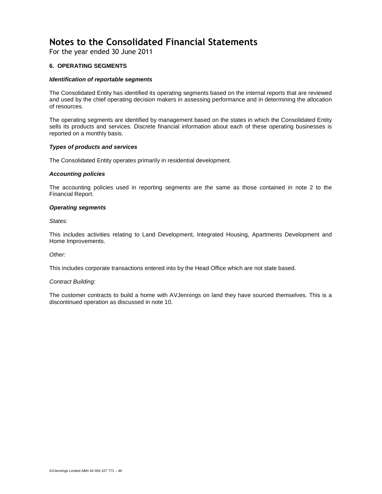For the year ended 30 June 2011

## **6. OPERATING SEGMENTS**

### **Identification of reportable segments**

The Consolidated Entity has identified its operating segments based on the internal reports that are reviewed and used by the chief operating decision makers in assessing performance and in determining the allocation of resources.

The operating segments are identified by management based on the states in which the Consolidated Entity sells its products and services. Discrete financial information about each of these operating businesses is reported on a monthly basis.

#### **Types of products and services**

The Consolidated Entity operates primarily in residential development.

#### **Accounting policies**

The accounting policies used in reporting segments are the same as those contained in note 2 to the Financial Report.

#### **Operating segments**

States:

This includes activities relating to Land Development, Integrated Housing, Apartments Development and Home Improvements.

Other:

This includes corporate transactions entered into by the Head Office which are not state based.

#### Contract Building:

The customer contracts to build a home with AVJennings on land they have sourced themselves. This is a discontinued operation as discussed in note 10.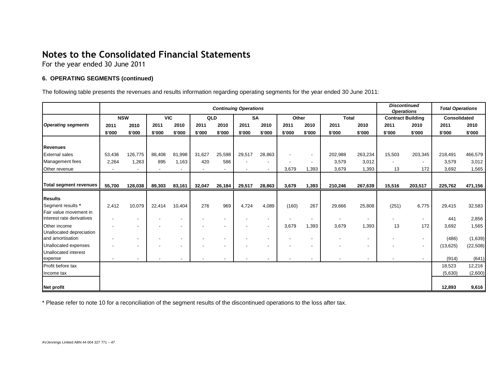For the year ended 30 June 2011

## **6. OPERATING SEGMENTS (continued)**

The following table presents the revenues and results information regarding operating segments for the year ended 30 June 2011:

|                                        | <b>Continuing Operations</b> |                          |                |        |                          |        |                          | <b>Discontinued</b><br><b>Total Operations</b><br><b>Operations</b> |        |                          |                          |                          |                |                          |              |           |
|----------------------------------------|------------------------------|--------------------------|----------------|--------|--------------------------|--------|--------------------------|---------------------------------------------------------------------|--------|--------------------------|--------------------------|--------------------------|----------------|--------------------------|--------------|-----------|
|                                        |                              | <b>NSW</b>               | <b>VIC</b>     |        | QLD                      |        | SA                       |                                                                     | Other  |                          | <b>Total</b>             |                          |                | <b>Contract Building</b> | Consolidated |           |
| <b>Operating segments</b>              | 2011                         | 2010                     | 2011           | 2010   | 2011                     | 2010   | 2011                     | 2010                                                                | 2011   | 2010                     | 2011                     | 2010                     | 2011           | 2010                     | 2011         | 2010      |
|                                        | \$'000                       | \$'000                   | \$'000         | \$'000 | \$'000                   | \$'000 | \$'000                   | \$'000                                                              | \$'000 | \$'000                   | \$'000                   | \$'000                   | \$'000         | \$'000                   | \$'000       | \$'000    |
| <b>Revenues</b>                        |                              |                          |                |        |                          |        |                          |                                                                     |        |                          |                          |                          |                |                          |              |           |
| <b>External sales</b>                  | 53,436                       | 126,775                  | 88,408         | 81,998 | 31,627                   | 25,598 | 29,517                   | 28,863                                                              |        |                          | 202,988                  | 263,234                  | 15,503         | 203,345                  | 218,491      | 466,579   |
| Management fees                        | 2,264                        | 1,263                    | 895            | 1,163  | 420                      | 586    |                          |                                                                     |        |                          | 3,579                    | 3,012                    |                | $\overline{a}$           | 3,579        | 3,012     |
| Other revenue                          | $\overline{\phantom{a}}$     | $\overline{\phantom{a}}$ | $\blacksquare$ |        | $\overline{\phantom{a}}$ | ۰      | $\overline{\phantom{a}}$ | $\sim$                                                              | 3,679  | 1,393                    | 3,679                    | 1,393                    | 13             | 172                      | 3,692        | 1,565     |
|                                        |                              |                          |                |        |                          |        |                          |                                                                     |        |                          |                          |                          |                |                          |              |           |
| <b>Total segment revenues</b>          | 55,700                       | 128,038                  | 89,303         | 83,161 | 32,047                   | 26,184 | 29,517                   | 28,863                                                              | 3,679  | 1,393                    | 210,246                  | 267,639                  | 15,516         | 203,517                  | 225,762      | 471,156   |
|                                        |                              |                          |                |        |                          |        |                          |                                                                     |        |                          |                          |                          |                |                          |              |           |
| <b>Results</b>                         |                              |                          |                |        |                          |        |                          |                                                                     |        |                          |                          |                          |                |                          |              |           |
| Segment results *                      | 2,412                        | 10,079                   | 22,414         | 10,404 | 276                      | 969    | 4,724                    | 4,089                                                               | (160)  | 267                      | 29,666                   | 25,808                   | (251)          | 6,775                    | 29,415       | 32,583    |
| Fair value movement in                 |                              |                          |                |        |                          |        |                          |                                                                     |        |                          |                          |                          |                |                          |              |           |
| interest rate derivatives              |                              | $\overline{\phantom{a}}$ |                |        |                          |        |                          | $\overline{\phantom{a}}$                                            |        | $\overline{\phantom{a}}$ | $\overline{\phantom{a}}$ | $\overline{\phantom{a}}$ | $\blacksquare$ | $\sim$                   | 441          | 2,856     |
| Other income                           |                              | $\overline{\phantom{a}}$ |                |        |                          |        |                          | $\overline{\phantom{a}}$                                            | 3,679  | 1,393                    | 3,679                    | 1,393                    | 13             | 172                      | 3,692        | 1,565     |
| Unallocated depreciation               |                              |                          |                |        |                          |        |                          |                                                                     |        |                          |                          |                          |                |                          |              |           |
| and amortisation                       |                              | $\overline{\phantom{a}}$ |                |        |                          |        |                          |                                                                     |        |                          |                          |                          |                | $\sim$                   | (486)        | (1,639)   |
| Unallocated expenses                   |                              | $\overline{\phantom{a}}$ |                |        |                          |        |                          |                                                                     |        |                          |                          | $\overline{\phantom{a}}$ |                | $\sim$                   | (13,625)     | (22, 508) |
| <b>Unallocated interest</b><br>expense |                              |                          |                |        |                          |        |                          |                                                                     |        |                          |                          |                          |                | $\sim$                   | (914)        | (641)     |
| Profit before tax                      |                              |                          |                |        |                          |        |                          |                                                                     |        |                          |                          |                          |                |                          | 18,523       | 12,216    |
| Income tax                             |                              |                          |                |        |                          |        |                          |                                                                     |        |                          |                          |                          |                |                          | (5,630)      | (2,600)   |
|                                        |                              |                          |                |        |                          |        |                          |                                                                     |        |                          |                          |                          |                |                          |              |           |
| <b>Net profit</b>                      |                              |                          |                |        |                          |        |                          |                                                                     |        |                          |                          |                          |                |                          | 12,893       | 9,616     |

\* Please refer to note 10 for a reconciliation of the segment results of the discontinued operations to the loss after tax.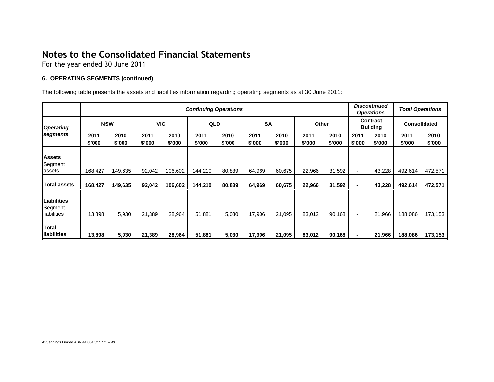For the year ended 30 June 2011

## **6. OPERATING SEGMENTS (continued)**

The following table presents the assets and liabilities information regarding operating segments as at 30 June 2011:

|                                       | <b>Continuing Operations</b> |                |                |                |                |                |                |                |                |                |                             | <b>Discontinued</b><br><b>Operations</b> |                     | <b>Total Operations</b> |
|---------------------------------------|------------------------------|----------------|----------------|----------------|----------------|----------------|----------------|----------------|----------------|----------------|-----------------------------|------------------------------------------|---------------------|-------------------------|
| <b>Operating</b>                      | <b>NSW</b>                   |                | <b>VIC</b>     |                | QLD            |                | <b>SA</b>      |                | <b>Other</b>   |                | Contract<br><b>Building</b> |                                          | <b>Consolidated</b> |                         |
| segments                              | 2011<br>\$'000               | 2010<br>\$'000 | 2011<br>\$'000 | 2010<br>\$'000 | 2011<br>\$'000 | 2010<br>\$'000 | 2011<br>\$'000 | 2010<br>\$'000 | 2011<br>\$'000 | 2010<br>\$'000 | 2011<br>\$'000              | 2010<br>\$'000                           | 2011<br>\$'000      | 2010<br>\$'000          |
| <b>Assets</b><br>Segment<br>assets    | 168,427                      | 149,635        | 92,042         | 106,602        | 144,210        | 80,839         | 64,969         | 60,675         | 22,966         | 31,592         |                             | 43,228                                   | 492,614             | 472,571                 |
| <b>Total assets</b>                   | 168,427                      | 149,635        | 92,042         | 106,602        | 144,210        | 80,839         | 64,969         | 60,675         | 22,966         | 31,592         |                             | 43,228                                   | 492,614             | 472,571                 |
| Liabilities<br>Segment<br>liabilities | 13,898                       | 5,930          | 21,389         | 28,964         | 51,881         | 5,030          | 17,906         | 21,095         | 83,012         | 90,168         |                             | 21,966                                   | 188,086             | 173,153                 |
| <b>Total</b><br>liabilities           | 13,898                       | 5,930          | 21,389         | 28,964         | 51,881         | 5,030          | 17,906         | 21,095         | 83,012         | 90,168         |                             | 21,966                                   | 188,086             | 173,153                 |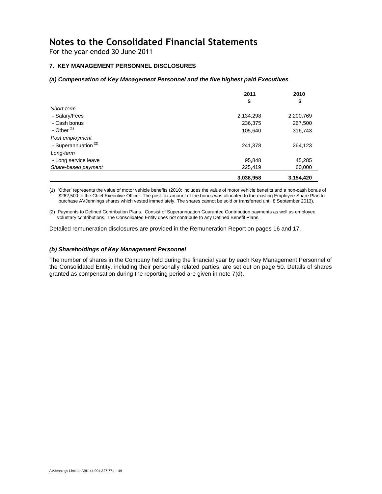For the year ended 30 June 2011

## **7. KEY MANAGEMENT PERSONNEL DISCLOSURES**

### **(a) Compensation of Key Management Personnel and the five highest paid Executives**

|                                 | 2011      | 2010      |  |
|---------------------------------|-----------|-----------|--|
|                                 | \$        | \$        |  |
| Short-term                      |           |           |  |
| - Salary/Fees                   | 2,134,298 | 2,200,769 |  |
| - Cash bonus                    | 236,375   | 267,500   |  |
| - Other $(1)$                   | 105,640   | 316,743   |  |
| Post employment                 |           |           |  |
| - Superannuation <sup>(2)</sup> | 241,378   | 264,123   |  |
| Long-term                       |           |           |  |
| - Long service leave            | 95.848    | 45,285    |  |
| Share-based payment             | 225,419   | 60,000    |  |
|                                 | 3,038,958 | 3,154,420 |  |

(1) 'Other' represents the value of motor vehicle benefits (2010: includes the value of motor vehicle benefits and a non-cash bonus of \$262,500 to the Chief Executive Officer. The post-tax amount of the bonus was allocated to the existing Employee Share Plan to purchase AVJennings shares which vested immediately. The shares cannot be sold or transferred until 8 September 2013).

(2) Payments to Defined Contribution Plans. Consist of Superannuation Guarantee Contribution payments as well as employee voluntary contributions. The Consolidated Entity does not contribute to any Defined Benefit Plans.

Detailed remuneration disclosures are provided in the Remuneration Report on pages 16 and 17.

#### **(b) Shareholdings of Key Management Personnel**

The number of shares in the Company held during the financial year by each Key Management Personnel of the Consolidated Entity, including their personally related parties, are set out on page 50. Details of shares granted as compensation during the reporting period are given in note 7(d).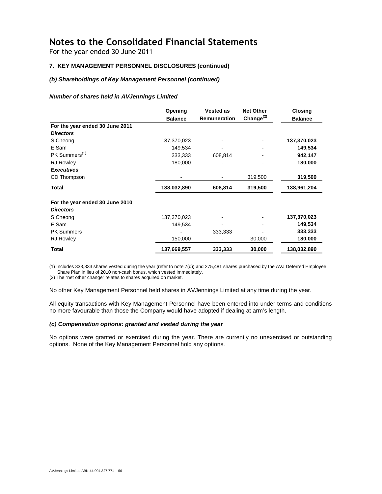For the year ended 30 June 2011

## **7. KEY MANAGEMENT PERSONNEL DISCLOSURES (continued)**

## **(b) Shareholdings of Key Management Personnel (continued)**

#### **Number of shares held in AVJennings Limited**

|                                 | Opening<br><b>Balance</b> | <b>Vested as</b><br>Remuneration | <b>Net Other</b><br>Change $^{(2)}$ | Closing<br><b>Balance</b> |
|---------------------------------|---------------------------|----------------------------------|-------------------------------------|---------------------------|
| For the year ended 30 June 2011 |                           |                                  |                                     |                           |
| <b>Directors</b>                |                           |                                  |                                     |                           |
| S Cheong                        | 137,370,023               |                                  |                                     | 137,370,023               |
| E Sam                           | 149,534                   |                                  |                                     | 149,534                   |
| PK Summers <sup>(1)</sup>       | 333,333                   | 608,814                          |                                     | 942,147                   |
| <b>RJ Rowley</b>                | 180,000                   |                                  |                                     | 180,000                   |
| <b>Executives</b>               |                           |                                  |                                     |                           |
| CD Thompson                     |                           |                                  | 319,500                             | 319,500                   |
| Total                           | 138,032,890               | 608,814                          | 319,500                             | 138,961,204               |
| For the year ended 30 June 2010 |                           |                                  |                                     |                           |
| <b>Directors</b>                |                           |                                  |                                     |                           |
| S Cheong                        | 137,370,023               |                                  |                                     | 137,370,023               |
| E Sam                           | 149,534                   |                                  |                                     | 149,534                   |
| <b>PK Summers</b>               |                           | 333,333                          |                                     | 333,333                   |
| <b>RJ Rowley</b>                | 150,000                   |                                  | 30,000                              | 180,000                   |
| Total                           | 137,669,557               | 333,333                          | 30,000                              | 138,032,890               |

(1) Includes 333,333 shares vested during the year (refer to note 7(d)) and 275,481 shares purchased by the AVJ Deferred Employee Share Plan in lieu of 2010 non-cash bonus, which vested immediately.

(2) The "net other change" relates to shares acquired on market.

No other Key Management Personnel held shares in AVJennings Limited at any time during the year.

All equity transactions with Key Management Personnel have been entered into under terms and conditions no more favourable than those the Company would have adopted if dealing at arm's length.

#### **(c) Compensation options: granted and vested during the year**

No options were granted or exercised during the year. There are currently no unexercised or outstanding options. None of the Key Management Personnel hold any options.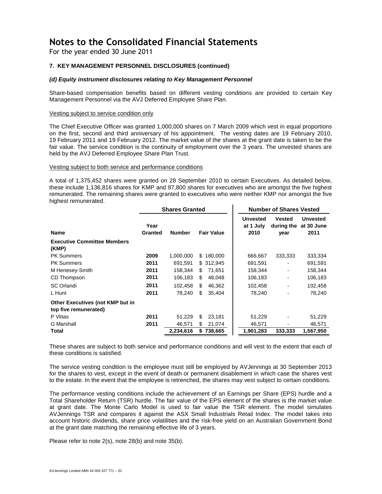For the year ended 30 June 2011

## **7. KEY MANAGEMENT PERSONNEL DISCLOSURES (continued)**

### **(d) Equity instrument disclosures relating to Key Management Personnel**

Share-based compensation benefits based on different vesting conditions are provided to certain Key Management Personnel via the AVJ Deferred Employee Share Plan.

#### Vesting subject to service condition only

The Chief Executive Officer was granted 1,000,000 shares on 7 March 2009 which vest in equal proportions on the first, second and third anniversary of his appointment. The vesting dates are 19 February 2010, 19 February 2011 and 19 February 2012. The market value of the shares at the grant date is taken to be the fair value. The service condition is the continuity of employment over the 3 years. The unvested shares are held by the AVJ Deferred Employee Share Plan Trust.

#### Vesting subject to both service and performance conditions

A total of 1,375,452 shares were granted on 28 September 2010 to certain Executives. As detailed below, these include 1,136,816 shares for KMP and 97,800 shares for executives who are amongst the five highest remunerated. The remaining shares were granted to executives who were neither KMP nor amongst the five highest remunerated.

|                                                           | <b>Shares Granted</b>  |               |    |                   | <b>Number of Shares Vested</b>       |        |                                     |                                       |
|-----------------------------------------------------------|------------------------|---------------|----|-------------------|--------------------------------------|--------|-------------------------------------|---------------------------------------|
| Name                                                      | Year<br><b>Granted</b> | <b>Number</b> |    | <b>Fair Value</b> | <b>Unvested</b><br>at 1 July<br>2010 |        | <b>Vested</b><br>during the<br>year | <b>Unvested</b><br>at 30 June<br>2011 |
| <b>Executive Committee Members</b><br>(KMP)               |                        |               |    |                   |                                      |        |                                     |                                       |
| <b>PK Summers</b>                                         | 2009                   | 1,000,000     |    | \$180,000         | 666,667                              |        | 333,333                             | 333,334                               |
| <b>PK Summers</b>                                         | 2011                   | 691,591       |    | \$ 312,945        | 691,591                              |        |                                     | 691,591                               |
| M Henesey-Smith                                           | 2011                   | 158,344       | \$ | 71.651            | 158,344                              |        |                                     | 158,344                               |
| CD Thompson                                               | 2011                   | 106,183       | S  | 48,048            | 106,183                              |        |                                     | 106,183                               |
| <b>SC Orlandi</b>                                         | 2011                   | 102,458       | \$ | 46,362            | 102,458                              |        |                                     | 102,458                               |
| L Hunt                                                    | 2011                   | 78,240        | \$ | 35,404            |                                      | 78,240 |                                     | 78,240                                |
| Other Executives (not KMP but in<br>top five remunerated) |                        |               |    |                   |                                      |        |                                     |                                       |
| P Vlitas                                                  | 2011                   | 51,229        | \$ | 23,181            |                                      | 51,229 |                                     | 51,229                                |
| G Marshall                                                | 2011                   | 46,571        | S  | 21,074            |                                      | 46.571 |                                     | 46,571                                |
| Total                                                     |                        | 2,234,616     |    | \$738.665         | 1,901,283                            |        | 333.333                             | 1.567.950                             |

These shares are subject to both service and performance conditions and will vest to the extent that each of these conditions is satisfied.

The service vesting condition is the employee must still be employed by AVJennings at 30 September 2013 for the shares to vest, except in the event of death or permanent disablement in which case the shares vest to the estate. In the event that the employee is retrenched, the shares may vest subject to certain conditions.

The performance vesting conditions include the achievement of an Earnings per Share (EPS) hurdle and a Total Shareholder Return (TSR) hurdle. The fair value of the EPS element of the shares is the market value at grant date. The Monte Carlo Model is used to fair value the TSR element. The model simulates AVJennings TSR and compares it against the ASX Small Industrials Retail Index. The model takes into account historic dividends, share price volatilities and the risk-free yield on an Australian Government Bond at the grant date matching the remaining effective life of 3 years.

Please refer to note 2(s), note 28(b) and note 35(b).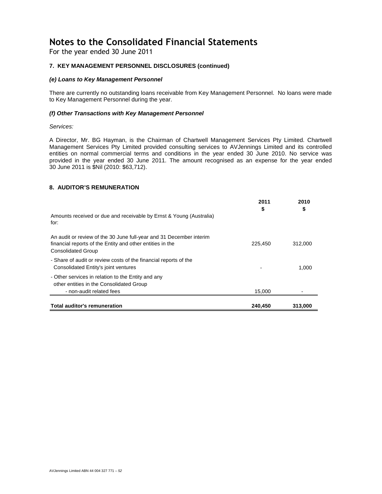For the year ended 30 June 2011

## **7. KEY MANAGEMENT PERSONNEL DISCLOSURES (continued)**

### **(e) Loans to Key Management Personnel**

There are currently no outstanding loans receivable from Key Management Personnel. No loans were made to Key Management Personnel during the year.

### **(f) Other Transactions with Key Management Personnel**

Services:

A Director, Mr. BG Hayman, is the Chairman of Chartwell Management Services Pty Limited. Chartwell Management Services Pty Limited provided consulting services to AVJennings Limited and its controlled entities on normal commercial terms and conditions in the year ended 30 June 2010. No service was provided in the year ended 30 June 2011. The amount recognised as an expense for the year ended 30 June 2011 is \$Nil (2010: \$63,712).

### **8. AUDITOR'S REMUNERATION**

|                                                                                        | 2011<br>\$ | 2010<br>S |
|----------------------------------------------------------------------------------------|------------|-----------|
| Amounts received or due and receivable by Ernst & Young (Australia)<br>for:            |            |           |
| An audit or review of the 30 June full-year and 31 December interim                    |            |           |
| financial reports of the Entity and other entities in the<br><b>Consolidated Group</b> | 225,450    | 312,000   |
| - Share of audit or review costs of the financial reports of the                       |            |           |
| Consolidated Entity's joint ventures                                                   |            | 1.000     |
| - Other services in relation to the Entity and any                                     |            |           |
| other entities in the Consolidated Group                                               |            |           |
| - non-audit related fees                                                               | 15.000     |           |
| Total auditor's remuneration                                                           | 240,450    | 313,000   |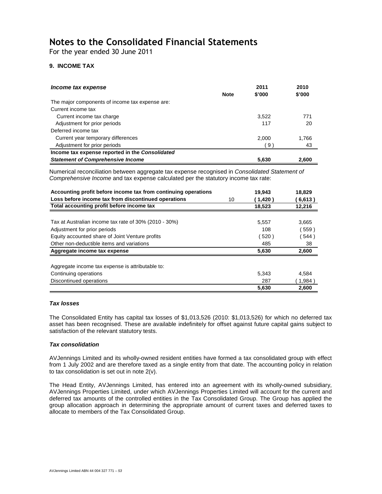For the year ended 30 June 2011

## **9. INCOME TAX**

| Income tax expense                              | <b>Note</b> | 2011<br>\$'000 | 2010<br>\$'000 |
|-------------------------------------------------|-------------|----------------|----------------|
| The major components of income tax expense are: |             |                |                |
| Current income tax                              |             |                |                |
| Current income tax charge                       |             | 3.522          | 771            |
| Adjustment for prior periods                    |             | 117            | 20             |
| Deferred income tax                             |             |                |                |
| Current year temporary differences              |             | 2,000          | 1,766          |
| Adjustment for prior periods                    |             | 9)             | 43             |
| Income tax expense reported in the Consolidated |             |                |                |
| <b>Statement of Comprehensive Income</b>        |             | 5.630          | 2.600          |

Numerical reconciliation between aggregate tax expense recognised in Consolidated Statement of Comprehensive Income and tax expense calculated per the statutory income tax rate:

| Accounting profit before income tax from continuing operations |    | 19,943  | 18,829  |
|----------------------------------------------------------------|----|---------|---------|
| Loss before income tax from discontinued operations            | 10 | (1,420) | (6,613) |
| Total accounting profit before income tax                      |    | 18,523  | 12,216  |
|                                                                |    |         |         |
| Tax at Australian income tax rate of 30% (2010 - 30%)          |    | 5,557   | 3,665   |
| Adjustment for prior periods                                   |    | 108     | 559)    |
| Equity accounted share of Joint Venture profits                |    | 520)    | 544)    |
| Other non-deductible items and variations                      |    | 485     | 38      |
| Aggregate income tax expense                                   |    | 5,630   | 2,600   |
| Aggregate income tax expense is attributable to:               |    |         |         |
|                                                                |    |         |         |
| Continuing operations                                          |    | 5.343   | 4,584   |
| Discontinued operations                                        |    | 287     | 1,984   |
|                                                                |    | 5,630   | 2,600   |

### **Tax losses**

The Consolidated Entity has capital tax losses of \$1,013,526 (2010: \$1,013,526) for which no deferred tax asset has been recognised. These are available indefinitely for offset against future capital gains subject to satisfaction of the relevant statutory tests.

### **Tax consolidation**

AVJennings Limited and its wholly-owned resident entities have formed a tax consolidated group with effect from 1 July 2002 and are therefore taxed as a single entity from that date. The accounting policy in relation to tax consolidation is set out in note 2(v).

The Head Entity, AVJennings Limited, has entered into an agreement with its wholly-owned subsidiary, AVJennings Properties Limited, under which AVJennings Properties Limited will account for the current and deferred tax amounts of the controlled entities in the Tax Consolidated Group. The Group has applied the group allocation approach in determining the appropriate amount of current taxes and deferred taxes to allocate to members of the Tax Consolidated Group.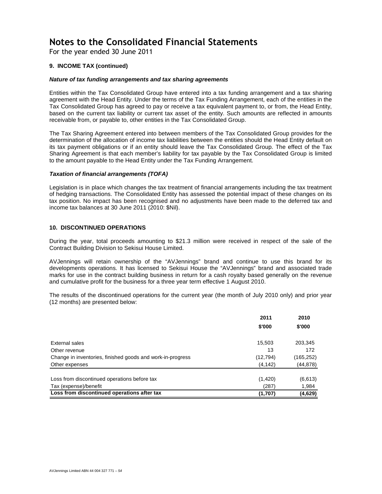For the year ended 30 June 2011

## **9. INCOME TAX (continued)**

### **Nature of tax funding arrangements and tax sharing agreements**

Entities within the Tax Consolidated Group have entered into a tax funding arrangement and a tax sharing agreement with the Head Entity. Under the terms of the Tax Funding Arrangement, each of the entities in the Tax Consolidated Group has agreed to pay or receive a tax equivalent payment to, or from, the Head Entity, based on the current tax liability or current tax asset of the entity. Such amounts are reflected in amounts receivable from, or payable to, other entities in the Tax Consolidated Group.

The Tax Sharing Agreement entered into between members of the Tax Consolidated Group provides for the determination of the allocation of income tax liabilities between the entities should the Head Entity default on its tax payment obligations or if an entity should leave the Tax Consolidated Group. The effect of the Tax Sharing Agreement is that each member's liability for tax payable by the Tax Consolidated Group is limited to the amount payable to the Head Entity under the Tax Funding Arrangement.

#### **Taxation of financial arrangements (TOFA)**

Legislation is in place which changes the tax treatment of financial arrangements including the tax treatment of hedging transactions. The Consolidated Entity has assessed the potential impact of these changes on its tax position. No impact has been recognised and no adjustments have been made to the deferred tax and income tax balances at 30 June 2011 (2010: \$Nil).

### **10. DISCONTINUED OPERATIONS**

During the year, total proceeds amounting to \$21.3 million were received in respect of the sale of the Contract Building Division to Sekisui House Limited.

AVJennings will retain ownership of the "AVJennings" brand and continue to use this brand for its developments operations. It has licensed to Sekisui House the "AVJennings" brand and associated trade marks for use in the contract building business in return for a cash royalty based generally on the revenue and cumulative profit for the business for a three year term effective 1 August 2010.

The results of the discontinued operations for the current year (the month of July 2010 only) and prior year (12 months) are presented below:

|                                                            | 2011      | 2010       |  |
|------------------------------------------------------------|-----------|------------|--|
|                                                            | \$'000    | \$'000     |  |
| External sales                                             | 15.503    | 203,345    |  |
| Other revenue                                              | 13        | 172        |  |
| Change in inventories, finished goods and work-in-progress | (12, 794) | (165, 252) |  |
| Other expenses                                             | (4,142)   | (44,878)   |  |
| Loss from discontinued operations before tax               | (1,420)   | (6,613)    |  |
| Tax (expense)/benefit                                      | (287)     | 1,984      |  |
| Loss from discontinued operations after tax                | (1,707)   | (4,629)    |  |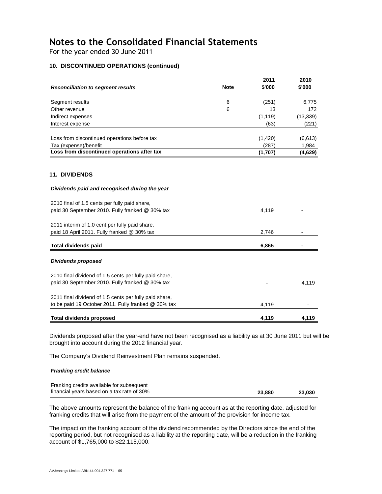For the year ended 30 June 2011

### **10. DISCONTINUED OPERATIONS (continued)**

| <b>Reconciliation to segment results</b>               | <b>Note</b> | 2011<br>\$'000 | 2010<br>\$'000 |
|--------------------------------------------------------|-------------|----------------|----------------|
|                                                        |             |                |                |
| Segment results                                        | 6           | (251)          | 6,775          |
| Other revenue                                          | 6           | 13             | 172            |
| Indirect expenses                                      |             | (1, 119)       | (13, 339)      |
| Interest expense                                       |             | (63)           | (221)          |
|                                                        |             |                |                |
| Loss from discontinued operations before tax           |             | (1,420)        | (6, 613)       |
| Tax (expense)/benefit                                  |             | (287)          | 1,984          |
| Loss from discontinued operations after tax            |             | (1,707)        | (4,629)        |
| <b>11. DIVIDENDS</b>                                   |             |                |                |
| Dividends paid and recognised during the year          |             |                |                |
| 2010 final of 1.5 cents per fully paid share,          |             |                |                |
| paid 30 September 2010. Fully franked @ 30% tax        |             | 4,119          |                |
| 2011 interim of 1.0 cent per fully paid share,         |             |                |                |
| paid 18 April 2011. Fully franked @ 30% tax            |             | 2,746          |                |
| <b>Total dividends paid</b>                            |             | 6,865          |                |
| <b>Dividends proposed</b>                              |             |                |                |
| 2010 final dividend of 1.5 cents per fully paid share, |             |                |                |
| paid 30 September 2010. Fully franked @ 30% tax        |             |                | 4,119          |
| 2011 final dividend of 1.5 cents per fully paid share, |             |                |                |
| to be paid 19 October 2011. Fully franked @ 30% tax    |             | 4,119          |                |
| <b>Total dividends proposed</b>                        |             | 4,119          | 4.119          |

Dividends proposed after the year-end have not been recognised as a liability as at 30 June 2011 but will be brought into account during the 2012 financial year.

The Company's Dividend Reinvestment Plan remains suspended.

#### **Franking credit balance**

| Franking credits available for subsequent  |        |        |
|--------------------------------------------|--------|--------|
| financial years based on a tax rate of 30% | 23,880 | 23.030 |

The above amounts represent the balance of the franking account as at the reporting date, adjusted for franking credits that will arise from the payment of the amount of the provision for income tax.

The impact on the franking account of the dividend recommended by the Directors since the end of the reporting period, but not recognised as a liability at the reporting date, will be a reduction in the franking account of \$1,765,000 to \$22,115,000.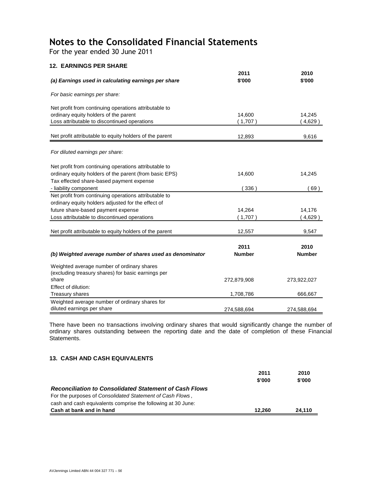For the year ended 30 June 2011

| <b>12. EARNINGS PER SHARE</b>                             |                       |                       |
|-----------------------------------------------------------|-----------------------|-----------------------|
|                                                           | 2011<br>\$'000        | 2010<br>\$'000        |
| (a) Earnings used in calculating earnings per share       |                       |                       |
| For basic earnings per share:                             |                       |                       |
| Net profit from continuing operations attributable to     |                       |                       |
| ordinary equity holders of the parent                     | 14,600                | 14,245                |
| Loss attributable to discontinued operations              | (1,707)               | (4,629)               |
| Net profit attributable to equity holders of the parent   | 12,893                | 9,616                 |
|                                                           |                       |                       |
| For diluted earnings per share:                           |                       |                       |
| Net profit from continuing operations attributable to     |                       |                       |
| ordinary equity holders of the parent (from basic EPS)    | 14,600                | 14,245                |
| Tax effected share-based payment expense                  |                       |                       |
| - liability component                                     | 336                   | 69)                   |
| Net profit from continuing operations attributable to     |                       |                       |
| ordinary equity holders adjusted for the effect of        |                       |                       |
| future share-based payment expense                        | 14,264                | 14,176                |
| Loss attributable to discontinued operations              | (1,707)               | (4,629)               |
| Net profit attributable to equity holders of the parent   | 12,557                | 9,547                 |
|                                                           |                       |                       |
| (b) Weighted average number of shares used as denominator | 2011<br><b>Number</b> | 2010<br><b>Number</b> |
|                                                           |                       |                       |
| Weighted average number of ordinary shares                |                       |                       |
| (excluding treasury shares) for basic earnings per        |                       |                       |
| share                                                     | 272,879,908           | 273,922,027           |
| Effect of dilution:                                       |                       |                       |
| <b>Treasury shares</b>                                    | 1,708,786             | 666,667               |
| Weighted average number of ordinary shares for            |                       |                       |
| diluted earnings per share                                | 274,588,694           | 274,588,694           |

There have been no transactions involving ordinary shares that would significantly change the number of ordinary shares outstanding between the reporting date and the date of completion of these Financial Statements.

## **13. CASH AND CASH EQUIVALENTS**

|                                                              | 2011   | 2010   |
|--------------------------------------------------------------|--------|--------|
|                                                              | \$'000 | \$'000 |
| Reconciliation to Consolidated Statement of Cash Flows       |        |        |
| For the purposes of Consolidated Statement of Cash Flows,    |        |        |
| cash and cash equivalents comprise the following at 30 June: |        |        |
| Cash at bank and in hand                                     | 12.260 | 24.110 |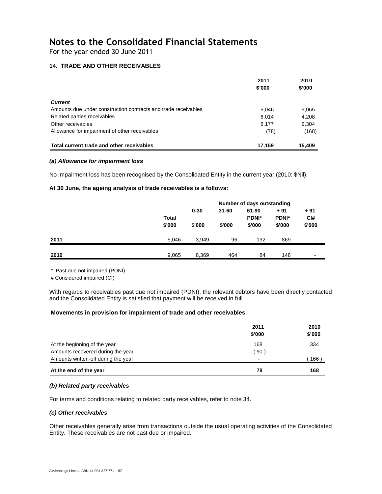For the year ended 30 June 2011

## **14. TRADE AND OTHER RECEIVABLES**

|                                                                | 2011<br>\$'000 | 2010<br>\$'000 |
|----------------------------------------------------------------|----------------|----------------|
| <b>Current</b>                                                 |                |                |
| Amounts due under construction contracts and trade receivables | 5.046          | 9,065          |
| Related parties receivables                                    | 6,014          | 4,208          |
| Other receivables                                              | 6,177          | 2,304          |
| Allowance for impairment of other receivables                  | (78)           | (168)          |
| Total current trade and other receivables                      | 17.159         | 15.409         |

#### **(a) Allowance for impairment loss**

No impairment loss has been recognised by the Consolidated Entity in the current year (2010: \$Nil).

### **At 30 June, the ageing analysis of trade receivables is a follows:**

|      |                        |                    | Number of days outstanding |                                 |                         |                                    |
|------|------------------------|--------------------|----------------------------|---------------------------------|-------------------------|------------------------------------|
|      | <b>Total</b><br>\$'000 | $0 - 30$<br>\$'000 | $31 - 60$<br>\$'000        | 61-90<br><b>PDNI*</b><br>\$'000 | + 91<br>PDNI*<br>\$'000 | $+91$<br>C <sub>1#</sub><br>\$'000 |
| 2011 | 5,046                  | 3,949              | 96                         | 132                             | 869                     | ۰                                  |
| 2010 | 9,065                  | 8,369              | 464                        | 84                              | 148                     | ۰                                  |

\* Past due not impaired (PDNI)

# Considered impaired (CI)

With regards to receivables past due not impaired (PDNI), the relevant debtors have been directly contacted and the Consolidated Entity is satisfied that payment will be received in full.

#### **Movements in provision for impairment of trade and other receivables**

|                                     | 2011<br>\$'000           | 2010<br>\$'000 |
|-------------------------------------|--------------------------|----------------|
| At the beginning of the year        | 168                      | 334            |
| Amounts recovered during the year   | (90                      |                |
| Amounts written-off during the year | $\overline{\phantom{a}}$ | 166            |
| At the end of the year              | 78                       | 168            |

#### **(b) Related party receivables**

For terms and conditions relating to related party receivables, refer to note 34.

#### **(c) Other receivables**

Other receivables generally arise from transactions outside the usual operating activities of the Consolidated Entity. These receivables are not past due or impaired.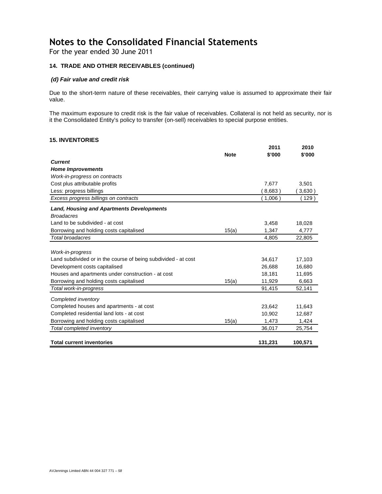For the year ended 30 June 2011

## **14. TRADE AND OTHER RECEIVABLES (continued)**

### **(d) Fair value and credit risk**

Due to the short-term nature of these receivables, their carrying value is assumed to approximate their fair value.

The maximum exposure to credit risk is the fair value of receivables. Collateral is not held as security, nor is it the Consolidated Entity's policy to transfer (on-sell) receivables to special purpose entities.

### **15. INVENTORIES**

|                                                                |             | 2011      | 2010    |
|----------------------------------------------------------------|-------------|-----------|---------|
|                                                                | <b>Note</b> | \$'000    | \$'000  |
| <b>Current</b>                                                 |             |           |         |
| <b>Home Improvements</b>                                       |             |           |         |
| Work-in-progress on contracts                                  |             |           |         |
| Cost plus attributable profits                                 |             | 7,677     | 3,501   |
| Less: progress billings                                        |             | (8,683)   | 3,630)  |
| Excess progress billings on contracts                          |             | $1,006$ ) | 129     |
| <b>Land, Housing and Apartments Developments</b>               |             |           |         |
| <b>Broadacres</b>                                              |             |           |         |
| Land to be subdivided - at cost                                |             | 3,458     | 18,028  |
| Borrowing and holding costs capitalised                        | 15(a)       | 1,347     | 4,777   |
| <b>Total broadacres</b>                                        |             | 4,805     | 22,805  |
|                                                                |             |           |         |
| Work-in-progress                                               |             |           |         |
| Land subdivided or in the course of being subdivided - at cost |             | 34,617    | 17,103  |
| Development costs capitalised                                  |             | 26,688    | 16,680  |
| Houses and apartments under construction - at cost             |             | 18,181    | 11,695  |
| Borrowing and holding costs capitalised                        | 15(a)       | 11,929    | 6,663   |
| Total work-in-progress                                         |             | 91,415    | 52,141  |
| Completed inventory                                            |             |           |         |
| Completed houses and apartments - at cost                      |             | 23,642    | 11,643  |
| Completed residential land lots - at cost                      |             | 10,902    | 12,687  |
| Borrowing and holding costs capitalised                        | 15(a)       | 1,473     | 1,424   |
| Total completed inventory                                      |             | 36,017    | 25,754  |
| <b>Total current inventories</b>                               |             | 131,231   | 100,571 |
|                                                                |             |           |         |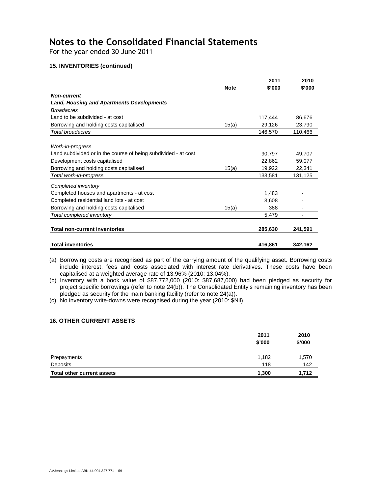For the year ended 30 June 2011

## **15. INVENTORIES (continued)**

|                                                                |             | 2011    | 2010    |
|----------------------------------------------------------------|-------------|---------|---------|
|                                                                | <b>Note</b> | \$'000  | \$'000  |
| <b>Non-current</b>                                             |             |         |         |
| <b>Land, Housing and Apartments Developments</b>               |             |         |         |
| <b>Broadacres</b>                                              |             |         |         |
| Land to be subdivided - at cost                                |             | 117,444 | 86.676  |
| Borrowing and holding costs capitalised                        | 15(a)       | 29,126  | 23,790  |
| <b>Total broadacres</b>                                        |             | 146,570 | 110,466 |
|                                                                |             |         |         |
| Work-in-progress                                               |             |         |         |
| Land subdivided or in the course of being subdivided - at cost |             | 90,797  | 49,707  |
| Development costs capitalised                                  |             | 22,862  | 59,077  |
| Borrowing and holding costs capitalised                        | 15(a)       | 19,922  | 22,341  |
| Total work-in-progress                                         |             | 133,581 | 131,125 |
| Completed inventory                                            |             |         |         |
| Completed houses and apartments - at cost                      |             | 1,483   |         |
| Completed residential land lots - at cost                      |             | 3,608   |         |
| Borrowing and holding costs capitalised                        | 15(a)       | 388     |         |
| Total completed inventory                                      |             | 5,479   |         |
|                                                                |             |         |         |
| <b>Total non-current inventories</b>                           |             | 285,630 | 241,591 |
|                                                                |             |         |         |
| <b>Total inventories</b>                                       |             | 416,861 | 342,162 |

(a) Borrowing costs are recognised as part of the carrying amount of the qualifying asset. Borrowing costs include interest, fees and costs associated with interest rate derivatives. These costs have been capitalised at a weighted average rate of 13.96% (2010: 13.04%).

(b) Inventory with a book value of \$87,772,000 (2010: \$87,687,000) had been pledged as security for project specific borrowings (refer to note 24(b)). The Consolidated Entity's remaining inventory has been pledged as security for the main banking facility (refer to note 24(a)).

(c) No inventory write-downs were recognised during the year (2010: \$Nil).

### **16. OTHER CURRENT ASSETS**

|                            | 2011<br>\$'000 | 2010<br>\$'000 |
|----------------------------|----------------|----------------|
| Prepayments                | 1,182          | 1,570          |
| Deposits                   | 118            | 142            |
| Total other current assets | 1,300          | 1.712          |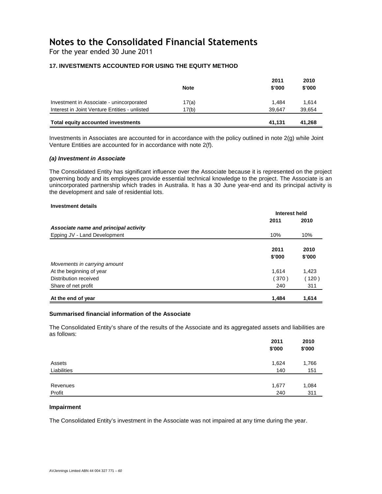For the year ended 30 June 2011

## **17. INVESTMENTS ACCOUNTED FOR USING THE EQUITY METHOD**

|                                               |             | 2011   | 2010   |
|-----------------------------------------------|-------------|--------|--------|
|                                               | <b>Note</b> | \$'000 | \$'000 |
| Investment in Associate - unincorporated      | 17(a)       | 1.484  | 1.614  |
| Interest in Joint Venture Entities - unlisted | 17(b)       | 39.647 | 39.654 |
| Total equity accounted investments            |             | 41.131 | 41.268 |

Investments in Associates are accounted for in accordance with the policy outlined in note 2(g) while Joint Venture Entities are accounted for in accordance with note 2(f).

### **(a) Investment in Associate**

The Consolidated Entity has significant influence over the Associate because it is represented on the project governing body and its employees provide essential technical knowledge to the project. The Associate is an unincorporated partnership which trades in Australia. It has a 30 June year-end and its principal activity is the development and sale of residential lots.

#### **Investment details**

|                                       |        | Interest held |  |  |
|---------------------------------------|--------|---------------|--|--|
|                                       | 2011   | 2010          |  |  |
| Associate name and principal activity |        |               |  |  |
| Epping JV - Land Development          | 10%    | 10%           |  |  |
|                                       | 2011   | 2010          |  |  |
|                                       | \$'000 | \$'000        |  |  |
| Movements in carrying amount          |        |               |  |  |
| At the beginning of year              | 1.614  | 1,423         |  |  |
| Distribution received                 | (370)  | (120)         |  |  |
| Share of net profit                   | 240    | 311           |  |  |
| At the end of year                    | 1,484  | 1,614         |  |  |

#### **Summarised financial information of the Associate**

The Consolidated Entity's share of the results of the Associate and its aggregated assets and liabilities are as follows:

|             | 2011<br>\$'000 | 2010<br>\$'000 |
|-------------|----------------|----------------|
| Assets      | 1,624          | 1,766          |
| Liabilities | 140            | 151            |
| Revenues    | 1,677          | 1,084          |
| Profit      | 240            | 311            |

#### **Impairment**

The Consolidated Entity's investment in the Associate was not impaired at any time during the year.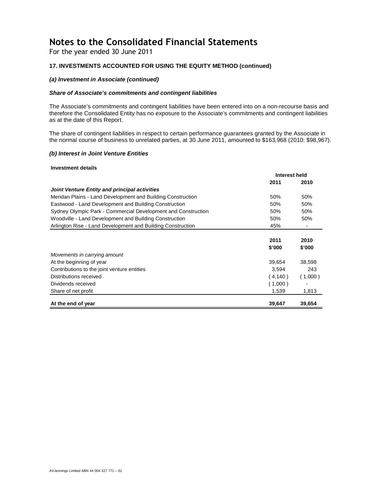For the year ended 30 June 2011

## **17. INVESTMENTS ACCOUNTED FOR USING THE EQUITY METHOD (continued)**

### **(a) Investment in Associate (continued)**

#### **Share of Associate's commitments and contingent liabilities**

The Associate's commitments and contingent liabilities have been entered into on a non-recourse basis and therefore the Consolidated Entity has no exposure to the Associate's commitments and contingent liabilities as at the date of this Report.

The share of contingent liabilities in respect to certain performance guarantees granted by the Associate in the normal course of business to unrelated parties, at 30 June 2011, amounted to \$163,968 (2010: \$98,967).

#### **(b) Interest in Joint Venture Entities**

#### **Investment details**

|                                                               | Interest held |         |
|---------------------------------------------------------------|---------------|---------|
|                                                               | 2011          | 2010    |
| Joint Venture Entity and principal activities                 |               |         |
| Meridan Plains - Land Development and Building Construction   | 50%           | 50%     |
| Eastwood - Land Development and Building Construction         | 50%           | 50%     |
| Sydney Olympic Park - Commercial Development and Construction | 50%           | 50%     |
| Woodville - Land Development and Building Construction        | 50%           | 50%     |
| Arlington Rise - Land Development and Building Construction   | 45%           |         |
|                                                               |               |         |
|                                                               | 2011          | 2010    |
|                                                               | \$'000        | \$'000  |
| Movements in carrying amount                                  |               |         |
| At the beginning of year                                      | 39,654        | 38,598  |
| Contributions to the joint venture entities                   | 3,594         | 243     |
| Distributions received                                        | (4, 140)      | (1,000) |
| Dividends received                                            | (1,000)       |         |
| Share of net profit                                           | 1.539         | 1,813   |
| At the end of year                                            | 39,647        | 39,654  |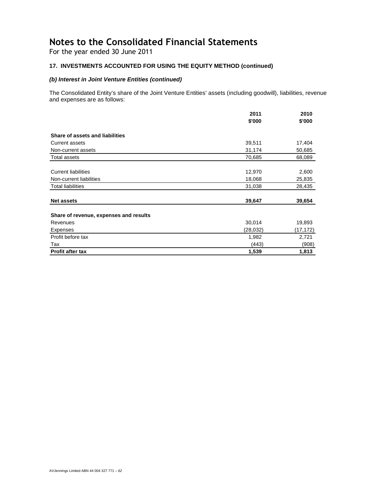For the year ended 30 June 2011

## **17. INVESTMENTS ACCOUNTED FOR USING THE EQUITY METHOD (continued)**

## **(b) Interest in Joint Venture Entities (continued)**

The Consolidated Entity's share of the Joint Venture Entities' assets (including goodwill), liabilities, revenue and expenses are as follows:

|                                        | 2011      | 2010      |
|----------------------------------------|-----------|-----------|
|                                        | \$'000    | \$'000    |
| Share of assets and liabilities        |           |           |
| <b>Current assets</b>                  | 39,511    | 17,404    |
| Non-current assets                     | 31,174    | 50,685    |
| <b>Total assets</b>                    | 70,685    | 68,089    |
|                                        |           |           |
| <b>Current liabilities</b>             | 12,970    | 2,600     |
| Non-current liabilities                | 18,068    | 25,835    |
| <b>Total liabilities</b>               | 31,038    | 28,435    |
| <b>Net assets</b>                      | 39,647    | 39,654    |
| Share of revenue, expenses and results |           |           |
| Revenues                               | 30,014    | 19,893    |
| <b>Expenses</b>                        | (28, 032) | (17, 172) |
| Profit before tax                      | 1,982     | 2,721     |
| Tax                                    | (443)     | (908)     |
| <b>Profit after tax</b>                | 1,539     | 1,813     |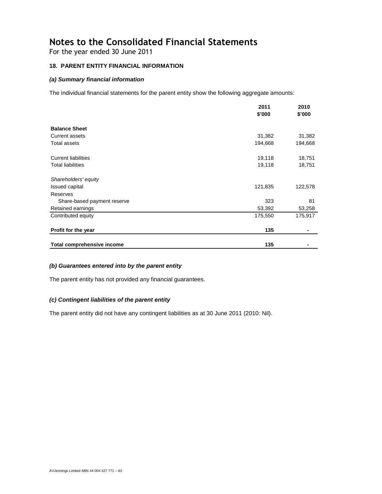For the year ended 30 June 2011

## **18. PARENT ENTITY FINANCIAL INFORMATION**

### **(a) Summary financial information**

The individual financial statements for the parent entity show the following aggregate amounts:

|                                   | 2011    | 2010    |
|-----------------------------------|---------|---------|
|                                   | \$'000  | \$'000  |
| <b>Balance Sheet</b>              |         |         |
| <b>Current assets</b>             | 31,382  | 31,382  |
| <b>Total assets</b>               | 194,668 | 194,668 |
| <b>Current liabilities</b>        | 19,118  | 18,751  |
| <b>Total liabilities</b>          | 19,118  | 18,751  |
| Shareholders' equity              |         |         |
| <b>Issued capital</b>             | 121,835 | 122,578 |
| Reserves                          |         |         |
| Share-based payment reserve       | 323     | 81      |
| Retained earnings                 | 53,392  | 53,258  |
| Contributed equity                | 175,550 | 175,917 |
| Profit for the year               | 135     |         |
| <b>Total comprehensive income</b> | 135     |         |

## **(b) Guarantees entered into by the parent entity**

The parent entity has not provided any financial guarantees.

## **(c) Contingent liabilities of the parent entity**

The parent entity did not have any contingent liabilities as at 30 June 2011 (2010: Nil).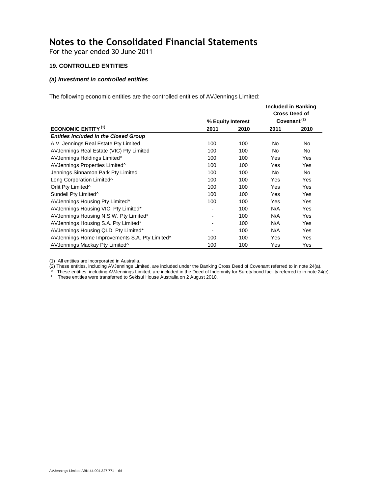For the year ended 30 June 2011

## **19. CONTROLLED ENTITIES**

### **(a) Investment in controlled entities**

The following economic entities are the controlled entities of AVJennings Limited:

|                                                |                          |      |                         | <b>Included in Banking</b><br><b>Cross Deed of</b> |
|------------------------------------------------|--------------------------|------|-------------------------|----------------------------------------------------|
|                                                | % Equity Interest        |      | Covenant <sup>(2)</sup> |                                                    |
| <b>ECONOMIC ENTITY (1)</b>                     | 2011                     | 2010 | 2011                    | 2010                                               |
| <b>Entities included in the Closed Group</b>   |                          |      |                         |                                                    |
| A.V. Jennings Real Estate Pty Limited          | 100                      | 100  | No                      | <b>No</b>                                          |
| AVJennings Real Estate (VIC) Pty Limited       | 100                      | 100  | No                      | <b>No</b>                                          |
| AVJennings Holdings Limited^                   | 100                      | 100  | Yes                     | Yes                                                |
| AVJennings Properties Limited^                 | 100                      | 100  | Yes                     | Yes                                                |
| Jennings Sinnamon Park Pty Limited             | 100                      | 100  | No                      | <b>No</b>                                          |
| Long Corporation Limited <sup>^</sup>          | 100                      | 100  | Yes                     | Yes                                                |
| Orlit Pty Limited <sup>^</sup>                 | 100                      | 100  | Yes                     | Yes                                                |
| Sundell Pty Limited^                           | 100                      | 100  | Yes                     | Yes                                                |
| AVJennings Housing Pty Limited <sup>^</sup>    | 100                      | 100  | Yes                     | Yes                                                |
| AVJennings Housing VIC. Pty Limited*           | $\overline{\phantom{0}}$ | 100  | N/A                     | Yes                                                |
| AVJennings Housing N.S.W. Pty Limited*         | $\overline{\phantom{a}}$ | 100  | N/A                     | Yes                                                |
| AVJennings Housing S.A. Pty Limited*           | $\overline{\phantom{a}}$ | 100  | N/A                     | Yes                                                |
| AVJennings Housing QLD. Pty Limited*           | $\blacksquare$           | 100  | N/A                     | Yes                                                |
| AVJennings Home Improvements S.A. Pty Limited^ | 100                      | 100  | Yes                     | Yes                                                |
| AVJennings Mackay Pty Limited <sup>^</sup>     | 100                      | 100  | Yes                     | Yes                                                |

(1) All entities are incorporated in Australia.

(2) These entities, including AVJennings Limited, are included under the Banking Cross Deed of Covenant referred to in note 24(a).

^ These entities, including AVJennings Limited, are included in the Deed of Indemnity for Surety bond facility referred to in note 24(c).

\* These entities were transferred to Sekisui House Australia on 2 August 2010.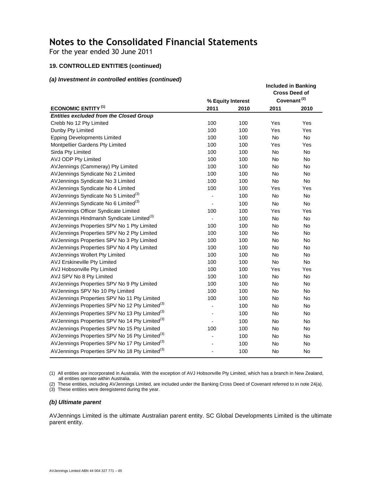For the year ended 30 June 2011

### **19. CONTROLLED ENTITIES (continued)**

#### **(a) Investment in controlled entities (continued)**

|                                                            |                          |                   |           | mciuded in Banking<br><b>Cross Deed of</b> |
|------------------------------------------------------------|--------------------------|-------------------|-----------|--------------------------------------------|
|                                                            |                          | % Equity Interest |           | Covenant <sup>(2)</sup>                    |
| <b>ECONOMIC ENTITY (1)</b>                                 | 2011                     | 2010              | 2011      | 2010                                       |
| <b>Entities excluded from the Closed Group</b>             |                          |                   |           |                                            |
| Crebb No 12 Pty Limited                                    | 100                      | 100               | Yes       | Yes                                        |
| Dunby Pty Limited                                          | 100                      | 100               | Yes       | Yes                                        |
| <b>Epping Developments Limited</b>                         | 100                      | 100               | No        | <b>No</b>                                  |
| Montpellier Gardens Pty Limited                            | 100                      | 100               | Yes       | Yes                                        |
| Sirda Pty Limited                                          | 100                      | 100               | No        | No                                         |
| AVJ ODP Pty Limited                                        | 100                      | 100               | <b>No</b> | <b>No</b>                                  |
| AVJennings (Cammeray) Pty Limited                          | 100                      | 100               | <b>No</b> | <b>No</b>                                  |
| AVJennings Syndicate No 2 Limited                          | 100                      | 100               | <b>No</b> | <b>No</b>                                  |
| AVJennings Syndicate No 3 Limited                          | 100                      | 100               | <b>No</b> | <b>No</b>                                  |
| AVJennings Syndicate No 4 Limited                          | 100                      | 100               | Yes       | Yes                                        |
| AVJennings Syndicate No 5 Limited <sup>(3)</sup>           | $\overline{\phantom{a}}$ | 100               | No        | No                                         |
| AVJennings Syndicate No 6 Limited <sup>(3)</sup>           | $\blacksquare$           | 100               | <b>No</b> | <b>No</b>                                  |
| <b>AVJennings Officer Syndicate Limited</b>                | 100                      | 100               | Yes       | Yes                                        |
| AVJennings Hindmarsh Syndicate Limited <sup>(3)</sup>      | $\overline{a}$           | 100               | <b>No</b> | <b>No</b>                                  |
| AVJennings Properties SPV No 1 Pty Limited                 | 100                      | 100               | <b>No</b> | <b>No</b>                                  |
| AVJennings Properties SPV No 2 Pty Limited                 | 100                      | 100               | <b>No</b> | No                                         |
| AVJennings Properties SPV No 3 Pty Limited                 | 100                      | 100               | <b>No</b> | <b>No</b>                                  |
| AVJennings Properties SPV No 4 Pty Limited                 | 100                      | 100               | <b>No</b> | <b>No</b>                                  |
| AVJennings Wollert Pty Limited                             | 100                      | 100               | <b>No</b> | <b>No</b>                                  |
| AVJ Erskineville Pty Limited                               | 100                      | 100               | <b>No</b> | <b>No</b>                                  |
| AVJ Hobsonville Pty Limited                                | 100                      | 100               | Yes       | Yes                                        |
| AVJ SPV No 8 Pty Limited                                   | 100                      | 100               | <b>No</b> | <b>No</b>                                  |
| AVJennings Properties SPV No 9 Pty Limited                 | 100                      | 100               | <b>No</b> | <b>No</b>                                  |
| AVJennings SPV No 10 Pty Limited                           | 100                      | 100               | <b>No</b> | No                                         |
| AVJennings Properties SPV No 11 Pty Limited                | 100                      | 100               | <b>No</b> | <b>No</b>                                  |
| AVJennings Properties SPV No 12 Pty Limited <sup>(3)</sup> | $\overline{\phantom{0}}$ | 100               | <b>No</b> | <b>No</b>                                  |
| AVJennings Properties SPV No 13 Pty Limited <sup>(3)</sup> | $\overline{\phantom{a}}$ | 100               | <b>No</b> | <b>No</b>                                  |
| AVJennings Properties SPV No 14 Pty Limited <sup>(3)</sup> |                          | 100               | No        | No                                         |
| AVJennings Properties SPV No 15 Pty Limited                | 100                      | 100               | No        | No                                         |
| AVJennings Properties SPV No 16 Pty Limited <sup>(3)</sup> |                          | 100               | <b>No</b> | <b>No</b>                                  |
| AVJennings Properties SPV No 17 Pty Limited <sup>(3)</sup> |                          | 100               | <b>No</b> | <b>No</b>                                  |
| AVJennings Properties SPV No 18 Pty Limited <sup>(3)</sup> | $\frac{1}{2}$            | 100               | <b>No</b> | <b>No</b>                                  |

**Included in Banking** 

(1) All entities are incorporated in Australia. With the exception of AVJ Hobsonville Pty Limited, which has a branch in New Zealand, all entities operate within Australia.

(2) These entities, including AVJennings Limited, are included under the Banking Cross Deed of Covenant referred to in note 24(a).

(3) These entities were deregistered during the year.

#### **(b) Ultimate parent**

AVJennings Limited is the ultimate Australian parent entity. SC Global Developments Limited is the ultimate parent entity.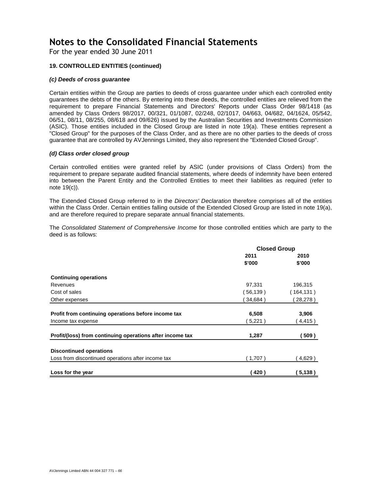For the year ended 30 June 2011

## **19. CONTROLLED ENTITIES (continued)**

### **(c) Deeds of cross guarantee**

Certain entities within the Group are parties to deeds of cross guarantee under which each controlled entity guarantees the debts of the others. By entering into these deeds, the controlled entities are relieved from the requirement to prepare Financial Statements and Directors' Reports under Class Order 98/1418 (as amended by Class Orders 98/2017, 00/321, 01/1087, 02/248, 02/1017, 04/663, 04/682, 04/1624, 05/542, 06/51, 08/11, 08/255, 08/618 and 09/626) issued by the Australian Securities and Investments Commission (ASIC). Those entities included in the Closed Group are listed in note 19(a). These entities represent a "Closed Group" for the purposes of the Class Order, and as there are no other parties to the deeds of cross guarantee that are controlled by AVJennings Limited, they also represent the "Extended Closed Group".

### **(d) Class order closed group**

Certain controlled entities were granted relief by ASIC (under provisions of Class Orders) from the requirement to prepare separate audited financial statements, where deeds of indemnity have been entered into between the Parent Entity and the Controlled Entities to meet their liabilities as required (refer to note 19(c)).

The Extended Closed Group referred to in the *Directors' Declaration* therefore comprises all of the entities within the Class Order. Certain entities falling outside of the Extended Closed Group are listed in note 19(a), and are therefore required to prepare separate annual financial statements.

The Consolidated Statement of Comprehensive Income for those controlled entities which are party to the deed is as follows:

|                                                           | <b>Closed Group</b> |           |
|-----------------------------------------------------------|---------------------|-----------|
|                                                           | 2011                | 2010      |
|                                                           | \$'000              | \$'000    |
| <b>Continuing operations</b>                              |                     |           |
| Revenues                                                  | 97,331              | 196,315   |
| Cost of sales                                             | $56,139$ )          | (164,131) |
| Other expenses                                            | 34,684)             | 28,278)   |
| Profit from continuing operations before income tax       | 6,508               | 3,906     |
| Income tax expense                                        | 5,221)              | 4,415)    |
| Profit/(loss) from continuing operations after income tax | 1,287               | 509)      |
| <b>Discontinued operations</b>                            |                     |           |
| Loss from discontinued operations after income tax        | (1,707)             | $4,629$ ) |
| Loss for the year                                         | 420)                | 5,138)    |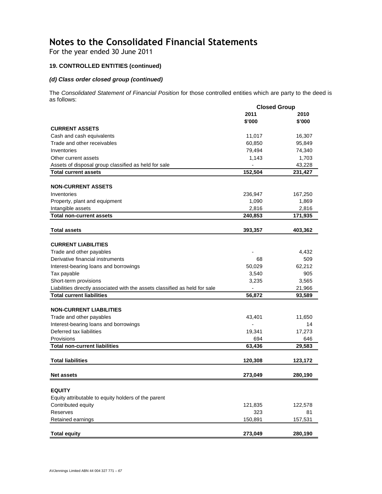For the year ended 30 June 2011

# **19. CONTROLLED ENTITIES (continued)**

## **(d) Class order closed group (continued)**

The Consolidated Statement of Financial Position for those controlled entities which are party to the deed is as follows:

|                                                                             | <b>Closed Group</b> |         |
|-----------------------------------------------------------------------------|---------------------|---------|
|                                                                             | 2011                | 2010    |
|                                                                             | \$'000              | \$'000  |
| <b>CURRENT ASSETS</b>                                                       |                     |         |
| Cash and cash equivalents                                                   | 11,017              | 16,307  |
| Trade and other receivables                                                 | 60,850              | 95,849  |
| Inventories                                                                 | 79,494              | 74,340  |
| Other current assets                                                        | 1,143               | 1,703   |
| Assets of disposal group classified as held for sale                        |                     | 43,228  |
| <b>Total current assets</b>                                                 | 152,504             | 231,427 |
|                                                                             |                     |         |
| <b>NON-CURRENT ASSETS</b>                                                   |                     |         |
| Inventories                                                                 | 236,947             | 167,250 |
| Property, plant and equipment                                               | 1,090               | 1,869   |
| Intangible assets                                                           | 2,816               | 2,816   |
| <b>Total non-current assets</b>                                             | 240,853             | 171,935 |
|                                                                             |                     |         |
| <b>Total assets</b>                                                         | 393,357             | 403,362 |
|                                                                             |                     |         |
| <b>CURRENT LIABILITIES</b>                                                  |                     |         |
| Trade and other payables                                                    |                     | 4,432   |
| Derivative financial instruments                                            | 68                  | 509     |
| Interest-bearing loans and borrowings                                       | 50,029              | 62,212  |
| Tax payable                                                                 | 3,540               | 905     |
| Short-term provisions                                                       | 3,235               | 3,565   |
| Liabilities directly associated with the assets classified as held for sale |                     | 21,966  |
| <b>Total current liabilities</b>                                            | 56,872              | 93,589  |
|                                                                             |                     |         |
| <b>NON-CURRENT LIABILITIES</b>                                              |                     |         |
| Trade and other payables                                                    | 43,401              | 11,650  |
| Interest-bearing loans and borrowings                                       | $\overline{a}$      | 14      |
| Deferred tax liabilities                                                    | 19,341              | 17,273  |
| Provisions                                                                  | 694                 | 646     |
| <b>Total non-current liabilities</b>                                        | 63,436              | 29,583  |
|                                                                             |                     |         |
| <b>Total liabilities</b>                                                    | 120,308             | 123,172 |
| <b>Net assets</b>                                                           | 273,049             | 280,190 |
|                                                                             |                     |         |
| <b>EQUITY</b>                                                               |                     |         |
| Equity attributable to equity holders of the parent                         |                     |         |
| Contributed equity                                                          | 121,835             | 122,578 |
| Reserves                                                                    | 323                 | 81      |
| Retained earnings                                                           | 150,891             | 157,531 |
|                                                                             |                     |         |
| <b>Total equity</b>                                                         | 273,049             | 280,190 |
|                                                                             |                     |         |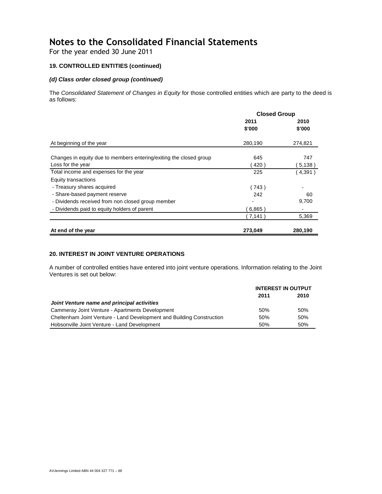For the year ended 30 June 2011

## **19. CONTROLLED ENTITIES (continued)**

## **(d) Class order closed group (continued)**

The Consolidated Statement of Changes in Equity for those controlled entities which are party to the deed is as follows:

|                                                                    | <b>Closed Group</b> |         |  |
|--------------------------------------------------------------------|---------------------|---------|--|
|                                                                    | 2011                | 2010    |  |
|                                                                    | \$'000              | \$'000  |  |
| At beginning of the year                                           | 280,190             | 274,821 |  |
| Changes in equity due to members entering/exiting the closed group | 645                 | 747     |  |
| Loss for the year                                                  | 420                 | 5,138)  |  |
| Total income and expenses for the year                             | 225                 | (4,391) |  |
| <b>Equity transactions</b>                                         |                     |         |  |
| - Treasury shares acquired                                         | 〔743〕               |         |  |
| - Share-based payment reserve                                      | 242                 | 60      |  |
| - Dividends received from non closed group member                  |                     | 9,700   |  |
| - Dividends paid to equity holders of parent                       | 6,865               |         |  |
|                                                                    | (7, 141)            | 5,369   |  |
| At end of the year                                                 | 273,049             | 280,190 |  |

## **20. INTEREST IN JOINT VENTURE OPERATIONS**

A number of controlled entities have entered into joint venture operations. Information relating to the Joint Ventures is set out below:

|                                                                       | <b>INTEREST IN OUTPUT</b> |      |
|-----------------------------------------------------------------------|---------------------------|------|
|                                                                       | 2011                      | 2010 |
| Joint Venture name and principal activities                           |                           |      |
| Cammeray Joint Venture - Apartments Development                       | 50%                       | 50%  |
| Cheltenham Joint Venture - Land Development and Building Construction | 50%                       | 50%  |
| Hobsonville Joint Venture - Land Development                          | 50%                       | 50%  |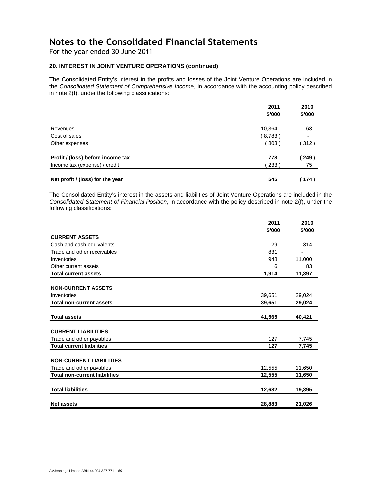For the year ended 30 June 2011

## **20. INTEREST IN JOINT VENTURE OPERATIONS (continued)**

The Consolidated Entity's interest in the profits and losses of the Joint Venture Operations are included in the Consolidated Statement of Comprehensive Income, in accordance with the accounting policy described in note 2(f), under the following classifications:

|                                   | 2011    | 2010   |
|-----------------------------------|---------|--------|
|                                   | \$'000  | \$'000 |
| Revenues                          | 10,364  | 63     |
| Cost of sales                     | (8,783) |        |
| Other expenses                    | 803)    | 312)   |
| Profit / (loss) before income tax | 778     | 249)   |
| Income tax (expense) / credit     | 233)    | 75     |
| Net profit / (loss) for the year  | 545     | 174)   |

The Consolidated Entity's interest in the assets and liabilities of Joint Venture Operations are included in the Consolidated Statement of Financial Position, in accordance with the policy described in note 2(f), under the following classifications:

|                                      | 2011   | 2010   |
|--------------------------------------|--------|--------|
|                                      | \$'000 | \$'000 |
| <b>CURRENT ASSETS</b>                |        |        |
| Cash and cash equivalents            | 129    | 314    |
| Trade and other receivables          | 831    |        |
| Inventories                          | 948    | 11,000 |
| Other current assets                 | 6      | 83     |
| <b>Total current assets</b>          | 1,914  | 11,397 |
| <b>NON-CURRENT ASSETS</b>            |        |        |
| Inventories                          | 39,651 | 29,024 |
| <b>Total non-current assets</b>      | 39,651 | 29,024 |
| <b>Total assets</b>                  | 41,565 | 40,421 |
|                                      |        |        |
| <b>CURRENT LIABILITIES</b>           |        |        |
| Trade and other payables             | 127    | 7,745  |
| <b>Total current liabilities</b>     | 127    | 7,745  |
| <b>NON-CURRENT LIABILITIES</b>       |        |        |
| Trade and other payables             | 12,555 | 11,650 |
| <b>Total non-current liabilities</b> | 12,555 | 11,650 |
| <b>Total liabilities</b>             | 12,682 | 19,395 |
| <b>Net assets</b>                    | 28,883 | 21,026 |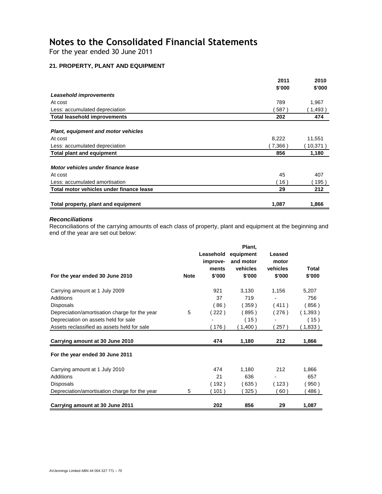For the year ended 30 June 2011

## **21. PROPERTY, PLANT AND EQUIPMENT**

|                                            | 2011      | 2010     |
|--------------------------------------------|-----------|----------|
|                                            | \$'000    | \$'000   |
| Leasehold improvements                     |           |          |
| At cost                                    | 789       | 1,967    |
| Less: accumulated depreciation             | 587       | 〔1,493 〕 |
| <b>Total leasehold improvements</b>        | 202       | 474      |
| <b>Plant, equipment and motor vehicles</b> |           |          |
| At cost                                    | 8,222     | 11,551   |
| Less: accumulated depreciation             | $7,366$ ) | 10,371)  |
| <b>Total plant and equipment</b>           | 856       | 1,180    |
| Motor vehicles under finance lease         |           |          |
| At cost                                    | 45        | 407      |
| Less: accumulated amortisation             | 16)       | 195)     |
| Total motor vehicles under finance lease   | 29        | 212      |
| Total property, plant and equipment        | 1,087     | 1,866    |

## **Reconciliations**

Reconciliations of the carrying amounts of each class of property, plant and equipment at the beginning and end of the year are set out below:

| For the year ended 30 June 2010               | <b>Note</b> | Leasehold<br>improve-<br>ments<br>\$'000 | Plant,<br>equipment<br>and motor<br>vehicles<br>\$'000 | Leased<br>motor<br>vehicles<br>\$'000 | Total<br>\$'000 |
|-----------------------------------------------|-------------|------------------------------------------|--------------------------------------------------------|---------------------------------------|-----------------|
| Carrying amount at 1 July 2009                |             | 921                                      | 3,130                                                  | 1,156                                 | 5,207           |
| Additions                                     |             | 37                                       | 719                                                    |                                       | 756             |
| <b>Disposals</b>                              |             | (86)                                     | (359)                                                  | (411)                                 | (856)           |
| Depreciation/amortisation charge for the year | 5           | 222)                                     | (895)                                                  | (276)                                 | (1,393)         |
| Depreciation on assets held for sale          |             |                                          | (15)                                                   |                                       | (15)            |
| Assets reclassified as assets held for sale   |             | (176)                                    | (1,400)                                                | 〔257〕                                 | (1,833)         |
| Carrying amount at 30 June 2010               |             | 474                                      | 1,180                                                  | 212                                   | 1,866           |
| For the year ended 30 June 2011               |             |                                          |                                                        |                                       |                 |
| Carrying amount at 1 July 2010                |             | 474                                      | 1,180                                                  | 212                                   | 1,866           |
| Additions                                     |             | 21                                       | 636                                                    |                                       | 657             |
| Disposals                                     |             | (192)                                    | (635)                                                  | (123)                                 | 950)            |
| Depreciation/amortisation charge for the year | 5           | 101)                                     | 325)                                                   | 60)                                   | 486)            |
| Carrying amount at 30 June 2011               |             | 202                                      | 856                                                    | 29                                    | 1,087           |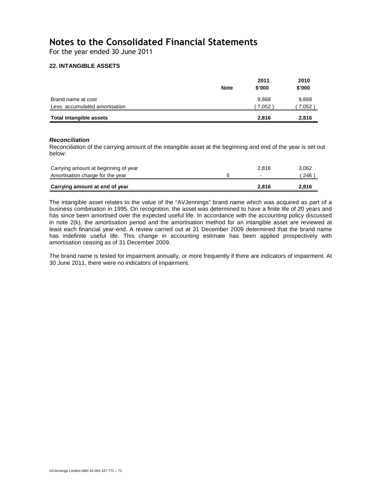For the year ended 30 June 2011

## **22. INTANGIBLE ASSETS**

|                                |             | 2011   | 2010      |
|--------------------------------|-------------|--------|-----------|
|                                | <b>Note</b> | \$'000 | \$'000    |
| Brand name at cost             |             | 9.868  | 9,868     |
| Less: accumulated amortisation |             | 7.052  | $7,052$ ) |
| Total intangible assets        |             | 2.816  | 2.816     |

### **Reconciliation**

Reconciliation of the carrying amount of the intangible asset at the beginning and end of the year is set out below:

| Carrying amount at beginning of year | 2.816                    | 3.062 |
|--------------------------------------|--------------------------|-------|
| Amortisation charge for the year     | $\overline{\phantom{0}}$ | 246   |
| Carrying amount at end of year       | 2.816                    | 2.816 |

The intangible asset relates to the value of the "AVJennings" brand name which was acquired as part of a business combination in 1995. On recognition, the asset was determined to have a finite life of 20 years and has since been amortised over the expected useful life. In accordance with the accounting policy discussed in note 2(k), the amortisation period and the amortisation method for an intangible asset are reviewed at least each financial year-end. A review carried out at 31 December 2009 determined that the brand name has indefinite useful life. This change in accounting estimate has been applied prospectively with amortisation ceasing as of 31 December 2009.

The brand name is tested for impairment annually, or more frequently if there are indicators of impairment. At 30 June 2011, there were no indicators of impairment.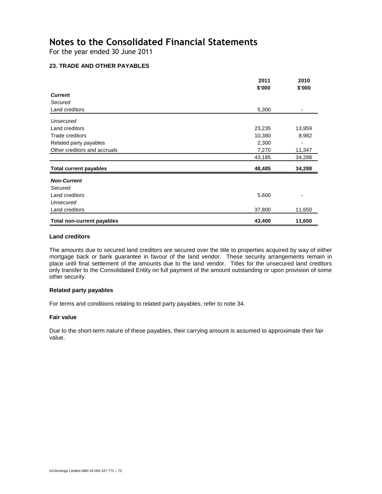For the year ended 30 June 2011

## **23. TRADE AND OTHER PAYABLES**

|                                   | 2011   | 2010   |
|-----------------------------------|--------|--------|
|                                   | \$'000 | \$'000 |
| <b>Current</b>                    |        |        |
| Secured                           |        |        |
| Land creditors                    | 5,300  | -      |
| Unsecured                         |        |        |
| Land creditors                    | 23,235 | 13,959 |
| Trade creditors                   | 10,380 | 8,982  |
| Related party payables            | 2,300  |        |
| Other creditors and accruals      | 7,270  | 11,347 |
|                                   | 43,185 | 34,288 |
| <b>Total current payables</b>     | 48,485 | 34,288 |
| <b>Non-Current</b>                |        |        |
| Secured                           |        |        |
| Land creditors                    | 5,600  |        |
| Unsecured                         |        |        |
| Land creditors                    | 37,800 | 11,650 |
| <b>Total non-current payables</b> | 43,400 | 11,650 |

## **Land creditors**

The amounts due to secured land creditors are secured over the title to properties acquired by way of either mortgage back or bank guarantee in favour of the land vendor. These security arrangements remain in place until final settlement of the amounts due to the land vendor. Titles for the unsecured land creditors only transfer to the Consolidated Entity on full payment of the amount outstanding or upon provision of some other security.

### **Related party payables**

For terms and conditions relating to related party payables, refer to note 34.

### **Fair value**

Due to the short-term nature of these payables, their carrying amount is assumed to approximate their fair value.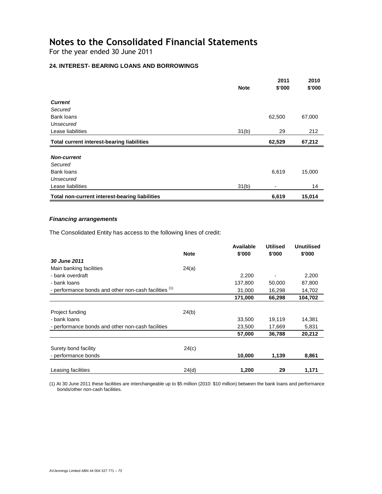For the year ended 30 June 2011

# **24. INTEREST- BEARING LOANS AND BORROWINGS**

|                                                | <b>Note</b> | 2011<br>\$'000 | 2010<br>\$'000 |
|------------------------------------------------|-------------|----------------|----------------|
| <b>Current</b>                                 |             |                |                |
| Secured                                        |             |                |                |
| Bank loans                                     |             | 62,500         | 67,000         |
| Unsecured                                      |             |                |                |
| Lease liabilities                              | 31(b)       | 29             | 212            |
| Total current interest-bearing liabilities     |             | 62,529         | 67,212         |
| <b>Non-current</b>                             |             |                |                |
| Secured                                        |             |                |                |
| Bank loans                                     |             | 6,619          | 15,000         |
| Unsecured                                      |             |                |                |
| Lease liabilities                              | 31(b)       | ٠              | 14             |
| Total non-current interest-bearing liabilities |             | 6,619          | 15,014         |

### **Financing arrangements**

The Consolidated Entity has access to the following lines of credit:

|                                                                  | <b>Note</b> | Available<br>\$'000 | <b>Utilised</b><br>\$'000 | <b>Unutilised</b><br>\$'000 |
|------------------------------------------------------------------|-------------|---------------------|---------------------------|-----------------------------|
| 30 June 2011                                                     |             |                     |                           |                             |
| Main banking facilities                                          | 24(a)       |                     |                           |                             |
| - bank overdraft                                                 |             | 2,200               |                           | 2,200                       |
| - bank loans                                                     |             | 137,800             | 50,000                    | 87,800                      |
| - performance bonds and other non-cash facilities <sup>(1)</sup> |             | 31,000              | 16,298                    | 14,702                      |
|                                                                  |             | 171,000             | 66,298                    | 104,702                     |
| Project funding                                                  | 24(b)       |                     |                           |                             |
| - bank loans                                                     |             | 33,500              | 19,119                    | 14,381                      |
| - performance bonds and other non-cash facilities                |             | 23,500              | 17,669                    | 5,831                       |
|                                                                  |             | 57,000              | 36,788                    | 20,212                      |
| Surety bond facility                                             | 24(c)       |                     |                           |                             |
| - performance bonds                                              |             | 10,000              | 1,139                     | 8,861                       |
| Leasing facilities                                               | 24(d)       | 1,200               | 29                        | 1,171                       |

(1) At 30 June 2011 these facilities are interchangeable up to \$5 million (2010: \$10 million) between the bank loans and performance bonds/other non-cash facilities.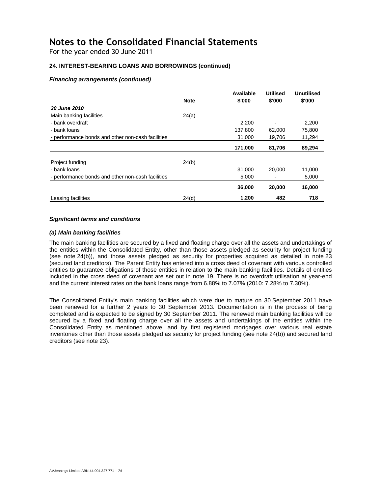For the year ended 30 June 2011

# **24. INTEREST-BEARING LOANS AND BORROWINGS (continued)**

## **Financing arrangements (continued)**

|                                                   |             | Available | <b>Utilised</b> | Unutilised |
|---------------------------------------------------|-------------|-----------|-----------------|------------|
|                                                   | <b>Note</b> | \$'000    | \$'000          | \$'000     |
| 30 June 2010                                      |             |           |                 |            |
| Main banking facilities                           | 24(a)       |           |                 |            |
| - bank overdraft                                  |             | 2,200     |                 | 2,200      |
| - bank loans                                      |             | 137,800   | 62,000          | 75,800     |
| - performance bonds and other non-cash facilities |             | 31,000    | 19,706          | 11,294     |
|                                                   |             | 171,000   | 81,706          | 89,294     |
|                                                   |             |           |                 |            |
| Project funding                                   | 24(b)       |           |                 |            |
| - bank loans                                      |             | 31,000    | 20,000          | 11,000     |
| - performance bonds and other non-cash facilities |             | 5,000     |                 | 5,000      |
|                                                   |             | 36,000    | 20,000          | 16,000     |
| Leasing facilities                                | 24(d)       | 1,200     | 482             | 718        |

#### **Significant terms and conditions**

#### **(a) Main banking facilities**

The main banking facilities are secured by a fixed and floating charge over all the assets and undertakings of the entities within the Consolidated Entity, other than those assets pledged as security for project funding (see note 24(b)), and those assets pledged as security for properties acquired as detailed in note 23 (secured land creditors). The Parent Entity has entered into a cross deed of covenant with various controlled entities to guarantee obligations of those entities in relation to the main banking facilities. Details of entities included in the cross deed of covenant are set out in note 19. There is no overdraft utilisation at year-end and the current interest rates on the bank loans range from 6.88% to 7.07% (2010: 7.28% to 7.30%).

The Consolidated Entity's main banking facilities which were due to mature on 30 September 2011 have been renewed for a further 2 years to 30 September 2013. Documentation is in the process of being completed and is expected to be signed by 30 September 2011. The renewed main banking facilities will be secured by a fixed and floating charge over all the assets and undertakings of the entities within the Consolidated Entity as mentioned above, and by first registered mortgages over various real estate inventories other than those assets pledged as security for project funding (see note 24(b)) and secured land creditors (see note 23).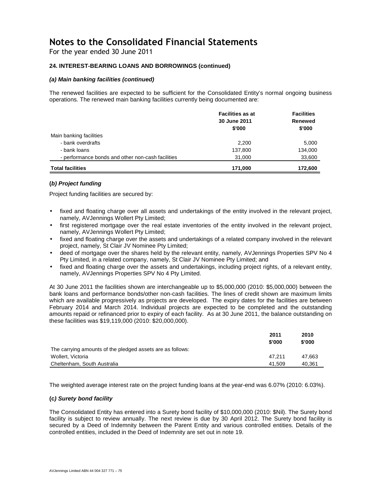For the year ended 30 June 2011

## **24. INTEREST-BEARING LOANS AND BORROWINGS (continued)**

### **(a) Main banking facilities (continued)**

The renewed facilities are expected to be sufficient for the Consolidated Entity's normal ongoing business operations. The renewed main banking facilities currently being documented are:

|                                                   | <b>Facilities as at</b><br>30 June 2011<br>\$'000 | <b>Facilities</b><br>Renewed<br>\$'000 |
|---------------------------------------------------|---------------------------------------------------|----------------------------------------|
| Main banking facilities                           |                                                   |                                        |
| - bank overdrafts                                 | 2.200                                             | 5,000                                  |
| - bank loans                                      | 137,800                                           | 134,000                                |
| - performance bonds and other non-cash facilities | 31,000                                            | 33,600                                 |
| <b>Total facilities</b>                           | 171.000                                           | 172,600                                |

## **(b) Project funding**

Project funding facilities are secured by:

- fixed and floating charge over all assets and undertakings of the entity involved in the relevant project, namely, AVJennings Wollert Pty Limited;
- first registered mortgage over the real estate inventories of the entity involved in the relevant project, namely, AVJennings Wollert Pty Limited;
- fixed and floating charge over the assets and undertakings of a related company involved in the relevant project, namely, St Clair JV Nominee Pty Limited;
- deed of mortgage over the shares held by the relevant entity, namely, AVJennings Properties SPV No 4 Pty Limited, in a related company, namely, St Clair JV Nominee Pty Limited; and
- fixed and floating charge over the assets and undertakings, including project rights, of a relevant entity, namely, AVJennings Properties SPV No 4 Pty Limited.

At 30 June 2011 the facilities shown are interchangeable up to \$5,000,000 (2010: \$5,000,000) between the bank loans and performance bonds/other non-cash facilities. The lines of credit shown are maximum limits which are available progressively as projects are developed. The expiry dates for the facilities are between February 2014 and March 2014. Individual projects are expected to be completed and the outstanding amounts repaid or refinanced prior to expiry of each facility. As at 30 June 2011, the balance outstanding on these facilities was \$19,119,000 (2010: \$20,000,000).

|                                                            | 2011<br>\$'000 | 2010<br>\$'000 |
|------------------------------------------------------------|----------------|----------------|
| The carrying amounts of the pledged assets are as follows: |                |                |
| Wollert. Victoria                                          | 47.211         | 47.663         |
| Cheltenham, South Australia                                | 41.509         | 40.361         |

The weighted average interest rate on the project funding loans at the year-end was 6.07% (2010: 6.03%).

#### **(c) Surety bond facility**

The Consolidated Entity has entered into a Surety bond facility of \$10,000,000 (2010: \$Nil). The Surety bond facility is subject to review annually. The next review is due by 30 April 2012. The Surety bond facility is secured by a Deed of Indemnity between the Parent Entity and various controlled entities. Details of the controlled entities, included in the Deed of Indemnity are set out in note 19.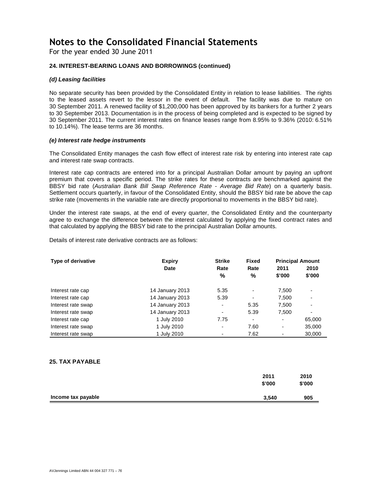For the year ended 30 June 2011

## **24. INTEREST-BEARING LOANS AND BORROWINGS (continued)**

#### **(d) Leasing facilities**

No separate security has been provided by the Consolidated Entity in relation to lease liabilities. The rights to the leased assets revert to the lessor in the event of default. The facility was due to mature on 30 September 2011. A renewed facility of \$1,200,000 has been approved by its bankers for a further 2 years to 30 September 2013. Documentation is in the process of being completed and is expected to be signed by 30 September 2011. The current interest rates on finance leases range from 8.95% to 9.36% (2010: 6.51% to 10.14%). The lease terms are 36 months.

#### **(e) Interest rate hedge instruments**

The Consolidated Entity manages the cash flow effect of interest rate risk by entering into interest rate cap and interest rate swap contracts.

Interest rate cap contracts are entered into for a principal Australian Dollar amount by paying an upfront premium that covers a specific period. The strike rates for these contracts are benchmarked against the BBSY bid rate (Australian Bank Bill Swap Reference Rate - Average Bid Rate) on a quarterly basis. Settlement occurs quarterly, in favour of the Consolidated Entity, should the BBSY bid rate be above the cap strike rate (movements in the variable rate are directly proportional to movements in the BBSY bid rate).

Under the interest rate swaps, at the end of every quarter, the Consolidated Entity and the counterparty agree to exchange the difference between the interest calculated by applying the fixed contract rates and that calculated by applying the BBSY bid rate to the principal Australian Dollar amounts.

Details of interest rate derivative contracts are as follows:

| Type of derivative | <b>Expiry</b>   | <b>Strike</b>            | <b>Fixed</b>             | <b>Principal Amount</b> |                          |
|--------------------|-----------------|--------------------------|--------------------------|-------------------------|--------------------------|
|                    | <b>Date</b>     | Rate                     | Rate                     | 2011                    | 2010                     |
|                    |                 | %                        | %                        | \$'000                  | \$'000                   |
| Interest rate cap  | 14 January 2013 | 5.35                     | $\overline{\phantom{a}}$ | 7.500                   | $\overline{\phantom{a}}$ |
| Interest rate cap  | 14 January 2013 | 5.39                     | $\blacksquare$           | 7,500                   | $\overline{\phantom{a}}$ |
| Interest rate swap | 14 January 2013 | $\overline{\phantom{a}}$ | 5.35                     | 7,500                   | $\blacksquare$           |
| Interest rate swap | 14 January 2013 | $\overline{\phantom{a}}$ | 5.39                     | 7,500                   | $\overline{\phantom{a}}$ |
| Interest rate cap  | 1 July 2010     | 7.75                     | $\overline{\phantom{a}}$ | $\blacksquare$          | 65,000                   |
| Interest rate swap | 1 July 2010     | $\overline{\phantom{a}}$ | 7.60                     | $\blacksquare$          | 35,000                   |
| Interest rate swap | 1 July 2010     | $\blacksquare$           | 7.62                     |                         | 30,000                   |

#### **25. TAX PAYABLE**

|                    | 2011<br>\$'000 | 2010<br>\$'000 |
|--------------------|----------------|----------------|
| Income tax payable | 3,540          | 905            |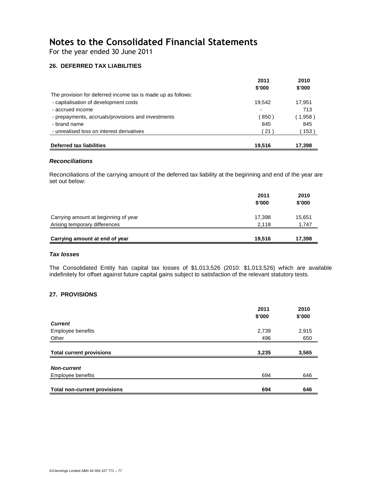For the year ended 30 June 2011

# **26. DEFERRED TAX LIABILITIES**

|                                                              | 2011   | 2010    |
|--------------------------------------------------------------|--------|---------|
|                                                              | \$'000 | \$'000  |
| The provision for deferred income tax is made up as follows: |        |         |
| - capitalisation of development costs                        | 19.542 | 17,951  |
| - accrued income                                             |        | 713     |
| - prepayments, accruals/provisions and investments           | (850)  | (1,958) |
| - brand name                                                 | 845    | 845     |
| - unrealised loss on interest derivatives                    | 21     | 153)    |
| Deferred tax liabilities                                     | 19.516 | 17.398  |

#### **Reconciliations**

Reconciliations of the carrying amount of the deferred tax liability at the beginning and end of the year are set out below:

|                                      | 2011<br>\$'000 | 2010<br>\$'000 |
|--------------------------------------|----------------|----------------|
| Carrying amount at beginning of year | 17,398         | 15,651         |
| Arising temporary differences        | 2.118          | 1,747          |
| Carrying amount at end of year       | 19.516         | 17,398         |

### **Tax losses**

The Consolidated Entity has capital tax losses of \$1,013,526 (2010: \$1,013,526) which are available indefinitely for offset against future capital gains subject to satisfaction of the relevant statutory tests.

#### **27. PROVISIONS**

|                                     | 2011   | 2010   |
|-------------------------------------|--------|--------|
|                                     | \$'000 | \$'000 |
| <b>Current</b>                      |        |        |
| Employee benefits                   | 2,739  | 2,915  |
| Other                               | 496    | 650    |
|                                     |        |        |
| <b>Total current provisions</b>     | 3,235  | 3,565  |
| <b>Non-current</b>                  |        |        |
| Employee benefits                   | 694    | 646    |
|                                     |        |        |
| <b>Total non-current provisions</b> | 694    | 646    |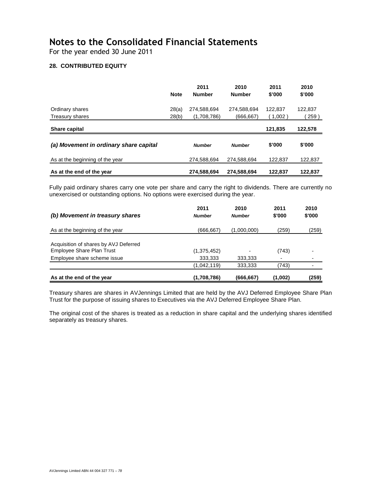For the year ended 30 June 2011

# **28. CONTRIBUTED EQUITY**

|                                        | <b>Note</b> | 2011<br><b>Number</b> | 2010<br><b>Number</b> | 2011<br>\$'000 | 2010<br>\$'000 |
|----------------------------------------|-------------|-----------------------|-----------------------|----------------|----------------|
| Ordinary shares                        | 28(a)       | 274.588.694           | 274.588.694           | 122.837        | 122.837        |
| Treasury shares                        | 28(b)       | (1,708,786)           | (666, 667)            | (1,002)        | 259)           |
| Share capital                          |             |                       |                       | 121,835        | 122,578        |
| (a) Movement in ordinary share capital |             | <b>Number</b>         | <b>Number</b>         | \$'000         | \$'000         |
| As at the beginning of the year        |             | 274,588,694           | 274,588,694           | 122,837        | 122,837        |
| As at the end of the year              |             | 274,588,694           | 274,588,694           | 122.837        | 122,837        |

Fully paid ordinary shares carry one vote per share and carry the right to dividends. There are currently no unexercised or outstanding options. No options were exercised during the year.

| (b) Movement in treasury shares                                           | 2011<br><b>Number</b> | 2010<br><b>Number</b> | 2011<br>\$'000 | 2010<br>\$'000 |
|---------------------------------------------------------------------------|-----------------------|-----------------------|----------------|----------------|
| As at the beginning of the year                                           | (666,667)             | (1,000,000)           | (259)          | (259)          |
| Acquisition of shares by AVJ Deferred<br><b>Employee Share Plan Trust</b> | (1,375,452)           | ۰                     | (743)          |                |
| Employee share scheme issue                                               | 333,333               | 333,333               |                |                |
|                                                                           | (1,042,119)           | 333,333               | (743)          |                |
| As at the end of the year                                                 | (1,708,786)           | (666,667)             | (1,002)        | (259)          |

Treasury shares are shares in AVJennings Limited that are held by the AVJ Deferred Employee Share Plan Trust for the purpose of issuing shares to Executives via the AVJ Deferred Employee Share Plan.

The original cost of the shares is treated as a reduction in share capital and the underlying shares identified separately as treasury shares.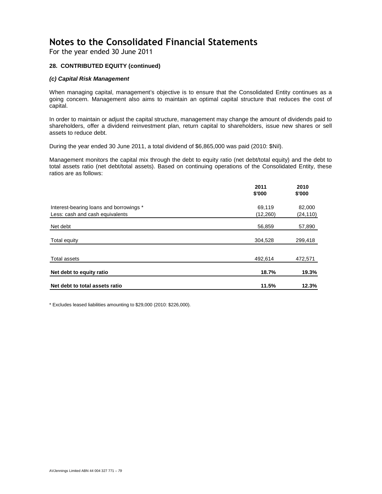For the year ended 30 June 2011

## **28. CONTRIBUTED EQUITY (continued)**

### **(c) Capital Risk Management**

When managing capital, management's objective is to ensure that the Consolidated Entity continues as a going concern. Management also aims to maintain an optimal capital structure that reduces the cost of capital.

In order to maintain or adjust the capital structure, management may change the amount of dividends paid to shareholders, offer a dividend reinvestment plan, return capital to shareholders, issue new shares or sell assets to reduce debt.

During the year ended 30 June 2011, a total dividend of \$6,865,000 was paid (2010: \$Nil).

Management monitors the capital mix through the debt to equity ratio (net debt/total equity) and the debt to total assets ratio (net debt/total assets). Based on continuing operations of the Consolidated Entity, these ratios are as follows:

|                                         | 2011<br>\$'000 | 2010<br>\$'000 |
|-----------------------------------------|----------------|----------------|
| Interest-bearing loans and borrowings * | 69,119         | 82,000         |
| Less: cash and cash equivalents         | (12, 260)      | (24, 110)      |
| Net debt                                | 56,859         | 57,890         |
| Total equity                            | 304,528        | 299,418        |
| <b>Total assets</b>                     | 492,614        | 472,571        |
|                                         |                |                |
| Net debt to equity ratio                | 18.7%          | 19.3%          |
| Net debt to total assets ratio          | 11.5%          | 12.3%          |

\* Excludes leased liabilities amounting to \$29,000 (2010: \$226,000).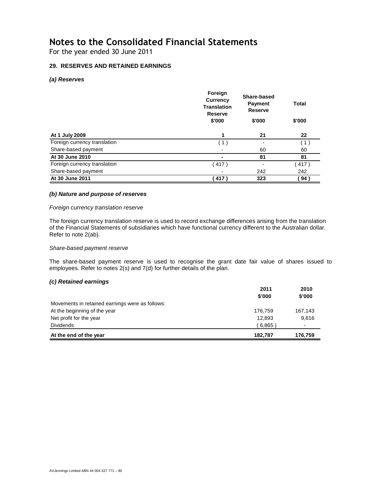For the year ended 30 June 2011

# **29. RESERVES AND RETAINED EARNINGS**

## **(a) Reserves**

|                              | Foreign<br><b>Currency</b><br><b>Translation</b><br><b>Reserve</b><br>\$'000 | Share-based<br>Payment<br><b>Reserve</b><br>\$'000 | Total<br>\$'000 |
|------------------------------|------------------------------------------------------------------------------|----------------------------------------------------|-----------------|
| At 1 July 2009               |                                                                              | 21                                                 | 22              |
| Foreign currency translation | (1                                                                           |                                                    | (1)             |
| Share-based payment          |                                                                              | 60                                                 | 60              |
| At 30 June 2010              |                                                                              | 81                                                 | 81              |
| Foreign currency translation | (417)                                                                        |                                                    | 417)            |
| Share-based payment          |                                                                              | 242                                                | 242             |
| At 30 June 2011              | 417)                                                                         | 323                                                | 94 <sup>°</sup> |

#### **(b) Nature and purpose of reserves**

#### Foreign currency translation reserve

The foreign currency translation reserve is used to record exchange differences arising from the translation of the Financial Statements of subsidiaries which have functional currency different to the Australian dollar. Refer to note 2(ab).

#### Share-based payment reserve

The share-based payment reserve is used to recognise the grant date fair value of shares issued to employees. Refer to notes 2(s) and 7(d) for further details of the plan.

#### **(c) Retained earnings**

|                                                 | 2011    | 2010           |
|-------------------------------------------------|---------|----------------|
|                                                 | \$'000  | \$'000         |
| Movements in retained earnings were as follows: |         |                |
| At the beginning of the year                    | 176.759 | 167.143        |
| Net profit for the year                         | 12,893  | 9.616          |
| <b>Dividends</b>                                | 6,865   | $\blacksquare$ |
| At the end of the year                          | 182.787 | 176,759        |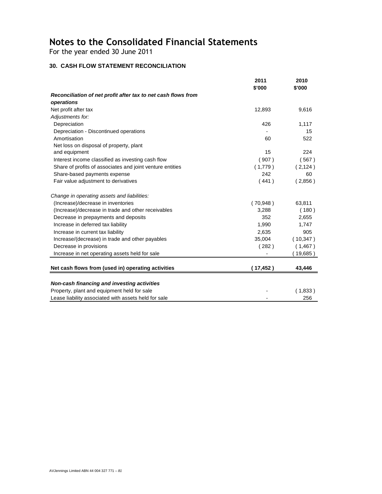For the year ended 30 June 2011

# **30. CASH FLOW STATEMENT RECONCILIATION**

|                                                               | 2011     | 2010      |
|---------------------------------------------------------------|----------|-----------|
|                                                               | \$'000   | \$'000    |
| Reconciliation of net profit after tax to net cash flows from |          |           |
| operations                                                    |          |           |
| Net profit after tax                                          | 12,893   | 9,616     |
| Adjustments for:                                              |          |           |
| Depreciation                                                  | 426      | 1,117     |
| Depreciation - Discontinued operations                        |          | 15        |
| Amortisation                                                  | 60       | 522       |
| Net loss on disposal of property, plant                       |          |           |
| and equipment                                                 | 15       | 224       |
| Interest income classified as investing cash flow             | (907)    | (567)     |
| Share of profits of associates and joint venture entities     | (1,779)  | (2, 124)  |
| Share-based payments expense                                  | 242      | 60        |
| Fair value adjustment to derivatives                          | (441)    | (2,856)   |
| Change in operating assets and liabilities:                   |          |           |
| (Increase)/decrease in inventories                            | (70,948) | 63,811    |
| (Increase)/decrease in trade and other receivables            | 3.288    | (180)     |
| Decrease in prepayments and deposits                          | 352      | 2,655     |
| Increase in deferred tax liability                            | 1,990    | 1,747     |
| Increase in current tax liability                             | 2,635    | 905       |
| Increase/(decrease) in trade and other payables               | 35,004   | (10, 347) |
| Decrease in provisions                                        | (282)    | (1,467)   |
| Increase in net operating assets held for sale                |          | 19,685)   |
|                                                               |          |           |
| Net cash flows from (used in) operating activities            | (17,452) | 43,446    |
| Non-cash financing and investing activities                   |          |           |
| Property, plant and equipment held for sale                   |          | (1,833)   |
| Lease liability associated with assets held for sale          |          | 256       |
|                                                               |          |           |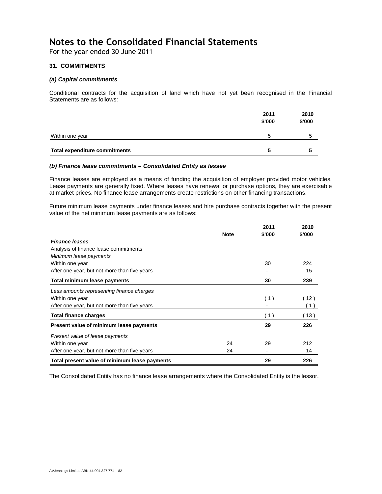For the year ended 30 June 2011

## **31. COMMITMENTS**

## **(a) Capital commitments**

Conditional contracts for the acquisition of land which have not yet been recognised in the Financial Statements are as follows:

|                                      | 2011<br>\$'000 | 2010<br>\$'000 |
|--------------------------------------|----------------|----------------|
| Within one year                      | ٠h             | 5              |
| <b>Total expenditure commitments</b> |                |                |

#### **(b) Finance lease commitments – Consolidated Entity as lessee**

Finance leases are employed as a means of funding the acquisition of employer provided motor vehicles. Lease payments are generally fixed. Where leases have renewal or purchase options, they are exercisable at market prices. No finance lease arrangements create restrictions on other financing transactions.

Future minimum lease payments under finance leases and hire purchase contracts together with the present value of the net minimum lease payments are as follows:

|                                               |             | 2011                     | 2010   |
|-----------------------------------------------|-------------|--------------------------|--------|
|                                               | <b>Note</b> | \$'000                   | \$'000 |
| <b>Finance leases</b>                         |             |                          |        |
| Analysis of finance lease commitments         |             |                          |        |
| Minimum lease payments                        |             |                          |        |
| Within one year                               |             | 30                       | 224    |
| After one year, but not more than five years  |             |                          | 15     |
| <b>Total minimum lease payments</b>           |             | 30                       | 239    |
| Less amounts representing finance charges     |             |                          |        |
| Within one year                               |             | (1)                      | (12)   |
| After one year, but not more than five years  |             |                          | (1)    |
| <b>Total finance charges</b>                  |             | (1)                      | 〔13〕   |
| Present value of minimum lease payments       |             | 29                       | 226    |
| Present value of lease payments               |             |                          |        |
| Within one year                               | 24          | 29                       | 212    |
| After one year, but not more than five years  | 24          | $\overline{\phantom{0}}$ | 14     |
| Total present value of minimum lease payments |             | 29                       | 226    |

The Consolidated Entity has no finance lease arrangements where the Consolidated Entity is the lessor.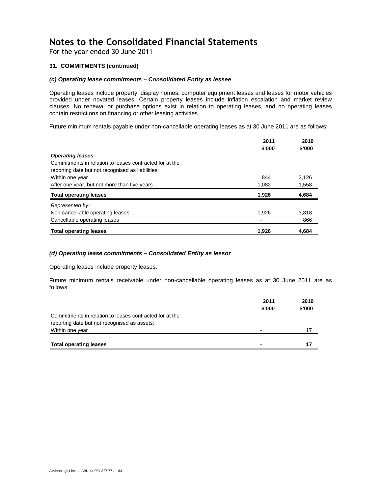For the year ended 30 June 2011

## **31. COMMITMENTS (continued)**

### **(c) Operating lease commitments – Consolidated Entity as lessee**

Operating leases include property, display homes, computer equipment leases and leases for motor vehicles provided under novated leases. Certain property leases include inflation escalation and market review clauses. No renewal or purchase options exist in relation to operating leases, and no operating leases contain restrictions on financing or other leasing activities.

Future minimum rentals payable under non-cancellable operating leases as at 30 June 2011 are as follows:

|                                                                      | 2011<br>\$'000 | 2010<br>\$'000 |
|----------------------------------------------------------------------|----------------|----------------|
| <b>Operating leases</b>                                              |                | 3,126          |
| Commitments in relation to leases contracted for at the              |                |                |
| reporting date but not recognised as liabilities:<br>Within one year |                |                |
|                                                                      | 844            |                |
| After one year, but not more than five years                         | 1,082          | 1,558          |
| <b>Total operating leases</b>                                        | 1,926          | 4,684          |
| Represented by:                                                      |                |                |
| Non-cancellable operating leases                                     | 1.926          | 3,818          |
| Cancellable operating leases                                         |                | 866            |
| <b>Total operating leases</b>                                        | 1.926          | 4.684          |

#### **(d) Operating lease commitments – Consolidated Entity as lessor**

Operating leases include property leases.

Future minimum rentals receivable under non-cancellable operating leases as at 30 June 2011 are as follows:

|                                                         | 2011<br>\$'000           | 2010<br>\$'000 |
|---------------------------------------------------------|--------------------------|----------------|
| Commitments in relation to leases contracted for at the |                          |                |
| reporting date but not recognised as assets:            |                          |                |
| Within one year                                         | $\overline{\phantom{0}}$ | 17             |
| <b>Total operating leases</b>                           |                          | 17             |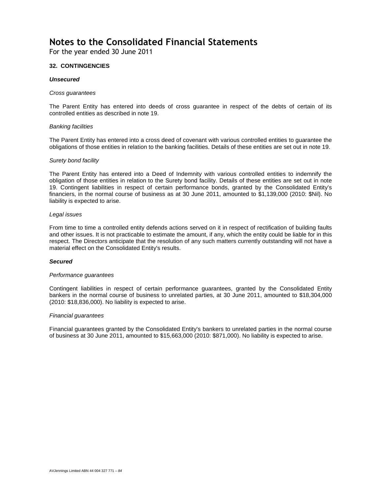For the year ended 30 June 2011

## **32. CONTINGENCIES**

#### **Unsecured**

#### Cross guarantees

The Parent Entity has entered into deeds of cross guarantee in respect of the debts of certain of its controlled entities as described in note 19.

#### Banking facilities

The Parent Entity has entered into a cross deed of covenant with various controlled entities to guarantee the obligations of those entities in relation to the banking facilities. Details of these entities are set out in note 19.

#### Surety bond facility

The Parent Entity has entered into a Deed of Indemnity with various controlled entities to indemnify the obligation of those entities in relation to the Surety bond facility. Details of these entities are set out in note 19. Contingent liabilities in respect of certain performance bonds, granted by the Consolidated Entity's financiers, in the normal course of business as at 30 June 2011, amounted to \$1,139,000 (2010: \$Nil). No liability is expected to arise.

#### Legal issues

From time to time a controlled entity defends actions served on it in respect of rectification of building faults and other issues. It is not practicable to estimate the amount, if any, which the entity could be liable for in this respect. The Directors anticipate that the resolution of any such matters currently outstanding will not have a material effect on the Consolidated Entity's results.

#### **Secured**

#### Performance guarantees

Contingent liabilities in respect of certain performance guarantees, granted by the Consolidated Entity bankers in the normal course of business to unrelated parties, at 30 June 2011, amounted to \$18,304,000 (2010: \$18,836,000). No liability is expected to arise.

#### Financial guarantees

Financial guarantees granted by the Consolidated Entity's bankers to unrelated parties in the normal course of business at 30 June 2011, amounted to \$15,663,000 (2010: \$871,000). No liability is expected to arise.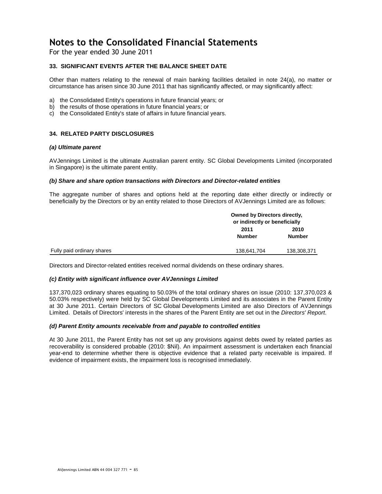For the year ended 30 June 2011

## **33. SIGNIFICANT EVENTS AFTER THE BALANCE SHEET DATE**

Other than matters relating to the renewal of main banking facilities detailed in note 24(a), no matter or circumstance has arisen since 30 June 2011 that has significantly affected, or may significantly affect:

- a) the Consolidated Entity's operations in future financial years; or
- b) the results of those operations in future financial years; or
- c) the Consolidated Entity's state of affairs in future financial years.

## **34. RELATED PARTY DISCLOSURES**

#### **(a) Ultimate parent**

AVJennings Limited is the ultimate Australian parent entity. SC Global Developments Limited (incorporated in Singapore) is the ultimate parent entity.

#### **(b) Share and share option transactions with Directors and Director-related entities**

The aggregate number of shares and options held at the reporting date either directly or indirectly or beneficially by the Directors or by an entity related to those Directors of AVJennings Limited are as follows:

|                            |                       | <b>Owned by Directors directly,</b><br>or indirectly or beneficially |  |  |
|----------------------------|-----------------------|----------------------------------------------------------------------|--|--|
|                            | 2011<br><b>Number</b> | 2010<br><b>Number</b>                                                |  |  |
| Fully paid ordinary shares | 138,641,704           | 138,308,371                                                          |  |  |

Directors and Director-related entities received normal dividends on these ordinary shares.

#### **(c) Entity with significant influence over AVJennings Limited**

137,370,023 ordinary shares equating to 50.03% of the total ordinary shares on issue (2010: 137,370,023 & 50.03% respectively) were held by SC Global Developments Limited and its associates in the Parent Entity at 30 June 2011. Certain Directors of SC Global Developments Limited are also Directors of AVJennings Limited. Details of Directors' interests in the shares of the Parent Entity are set out in the Directors' Report.

#### **(d) Parent Entity amounts receivable from and payable to controlled entities**

At 30 June 2011, the Parent Entity has not set up any provisions against debts owed by related parties as recoverability is considered probable (2010: \$Nil). An impairment assessment is undertaken each financial year-end to determine whether there is objective evidence that a related party receivable is impaired. If evidence of impairment exists, the impairment loss is recognised immediately.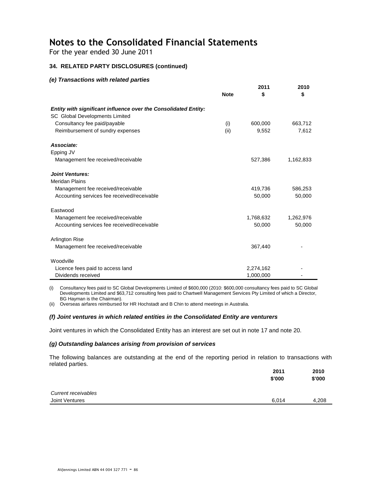For the year ended 30 June 2011

# **34. RELATED PARTY DISCLOSURES (continued)**

#### **(e) Transactions with related parties**

|                                                                        |             | 2011      | 2010      |
|------------------------------------------------------------------------|-------------|-----------|-----------|
|                                                                        | <b>Note</b> | \$        | \$        |
| <b>Entity with significant influence over the Consolidated Entity:</b> |             |           |           |
| <b>SC</b> Global Developments Limited                                  |             |           |           |
| Consultancy fee paid/payable                                           | (i)         | 600,000   | 663,712   |
| Reimbursement of sundry expenses                                       | (ii)        | 9,552     | 7,612     |
| Associate:                                                             |             |           |           |
| Epping JV                                                              |             |           |           |
| Management fee received/receivable                                     |             | 527,386   | 1,162,833 |
| <b>Joint Ventures:</b>                                                 |             |           |           |
| <b>Meridan Plains</b>                                                  |             |           |           |
| Management fee received/receivable                                     |             | 419,736   | 586,253   |
| Accounting services fee received/receivable                            |             | 50,000    | 50,000    |
| Eastwood                                                               |             |           |           |
| Management fee received/receivable                                     |             | 1,768,632 | 1,262,976 |
| Accounting services fee received/receivable                            |             | 50,000    | 50,000    |
| <b>Arlington Rise</b>                                                  |             |           |           |
| Management fee received/receivable                                     |             | 367,440   |           |
| Woodville                                                              |             |           |           |
| Licence fees paid to access land                                       |             | 2,274,162 |           |
| Dividends received                                                     |             | 1,000,000 |           |

(i) Consultancy fees paid to SC Global Developments Limited of \$600,000 (2010: \$600,000 consultancy fees paid to SC Global Developments Limited and \$63,712 consulting fees paid to Chartwell Management Services Pty Limited of which a Director, BG Hayman is the Chairman).

(ii) Overseas airfares reimbursed for HR Hochstadt and B Chin to attend meetings in Australia.

#### **(f) Joint ventures in which related entities in the Consolidated Entity are venturers**

Joint ventures in which the Consolidated Entity has an interest are set out in note 17 and note 20.

#### **(g) Outstanding balances arising from provision of services**

The following balances are outstanding at the end of the reporting period in relation to transactions with related parties.

|                     | 2011   | 2010   |
|---------------------|--------|--------|
|                     | \$'000 | \$'000 |
| Current receivables |        |        |
| Joint Ventures      | 6,014  | 4,208  |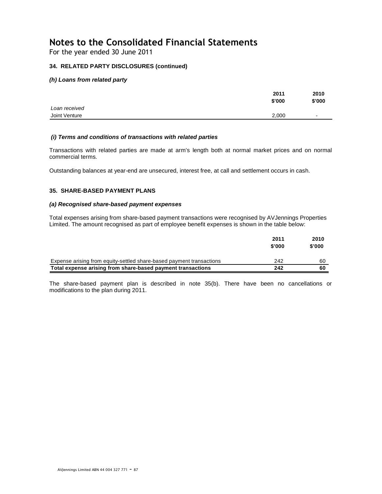For the year ended 30 June 2011

## **34. RELATED PARTY DISCLOSURES (continued)**

#### **(h) Loans from related party**

|               | 2011<br>\$'000 | 2010<br>\$'000           |
|---------------|----------------|--------------------------|
| Loan received |                |                          |
| Joint Venture | 2,000          | $\overline{\phantom{a}}$ |

#### **(i) Terms and conditions of transactions with related parties**

Transactions with related parties are made at arm's length both at normal market prices and on normal commercial terms.

Outstanding balances at year-end are unsecured, interest free, at call and settlement occurs in cash.

## **35. SHARE-BASED PAYMENT PLANS**

#### **(a) Recognised share-based payment expenses**

Total expenses arising from share-based payment transactions were recognised by AVJennings Properties Limited. The amount recognised as part of employee benefit expenses is shown in the table below:

|                                                                      | 2011<br>\$'000 | 2010<br>\$'000 |
|----------------------------------------------------------------------|----------------|----------------|
| Expense arising from equity-settled share-based payment transactions | 242            | 60             |
| Total expense arising from share-based payment transactions          | 242            | 60             |

The share-based payment plan is described in note 35(b). There have been no cancellations or modifications to the plan during 2011.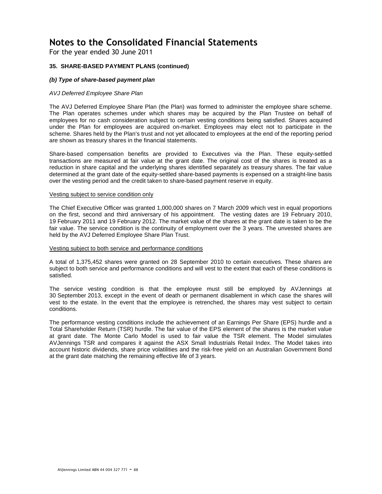For the year ended 30 June 2011

## **35. SHARE-BASED PAYMENT PLANS (continued)**

#### **(b) Type of share-based payment plan**

#### AVJ Deferred Employee Share Plan

The AVJ Deferred Employee Share Plan (the Plan) was formed to administer the employee share scheme. The Plan operates schemes under which shares may be acquired by the Plan Trustee on behalf of employees for no cash consideration subject to certain vesting conditions being satisfied. Shares acquired under the Plan for employees are acquired on-market. Employees may elect not to participate in the scheme. Shares held by the Plan's trust and not yet allocated to employees at the end of the reporting period are shown as treasury shares in the financial statements.

Share-based compensation benefits are provided to Executives via the Plan. These equity-settled transactions are measured at fair value at the grant date. The original cost of the shares is treated as a reduction in share capital and the underlying shares identified separately as treasury shares. The fair value determined at the grant date of the equity-settled share-based payments is expensed on a straight-line basis over the vesting period and the credit taken to share-based payment reserve in equity.

#### Vesting subject to service condition only

The Chief Executive Officer was granted 1,000,000 shares on 7 March 2009 which vest in equal proportions on the first, second and third anniversary of his appointment. The vesting dates are 19 February 2010, 19 February 2011 and 19 February 2012. The market value of the shares at the grant date is taken to be the fair value. The service condition is the continuity of employment over the 3 years. The unvested shares are held by the AVJ Deferred Employee Share Plan Trust.

#### Vesting subject to both service and performance conditions

A total of 1,375,452 shares were granted on 28 September 2010 to certain executives. These shares are subject to both service and performance conditions and will vest to the extent that each of these conditions is satisfied.

The service vesting condition is that the employee must still be employed by AVJennings at 30 September 2013, except in the event of death or permanent disablement in which case the shares will vest to the estate. In the event that the employee is retrenched, the shares may vest subject to certain conditions.

The performance vesting conditions include the achievement of an Earnings Per Share (EPS) hurdle and a Total Shareholder Return (TSR) hurdle. The fair value of the EPS element of the shares is the market value at grant date. The Monte Carlo Model is used to fair value the TSR element. The Model simulates AVJennings TSR and compares it against the ASX Small Industrials Retail Index. The Model takes into account historic dividends, share price volatilities and the risk-free yield on an Australian Government Bond at the grant date matching the remaining effective life of 3 years.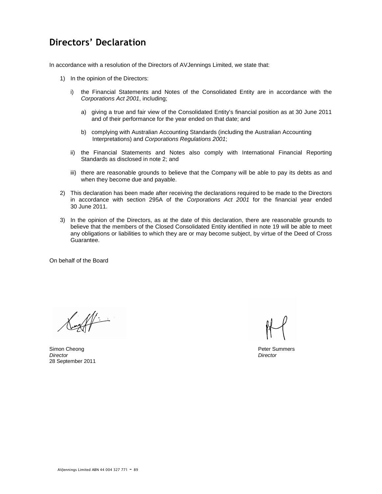# Directors' Declaration

In accordance with a resolution of the Directors of AVJennings Limited, we state that:

- 1) In the opinion of the Directors:
	- i) the Financial Statements and Notes of the Consolidated Entity are in accordance with the Corporations Act 2001, including;
		- a) giving a true and fair view of the Consolidated Entity's financial position as at 30 June 2011 and of their performance for the year ended on that date; and
		- b) complying with Australian Accounting Standards (including the Australian Accounting Interpretations) and Corporations Regulations 2001;
	- ii) the Financial Statements and Notes also comply with International Financial Reporting Standards as disclosed in note 2; and
	- iii) there are reasonable grounds to believe that the Company will be able to pay its debts as and when they become due and payable.
- 2) This declaration has been made after receiving the declarations required to be made to the Directors in accordance with section 295A of the Corporations Act 2001 for the financial year ended 30 June 2011.
- 3) In the opinion of the Directors, as at the date of this declaration, there are reasonable grounds to believe that the members of the Closed Consolidated Entity identified in note 19 will be able to meet any obligations or liabilities to which they are or may become subject, by virtue of the Deed of Cross Guarantee.

On behalf of the Board

 $\mathcal{M}$ 

Simon Cheong **Peter Summers Peter Summers Director** Director **Director** Director **Director Director Director Director Director Director Director** 28 September 2011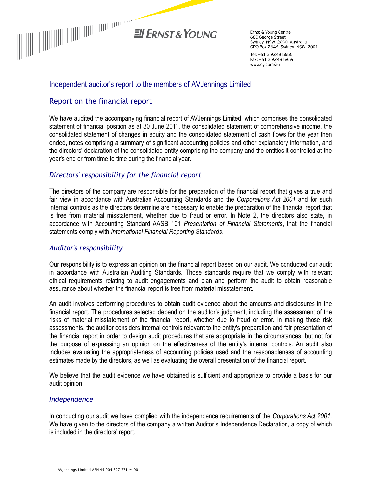

Ernst & Young Centre 680 George Street Sydney NSW 2000 Australia GPO Box 2646 Sydney NSW 2001

Tel: +61 2 9248 5555 Fax: +61 2 9248 5959 www.ey.com/au

# Independent auditor's report to the members of AVJennings Limited

# Report on the financial report

We have audited the accompanying financial report of AVJennings Limited, which comprises the consolidated statement of financial position as at 30 June 2011, the consolidated statement of comprehensive income, the consolidated statement of changes in equity and the consolidated statement of cash flows for the year then ended, notes comprising a summary of significant accounting policies and other explanatory information, and the directors' declaration of the consolidated entity comprising the company and the entities it controlled at the year's end or from time to time during the financial year.

# Directors' responsibility for the financial report

The directors of the company are responsible for the preparation of the financial report that gives a true and fair view in accordance with Australian Accounting Standards and the Corporations Act 2001 and for such internal controls as the directors determine are necessary to enable the preparation of the financial report that is free from material misstatement, whether due to fraud or error. In Note 2, the directors also state, in accordance with Accounting Standard AASB 101 Presentation of Financial Statements, that the financial statements comply with International Financial Reporting Standards.

# Auditor's responsibility

Our responsibility is to express an opinion on the financial report based on our audit. We conducted our audit in accordance with Australian Auditing Standards. Those standards require that we comply with relevant ethical requirements relating to audit engagements and plan and perform the audit to obtain reasonable assurance about whether the financial report is free from material misstatement.

An audit involves performing procedures to obtain audit evidence about the amounts and disclosures in the financial report. The procedures selected depend on the auditor's judgment, including the assessment of the risks of material misstatement of the financial report, whether due to fraud or error. In making those risk assessments, the auditor considers internal controls relevant to the entity's preparation and fair presentation of the financial report in order to design audit procedures that are appropriate in the circumstances, but not for the purpose of expressing an opinion on the effectiveness of the entity's internal controls. An audit also includes evaluating the appropriateness of accounting policies used and the reasonableness of accounting estimates made by the directors, as well as evaluating the overall presentation of the financial report.

We believe that the audit evidence we have obtained is sufficient and appropriate to provide a basis for our audit opinion.

# Independence

In conducting our audit we have complied with the independence requirements of the Corporations Act 2001. We have given to the directors of the company a written Auditor's Independence Declaration, a copy of which is included in the directors' report.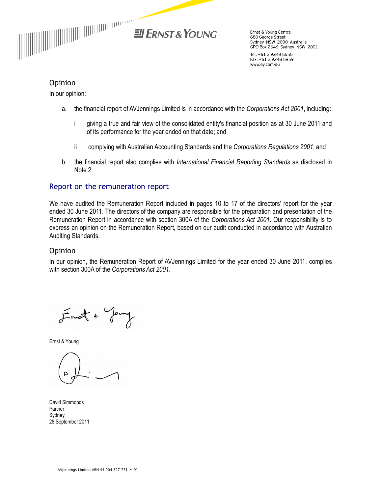

**El ERNST & YOUNG** 

Ernst & Young Centre 680 George Street<br>Sydney NSW 2000 Australia GPO Box 2646 Sydney NSW 2001

Tel: +61 2 9248 5555 Fax: +61 2 9248 5959 www.ey.com/au

# Opinion

In our opinion:

- a. the financial report of AVJennings Limited is in accordance with the Corporations Act 2001, including:
	- i giving a true and fair view of the consolidated entity's financial position as at 30 June 2011 and of its performance for the year ended on that date; and
	- ii complying with Australian Accounting Standards and the Corporations Regulations 2001; and
- b. the financial report also complies with International Financial Reporting Standards as disclosed in Note 2.

# Report on the remuneration report

We have audited the Remuneration Report included in pages 10 to 17 of the directors' report for the year ended 30 June 2011. The directors of the company are responsible for the preparation and presentation of the Remuneration Report in accordance with section 300A of the Corporations Act 2001. Our responsibility is to express an opinion on the Remuneration Report, based on our audit conducted in accordance with Australian Auditing Standards.

# **Opinion**

In our opinion, the Remuneration Report of AVJennings Limited for the year ended 30 June 2011, complies with section 300A of the Corporations Act 2001.

Frank + Yeary

Ernst & Young

David Simmonds **Partner** Sydney 28 September 2011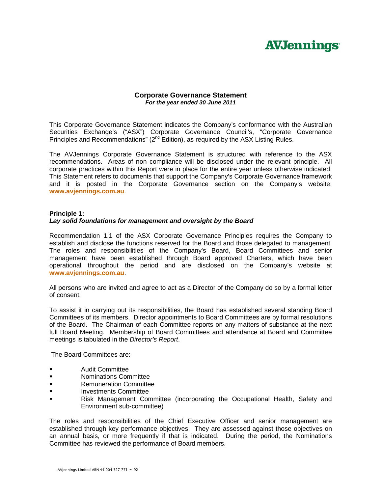

## **Corporate Governance Statement For the year ended 30 June 2011**

This Corporate Governance Statement indicates the Company's conformance with the Australian Securities Exchange's ("ASX") Corporate Governance Council's, "Corporate Governance Principles and Recommendations"  $(2^{nd}$  Edition), as required by the ASX Listing Rules.

The AVJennings Corporate Governance Statement is structured with reference to the ASX recommendations. Areas of non compliance will be disclosed under the relevant principle. All corporate practices within this Report were in place for the entire year unless otherwise indicated. This Statement refers to documents that support the Company's Corporate Governance framework and it is posted in the Corporate Governance section on the Company's website: **www.avjennings.com.au**.

#### **Principle 1:**

## **Lay solid foundations for management and oversight by the Board**

Recommendation 1.1 of the ASX Corporate Governance Principles requires the Company to establish and disclose the functions reserved for the Board and those delegated to management. The roles and responsibilities of the Company's Board, Board Committees and senior management have been established through Board approved Charters, which have been operational throughout the period and are disclosed on the Company's website at **www.avjennings.com.au**.

All persons who are invited and agree to act as a Director of the Company do so by a formal letter of consent.

To assist it in carrying out its responsibilities, the Board has established several standing Board Committees of its members. Director appointments to Board Committees are by formal resolutions of the Board. The Chairman of each Committee reports on any matters of substance at the next full Board Meeting. Membership of Board Committees and attendance at Board and Committee meetings is tabulated in the Director's Report.

The Board Committees are:

- Audit Committee
- Nominations Committee
- Remuneration Committee
- **Investments Committee**
- Risk Management Committee (incorporating the Occupational Health, Safety and Environment sub-committee)

The roles and responsibilities of the Chief Executive Officer and senior management are established through key performance objectives. They are assessed against those objectives on an annual basis, or more frequently if that is indicated. During the period, the Nominations Committee has reviewed the performance of Board members.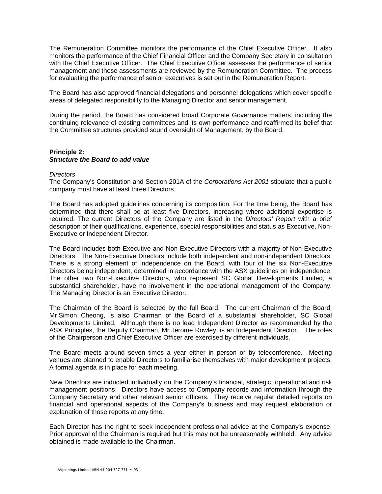The Remuneration Committee monitors the performance of the Chief Executive Officer. It also monitors the performance of the Chief Financial Officer and the Company Secretary in consultation with the Chief Executive Officer. The Chief Executive Officer assesses the performance of senior management and these assessments are reviewed by the Remuneration Committee. The process for evaluating the performance of senior executives is set out in the Remuneration Report.

The Board has also approved financial delegations and personnel delegations which cover specific areas of delegated responsibility to the Managing Director and senior management.

During the period, the Board has considered broad Corporate Governance matters, including the continuing relevance of existing committees and its own performance and reaffirmed its belief that the Committee structures provided sound oversight of Management, by the Board.

### **Principle 2: Structure the Board to add value**

#### **Directors**

The Company's Constitution and Section 201A of the Corporations Act 2001 stipulate that a public company must have at least three Directors.

The Board has adopted guidelines concerning its composition. For the time being, the Board has determined that there shall be at least five Directors, increasing where additional expertise is required. The current Directors of the Company are listed in the Directors' Report with a brief description of their qualifications, experience, special responsibilities and status as Executive, Non-Executive or Independent Director.

The Board includes both Executive and Non-Executive Directors with a majority of Non-Executive Directors. The Non-Executive Directors include both independent and non-independent Directors. There is a strong element of independence on the Board, with four of the six Non-Executive Directors being independent, determined in accordance with the ASX guidelines on independence. The other two Non-Executive Directors, who represent SC Global Developments Limited, a substantial shareholder, have no involvement in the operational management of the Company. The Managing Director is an Executive Director.

The Chairman of the Board is selected by the full Board. The current Chairman of the Board, Mr Simon Cheong, is also Chairman of the Board of a substantial shareholder, SC Global Developments Limited. Although there is no lead Independent Director as recommended by the ASX Principles, the Deputy Chairman, Mr Jerome Rowley, is an Independent Director. The roles of the Chairperson and Chief Executive Officer are exercised by different individuals.

The Board meets around seven times a year either in person or by teleconference. Meeting venues are planned to enable Directors to familiarise themselves with major development projects. A formal agenda is in place for each meeting.

New Directors are inducted individually on the Company's financial, strategic, operational and risk management positions. Directors have access to Company records and information through the Company Secretary and other relevant senior officers. They receive regular detailed reports on financial and operational aspects of the Company's business and may request elaboration or explanation of those reports at any time.

Each Director has the right to seek independent professional advice at the Company's expense. Prior approval of the Chairman is required but this may not be unreasonably withheld. Any advice obtained is made available to the Chairman.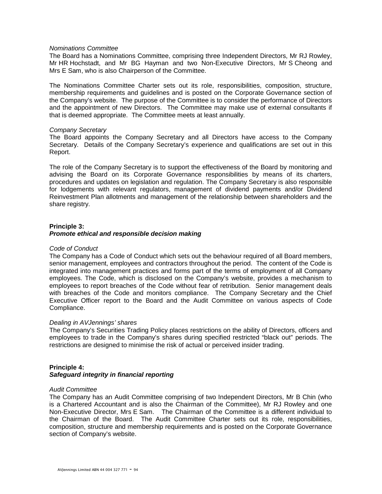### Nominations Committee

The Board has a Nominations Committee, comprising three Independent Directors, Mr RJ Rowley, Mr HR Hochstadt, and Mr BG Hayman and two Non-Executive Directors, Mr S Cheong and Mrs E Sam, who is also Chairperson of the Committee.

The Nominations Committee Charter sets out its role, responsibilities, composition, structure, membership requirements and guidelines and is posted on the Corporate Governance section of the Company's website. The purpose of the Committee is to consider the performance of Directors and the appointment of new Directors. The Committee may make use of external consultants if that is deemed appropriate. The Committee meets at least annually.

#### Company Secretary

The Board appoints the Company Secretary and all Directors have access to the Company Secretary. Details of the Company Secretary's experience and qualifications are set out in this Report.

The role of the Company Secretary is to support the effectiveness of the Board by monitoring and advising the Board on its Corporate Governance responsibilities by means of its charters, procedures and updates on legislation and regulation. The Company Secretary is also responsible for lodgements with relevant regulators, management of dividend payments and/or Dividend Reinvestment Plan allotments and management of the relationship between shareholders and the share registry.

# **Principle 3:**

#### **Promote ethical and responsible decision making**

### Code of Conduct

The Company has a Code of Conduct which sets out the behaviour required of all Board members, senior management, employees and contractors throughout the period. The content of the Code is integrated into management practices and forms part of the terms of employment of all Company employees. The Code, which is disclosed on the Company's website, provides a mechanism to employees to report breaches of the Code without fear of retribution. Senior management deals with breaches of the Code and monitors compliance. The Company Secretary and the Chief Executive Officer report to the Board and the Audit Committee on various aspects of Code Compliance.

## Dealing in AVJennings' shares

The Company's Securities Trading Policy places restrictions on the ability of Directors, officers and employees to trade in the Company's shares during specified restricted "black out" periods. The restrictions are designed to minimise the risk of actual or perceived insider trading.

#### **Principle 4: Safeguard integrity in financial reporting**

#### Audit Committee

The Company has an Audit Committee comprising of two Independent Directors, Mr B Chin (who is a Chartered Accountant and is also the Chairman of the Committee), Mr RJ Rowley and one Non-Executive Director, Mrs E Sam. The Chairman of the Committee is a different individual to the Chairman of the Board. The Audit Committee Charter sets out its role, responsibilities, composition, structure and membership requirements and is posted on the Corporate Governance section of Company's website.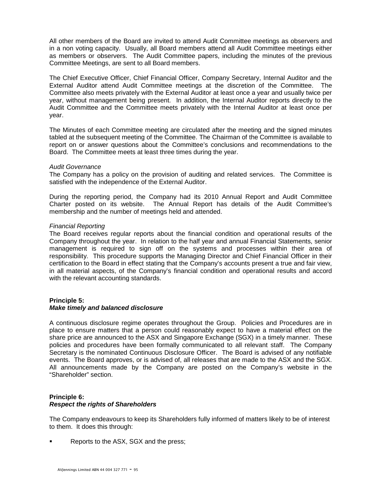All other members of the Board are invited to attend Audit Committee meetings as observers and in a non voting capacity. Usually, all Board members attend all Audit Committee meetings either as members or observers. The Audit Committee papers, including the minutes of the previous Committee Meetings, are sent to all Board members.

The Chief Executive Officer, Chief Financial Officer, Company Secretary, Internal Auditor and the External Auditor attend Audit Committee meetings at the discretion of the Committee. The Committee also meets privately with the External Auditor at least once a year and usually twice per year, without management being present. In addition, the Internal Auditor reports directly to the Audit Committee and the Committee meets privately with the Internal Auditor at least once per year.

The Minutes of each Committee meeting are circulated after the meeting and the signed minutes tabled at the subsequent meeting of the Committee. The Chairman of the Committee is available to report on or answer questions about the Committee's conclusions and recommendations to the Board. The Committee meets at least three times during the year.

## Audit Governance

The Company has a policy on the provision of auditing and related services. The Committee is satisfied with the independence of the External Auditor.

During the reporting period, the Company had its 2010 Annual Report and Audit Committee Charter posted on its website. The Annual Report has details of the Audit Committee's membership and the number of meetings held and attended.

#### Financial Reporting

The Board receives regular reports about the financial condition and operational results of the Company throughout the year. In relation to the half year and annual Financial Statements, senior management is required to sign off on the systems and processes within their area of responsibility. This procedure supports the Managing Director and Chief Financial Officer in their certification to the Board in effect stating that the Company's accounts present a true and fair view, in all material aspects, of the Company's financial condition and operational results and accord with the relevant accounting standards.

## **Principle 5:**

## **Make timely and balanced disclosure**

A continuous disclosure regime operates throughout the Group. Policies and Procedures are in place to ensure matters that a person could reasonably expect to have a material effect on the share price are announced to the ASX and Singapore Exchange (SGX) in a timely manner. These policies and procedures have been formally communicated to all relevant staff. The Company Secretary is the nominated Continuous Disclosure Officer. The Board is advised of any notifiable events. The Board approves, or is advised of, all releases that are made to the ASX and the SGX. All announcements made by the Company are posted on the Company's website in the "Shareholder" section.

# **Principle 6: Respect the rights of Shareholders**

The Company endeavours to keep its Shareholders fully informed of matters likely to be of interest to them. It does this through:

Reports to the ASX, SGX and the press;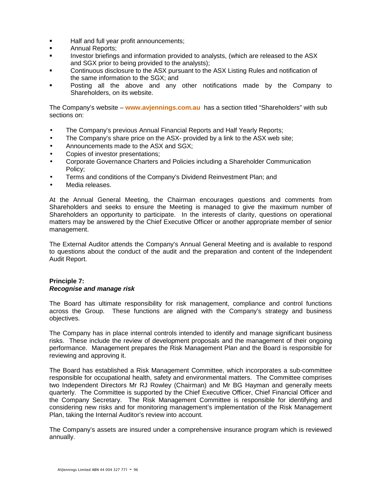- **Half and full year profit announcements;**
- **Annual Reports;**
- Investor briefings and information provided to analysts, (which are released to the ASX and SGX prior to being provided to the analysts);
- Continuous disclosure to the ASX pursuant to the ASX Listing Rules and notification of the same information to the SGX; and
- Posting all the above and any other notifications made by the Company to Shareholders, on its website.

The Company's website – **www.avjennings.com.au** has a section titled "Shareholders" with sub sections on:

- The Company's previous Annual Financial Reports and Half Yearly Reports;
- The Company's share price on the ASX- provided by a link to the ASX web site;
- Announcements made to the ASX and SGX;
- Copies of investor presentations;
- Corporate Governance Charters and Policies including a Shareholder Communication Policy;
- Terms and conditions of the Company's Dividend Reinvestment Plan; and
- Media releases.

At the Annual General Meeting, the Chairman encourages questions and comments from Shareholders and seeks to ensure the Meeting is managed to give the maximum number of Shareholders an opportunity to participate. In the interests of clarity, questions on operational matters may be answered by the Chief Executive Officer or another appropriate member of senior management.

The External Auditor attends the Company's Annual General Meeting and is available to respond to questions about the conduct of the audit and the preparation and content of the Independent Audit Report.

# **Principle 7: Recognise and manage risk**

The Board has ultimate responsibility for risk management, compliance and control functions across the Group. These functions are aligned with the Company's strategy and business objectives.

The Company has in place internal controls intended to identify and manage significant business risks. These include the review of development proposals and the management of their ongoing performance. Management prepares the Risk Management Plan and the Board is responsible for reviewing and approving it.

The Board has established a Risk Management Committee, which incorporates a sub-committee responsible for occupational health, safety and environmental matters. The Committee comprises two Independent Directors Mr RJ Rowley (Chairman) and Mr BG Hayman and generally meets quarterly. The Committee is supported by the Chief Executive Officer, Chief Financial Officer and the Company Secretary. The Risk Management Committee is responsible for identifying and considering new risks and for monitoring management's implementation of the Risk Management Plan, taking the Internal Auditor's review into account.

The Company's assets are insured under a comprehensive insurance program which is reviewed annually.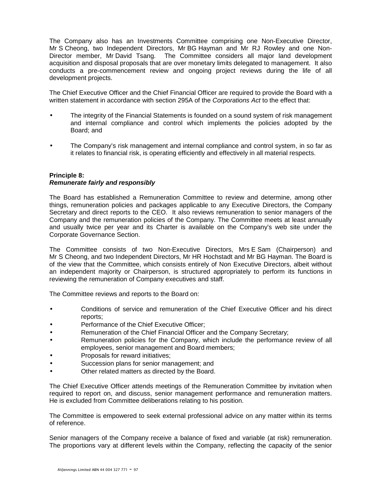The Company also has an Investments Committee comprising one Non-Executive Director, Mr S Cheong, two Independent Directors, Mr BG Hayman and Mr RJ Rowley and one Non-Director member, Mr David Tsang. The Committee considers all major land development acquisition and disposal proposals that are over monetary limits delegated to management. It also conducts a pre-commencement review and ongoing project reviews during the life of all development projects.

The Chief Executive Officer and the Chief Financial Officer are required to provide the Board with a written statement in accordance with section 295A of the Corporations Act to the effect that:

- The integrity of the Financial Statements is founded on a sound system of risk management and internal compliance and control which implements the policies adopted by the Board; and
- The Company's risk management and internal compliance and control system, in so far as it relates to financial risk, is operating efficiently and effectively in all material respects.

#### **Principle 8: Remunerate fairly and responsibly**

The Board has established a Remuneration Committee to review and determine, among other things, remuneration policies and packages applicable to any Executive Directors, the Company Secretary and direct reports to the CEO. It also reviews remuneration to senior managers of the Company and the remuneration policies of the Company. The Committee meets at least annually and usually twice per year and its Charter is available on the Company's web site under the Corporate Governance Section.

The Committee consists of two Non-Executive Directors, Mrs E Sam (Chairperson) and Mr S Cheong, and two Independent Directors, Mr HR Hochstadt and Mr BG Hayman. The Board is of the view that the Committee, which consists entirely of Non Executive Directors, albeit without an independent majority or Chairperson, is structured appropriately to perform its functions in reviewing the remuneration of Company executives and staff.

The Committee reviews and reports to the Board on:

- Conditions of service and remuneration of the Chief Executive Officer and his direct reports;
- Performance of the Chief Executive Officer;
- Remuneration of the Chief Financial Officer and the Company Secretary;
- Remuneration policies for the Company, which include the performance review of all employees, senior management and Board members;
- Proposals for reward initiatives;
- Succession plans for senior management; and
- Other related matters as directed by the Board.

The Chief Executive Officer attends meetings of the Remuneration Committee by invitation when required to report on, and discuss, senior management performance and remuneration matters. He is excluded from Committee deliberations relating to his position.

The Committee is empowered to seek external professional advice on any matter within its terms of reference.

Senior managers of the Company receive a balance of fixed and variable (at risk) remuneration. The proportions vary at different levels within the Company, reflecting the capacity of the senior